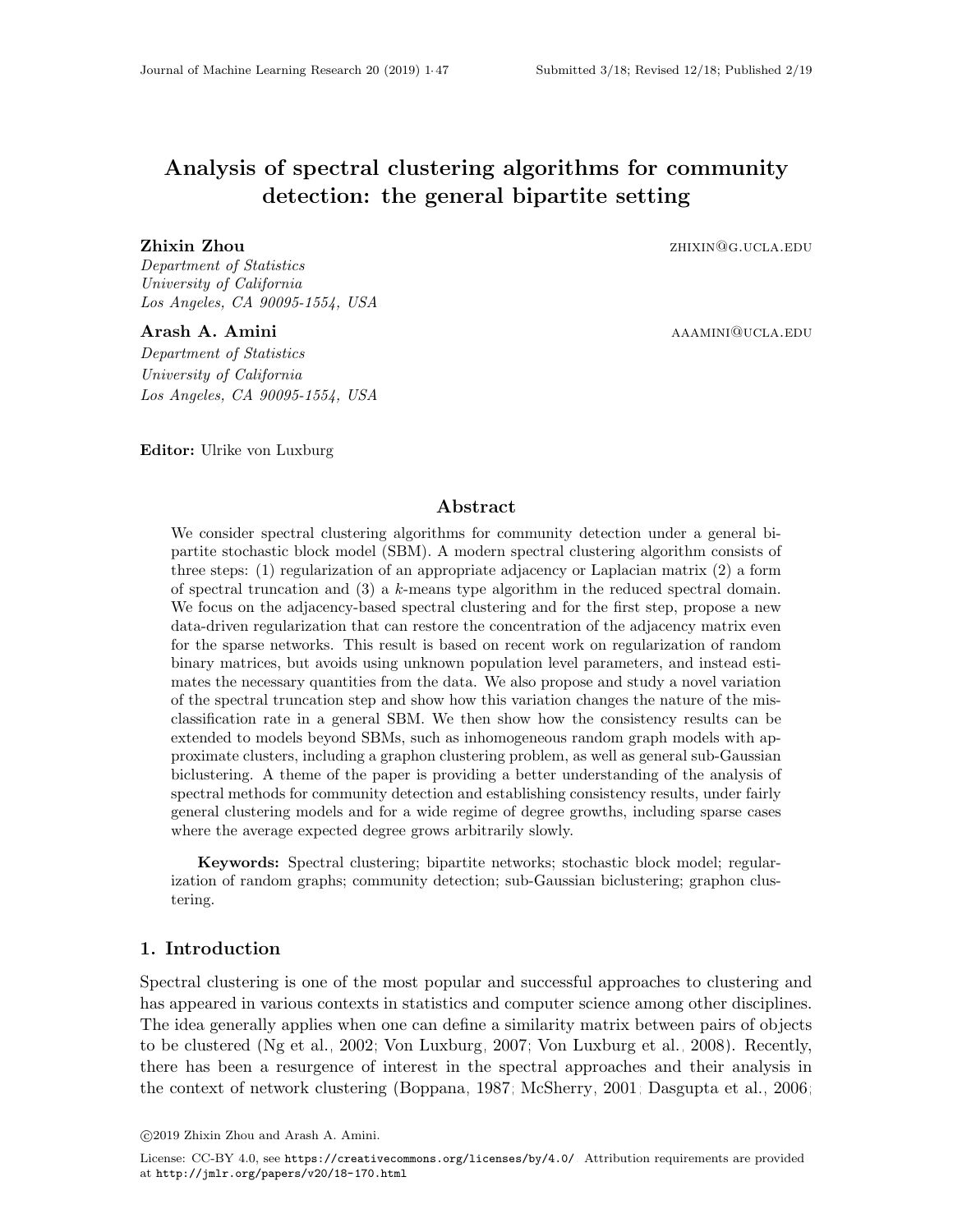# Analysis of spectral clustering algorithms for community detection: the general bipartite setting

**Zhixin Zhou** zhixing zhou zhixing zhixing zhixing zhixing zhixing zhixing zhixing zhixing zhixing zhixing zhixi

Department of Statistics University of California Los Angeles, CA 90095-1554, USA

Arash A. Amini aaamini@ucla.edu Department of Statistics University of California Los Angeles, CA 90095-1554, USA

Editor: Ulrike von Luxburg

# Abstract

We consider spectral clustering algorithms for community detection under a general bipartite stochastic block model (SBM). A modern spectral clustering algorithm consists of three steps: (1) regularization of an appropriate adjacency or Laplacian matrix (2) a form of spectral truncation and  $(3)$  a k-means type algorithm in the reduced spectral domain. We focus on the adjacency-based spectral clustering and for the first step, propose a new data-driven regularization that can restore the concentration of the adjacency matrix even for the sparse networks. This result is based on recent work on regularization of random binary matrices, but avoids using unknown population level parameters, and instead estimates the necessary quantities from the data. We also propose and study a novel variation of the spectral truncation step and show how this variation changes the nature of the misclassification rate in a general SBM. We then show how the consistency results can be extended to models beyond SBMs, such as inhomogeneous random graph models with approximate clusters, including a graphon clustering problem, as well as general sub-Gaussian biclustering. A theme of the paper is providing a better understanding of the analysis of spectral methods for community detection and establishing consistency results, under fairly general clustering models and for a wide regime of degree growths, including sparse cases where the average expected degree grows arbitrarily slowly.

Keywords: Spectral clustering; bipartite networks; stochastic block model; regularization of random graphs; community detection; sub-Gaussian biclustering; graphon clustering.

# 1. Introduction

Spectral clustering is one of the most popular and successful approaches to clustering and has appeared in various contexts in statistics and computer science among other disciplines. The idea generally applies when one can define a similarity matrix between pairs of objects to be clustered [\(Ng et al., 2002;](#page-45-0) [Von Luxburg, 2007;](#page-46-1) [Von Luxburg et al., 2008\)](#page-46-2). Recently, there has been a resurgence of interest in the spectral approaches and their analysis in the context of network clustering [\(Boppana, 1987;](#page-43-0) [McSherry, 2001;](#page-45-1) [Dasgupta et al., 2006;](#page-44-0)

c 2019 Zhixin Zhou and Arash A. Amini.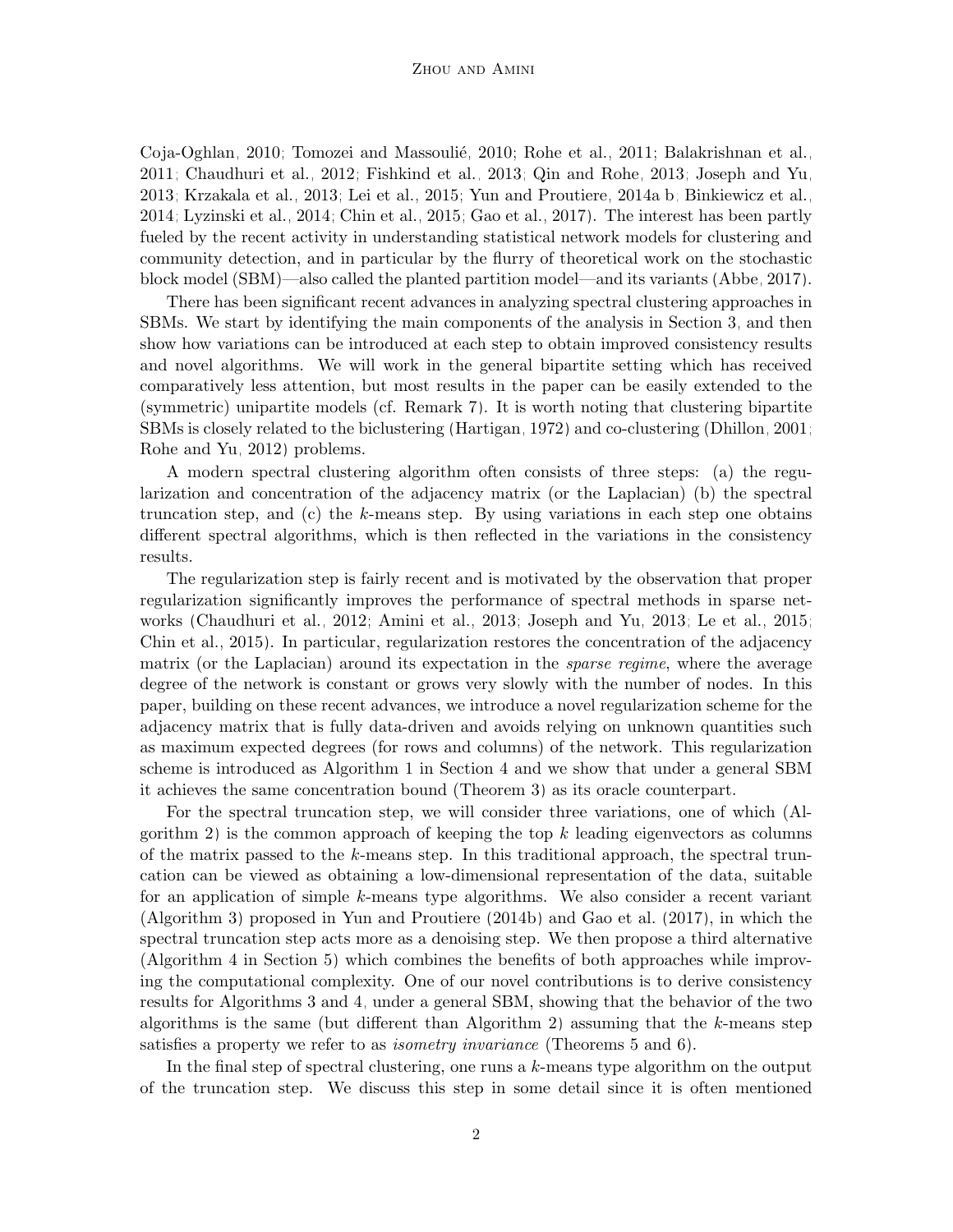[Coja-Oghlan, 2010;](#page-43-1) Tomozei and Massoulié, 2010; [Rohe et al., 2011;](#page-45-3) [Balakrishnan et al.,](#page-43-2) [2011;](#page-43-2) [Chaudhuri et al., 2012;](#page-43-3) [Fishkind et al., 2013;](#page-44-1) [Qin and Rohe, 2013;](#page-45-4) [Joseph and Yu,](#page-44-2) [2013;](#page-44-2) [Krzakala et al., 2013;](#page-44-3) [Lei et al., 2015;](#page-45-5) [Yun and Proutiere, 2014a,](#page-46-3)[b;](#page-46-4) [Binkiewicz et al.,](#page-43-4) [2014;](#page-43-4) [Lyzinski et al., 2014;](#page-45-6) [Chin et al., 2015;](#page-43-5) [Gao et al., 2017\)](#page-44-4). The interest has been partly fueled by the recent activity in understanding statistical network models for clustering and community detection, and in particular by the flurry of theoretical work on the stochastic block model (SBM)—also called the planted partition model—and its variants [\(Abbe, 2017\)](#page-42-0).

There has been significant recent advances in analyzing spectral clustering approaches in SBMs. We start by identifying the main components of the analysis in Section [3,](#page-6-0) and then show how variations can be introduced at each step to obtain improved consistency results and novel algorithms. We will work in the general bipartite setting which has received comparatively less attention, but most results in the paper can be easily extended to the (symmetric) unipartite models (cf. Remark [7\)](#page-10-0). It is worth noting that clustering bipartite SBMs is closely related to the biclustering [\(Hartigan, 1972\)](#page-44-5) and co-clustering [\(Dhillon, 2001;](#page-44-6) [Rohe and Yu, 2012\)](#page-45-7) problems.

A modern spectral clustering algorithm often consists of three steps: (a) the regularization and concentration of the adjacency matrix (or the Laplacian) (b) the spectral truncation step, and  $(c)$  the k-means step. By using variations in each step one obtains different spectral algorithms, which is then reflected in the variations in the consistency results.

The regularization step is fairly recent and is motivated by the observation that proper regularization significantly improves the performance of spectral methods in sparse networks [\(Chaudhuri et al., 2012;](#page-43-3) [Amini et al., 2013;](#page-43-6) [Joseph and Yu, 2013;](#page-44-2) [Le et al., 2015;](#page-45-8) [Chin et al., 2015\)](#page-43-5). In particular, regularization restores the concentration of the adjacency matrix (or the Laplacian) around its expectation in the *sparse regime*, where the average degree of the network is constant or grows very slowly with the number of nodes. In this paper, building on these recent advances, we introduce a novel regularization scheme for the adjacency matrix that is fully data-driven and avoids relying on unknown quantities such as maximum expected degrees (for rows and columns) of the network. This regularization scheme is introduced as Algorithm [1](#page-16-0) in Section [4](#page-14-0) and we show that under a general SBM it achieves the same concentration bound (Theorem [3\)](#page-16-1) as its oracle counterpart.

For the spectral truncation step, we will consider three variations, one of which (Al-gorithm [2\)](#page-18-0) is the common approach of keeping the top k leading eigenvectors as columns of the matrix passed to the  $k$ -means step. In this traditional approach, the spectral truncation can be viewed as obtaining a low-dimensional representation of the data, suitable for an application of simple k-means type algorithms. We also consider a recent variant (Algorithm [3\)](#page-18-1) proposed in [Yun and Proutiere](#page-46-4) [\(2014b\)](#page-46-4) and [Gao et al.](#page-44-4) [\(2017\)](#page-44-4), in which the spectral truncation step acts more as a denoising step. We then propose a third alternative (Algorithm [4](#page-22-0) in Section [5\)](#page-17-0) which combines the benefits of both approaches while improving the computational complexity. One of our novel contributions is to derive consistency results for Algorithms [3](#page-18-1) and [4,](#page-22-0) under a general SBM, showing that the behavior of the two algorithms is the same (but different than Algorithm [2\)](#page-18-0) assuming that the k-means step satisfies a property we refer to as *isometry invariance* (Theorems [5](#page-19-0) and [6\)](#page-22-1).

In the final step of spectral clustering, one runs a  $k$ -means type algorithm on the output of the truncation step. We discuss this step in some detail since it is often mentioned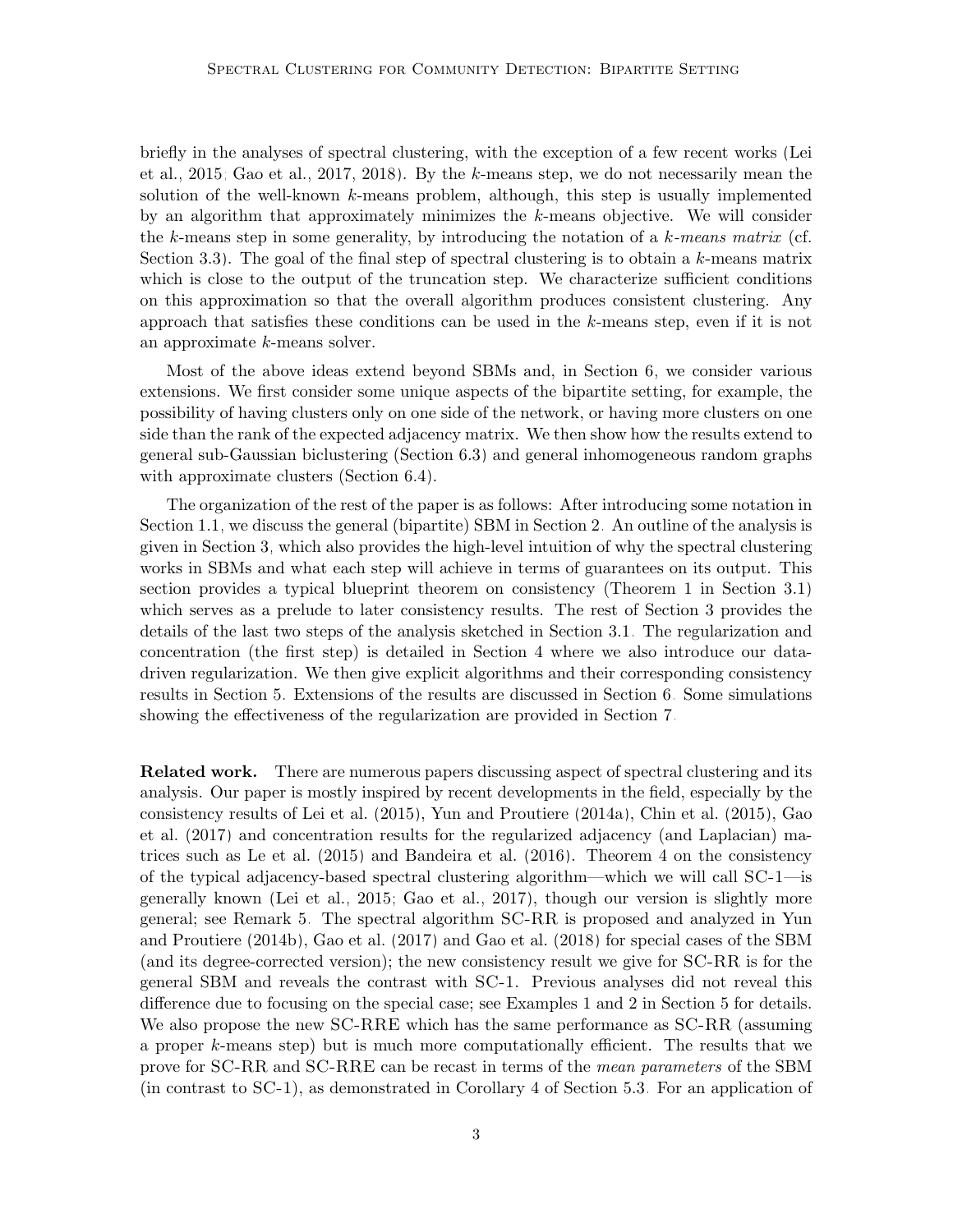briefly in the analyses of spectral clustering, with the exception of a few recent works [\(Lei](#page-45-5) [et al., 2015;](#page-45-5) [Gao et al., 2017,](#page-44-4) [2018\)](#page-44-7). By the k-means step, we do not necessarily mean the solution of the well-known  $k$ -means problem, although, this step is usually implemented by an algorithm that approximately minimizes the k-means objective. We will consider the k-means step in some generality, by introducing the notation of a k-means matrix (cf. Section [3.3\)](#page-11-0). The goal of the final step of spectral clustering is to obtain a  $k$ -means matrix which is close to the output of the truncation step. We characterize sufficient conditions on this approximation so that the overall algorithm produces consistent clustering. Any approach that satisfies these conditions can be used in the k-means step, even if it is not an approximate k-means solver.

Most of the above ideas extend beyond SBMs and, in Section [6,](#page-24-0) we consider various extensions. We first consider some unique aspects of the bipartite setting, for example, the possibility of having clusters only on one side of the network, or having more clusters on one side than the rank of the expected adjacency matrix. We then show how the results extend to general sub-Gaussian biclustering (Section [6.3\)](#page-25-0) and general inhomogeneous random graphs with approximate clusters (Section [6.4\)](#page-26-0).

The organization of the rest of the paper is as follows: After introducing some notation in Section [1.1,](#page-3-0) we discuss the general (bipartite) SBM in Section [2.](#page-3-1) An outline of the analysis is given in Section [3,](#page-6-0) which also provides the high-level intuition of why the spectral clustering works in SBMs and what each step will achieve in terms of guarantees on its output. This section provides a typical blueprint theorem on consistency (Theorem [1](#page-7-0) in Section [3.1\)](#page-6-1) which serves as a prelude to later consistency results. The rest of Section [3](#page-6-0) provides the details of the last two steps of the analysis sketched in Section [3.1.](#page-6-1) The regularization and concentration (the first step) is detailed in Section [4](#page-14-0) where we also introduce our datadriven regularization. We then give explicit algorithms and their corresponding consistency results in Section [5.](#page-17-0) Extensions of the results are discussed in Section [6.](#page-24-0) Some simulations showing the effectiveness of the regularization are provided in Section [7.](#page-29-0)

**Related work.** There are numerous papers discussing aspect of spectral clustering and its analysis. Our paper is mostly inspired by recent developments in the field, especially by the consistency results of [Lei et al.](#page-45-5) [\(2015\)](#page-45-5), [Yun and Proutiere](#page-46-3) [\(2014a\)](#page-46-3), [Chin et al.](#page-43-5) [\(2015\)](#page-43-5), [Gao](#page-44-4) [et al.](#page-44-4) [\(2017\)](#page-44-4) and concentration results for the regularized adjacency (and Laplacian) matrices such as [Le et al.](#page-45-8) [\(2015\)](#page-45-8) and [Bandeira et al.](#page-43-7) [\(2016\)](#page-43-7). Theorem [4](#page-17-1) on the consistency of the typical adjacency-based spectral clustering algorithm—which we will call SC-1—is generally known [\(Lei et al., 2015;](#page-45-5) [Gao et al., 2017\)](#page-44-4), though our version is slightly more general; see Remark [5.](#page-9-0) The spectral algorithm SC-RR is proposed and analyzed in [Yun](#page-46-4) [and Proutiere](#page-46-4) [\(2014b\)](#page-46-4), [Gao et al.](#page-44-4) [\(2017\)](#page-44-4) and [Gao et al.](#page-44-7) [\(2018\)](#page-44-7) for special cases of the SBM (and its degree-corrected version); the new consistency result we give for SC-RR is for the general SBM and reveals the contrast with SC-1. Previous analyses did not reveal this difference due to focusing on the special case; see Examples [1](#page-19-1) and [2](#page-20-0) in Section [5](#page-17-0) for details. We also propose the new SC-RRE which has the same performance as SC-RR (assuming a proper k-means step) but is much more computationally efficient. The results that we prove for SC-RR and SC-RRE can be recast in terms of the mean parameters of the SBM (in contrast to SC-1), as demonstrated in Corollary [4](#page-23-0) of Section [5.3.](#page-23-1) For an application of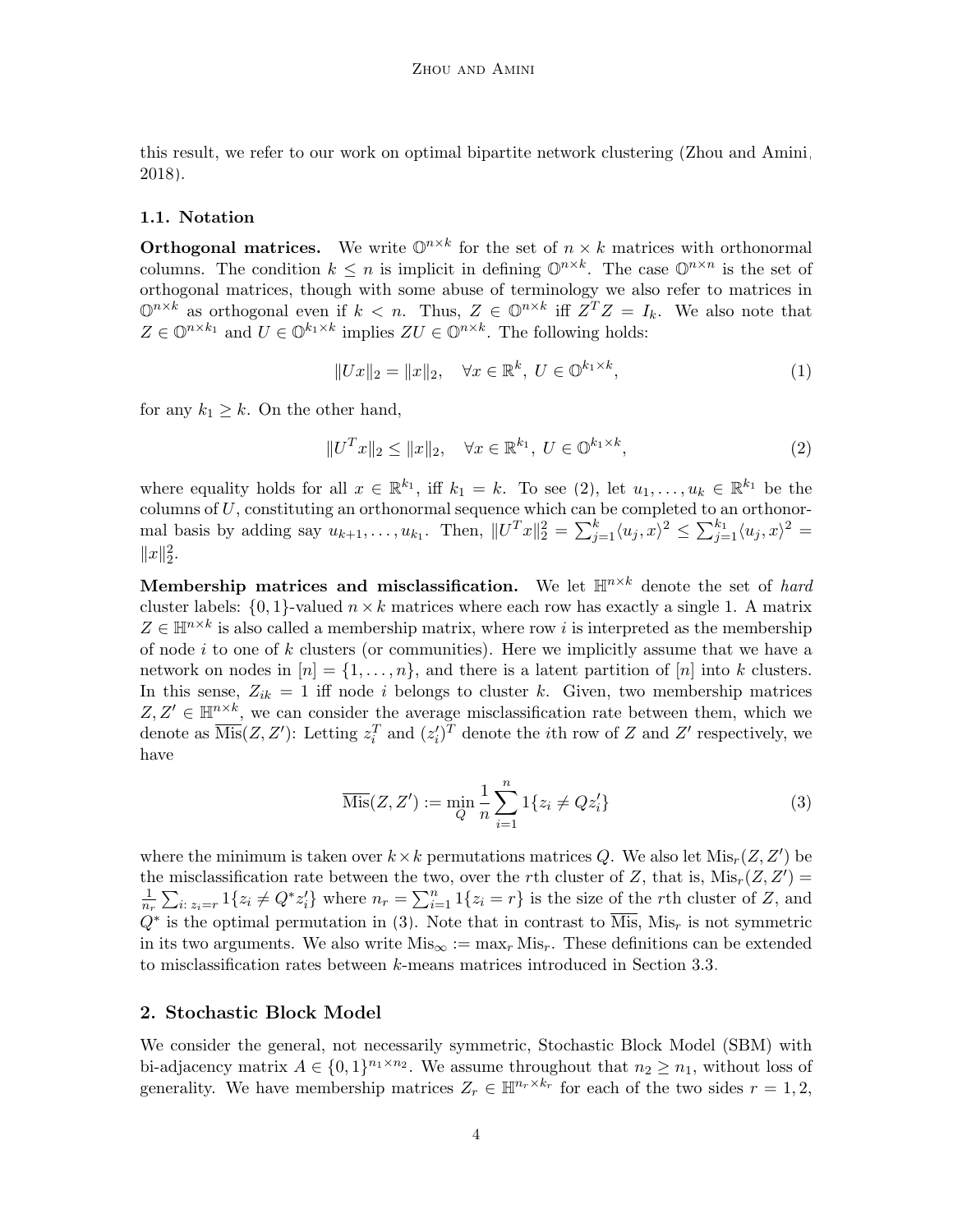this result, we refer to our work on optimal bipartite network clustering [\(Zhou and Amini,](#page-46-5) [2018\)](#page-46-5).

#### <span id="page-3-0"></span>1.1. Notation

**Orthogonal matrices.** We write  $\mathbb{O}^{n \times k}$  for the set of  $n \times k$  matrices with orthonormal columns. The condition  $k \leq n$  is implicit in defining  $\mathbb{O}^{n \times k}$ . The case  $\mathbb{O}^{n \times n}$  is the set of orthogonal matrices, though with some abuse of terminology we also refer to matrices in  $\mathbb{O}^{n\times k}$  as orthogonal even if  $k < n$ . Thus,  $Z \in \mathbb{O}^{n\times k}$  iff  $Z^T Z = I_k$ . We also note that  $Z \in \mathbb{O}^{n \times k_1}$  and  $U \in \mathbb{O}^{k_1 \times k}$  implies  $ZU \in \mathbb{O}^{n \times k}$ . The following holds:

<span id="page-3-4"></span><span id="page-3-2"></span>
$$
||Ux||_2 = ||x||_2, \quad \forall x \in \mathbb{R}^k, U \in \mathbb{O}^{k_1 \times k}, \tag{1}
$$

for any  $k_1 \geq k$ . On the other hand,

$$
||U^T x||_2 \le ||x||_2, \quad \forall x \in \mathbb{R}^{k_1}, \ U \in \mathbb{O}^{k_1 \times k}, \tag{2}
$$

where equality holds for all  $x \in \mathbb{R}^{k_1}$ , iff  $k_1 = k$ . To see [\(2\)](#page-3-2), let  $u_1, \ldots, u_k \in \mathbb{R}^{k_1}$  be the columns of  $U$ , constituting an orthonormal sequence which can be completed to an orthonormal basis by adding say  $u_{k+1}, \ldots, u_{k_1}$ . Then,  $||U^T x||_2^2 = \sum_{j=1}^k \langle u_j, x \rangle^2 \le \sum_{j=1}^{k_1} \langle u_j, x \rangle^2 =$  $||x||_2^2.$ 

Membership matrices and misclassification. We let  $\mathbb{H}^{n \times k}$  denote the set of *hard* cluster labels:  $\{0, 1\}$ -valued  $n \times k$  matrices where each row has exactly a single 1. A matrix  $Z \in \mathbb{H}^{n \times k}$  is also called a membership matrix, where row i is interpreted as the membership of node i to one of k clusters (or communities). Here we implicitly assume that we have a network on nodes in  $[n] = \{1, \ldots, n\}$ , and there is a latent partition of  $[n]$  into k clusters. In this sense,  $Z_{ik} = 1$  iff node i belongs to cluster k. Given, two membership matrices  $Z, Z' \in \mathbb{H}^{n \times k}$ , we can consider the average misclassification rate between them, which we denote as  $\overline{\text{ Mis}}(Z, Z')$ : Letting  $z_i^T$  and  $(z_i')^T$  denote the *i*th row of Z and Z' respectively, we have

<span id="page-3-3"></span>
$$
\overline{\text{ Mis}}(Z, Z') := \min_{Q} \frac{1}{n} \sum_{i=1}^{n} 1\{z_i \neq Q z'_i\}
$$
\n(3)

where the minimum is taken over  $k \times k$  permutations matrices Q. We also let  $\text{Mis}_r(Z, Z')$  be the misclassification rate between the two, over the rth cluster of Z, that is,  $\text{Mis}_r(Z, Z') =$ 1  $\frac{1}{n_r}\sum_{i:\,z_i=r}1\{z_i\neq Q^*z'_i\}$  where  $n_r=\sum_{i=1}^n1\{z_i=r\}$  is the size of the rth cluster of Z, and  $Q^*$  is the optimal permutation in [\(3\)](#page-3-3). Note that in contrast to  $\overline{\text{ Mis}}$ , Mis<sub>r</sub> is not symmetric in its two arguments. We also write  $\text{Mis}_{\infty} := \max_{r} \text{Mis}_{r}$ . These definitions can be extended to misclassification rates between k-means matrices introduced in Section [3.3.](#page-11-0)

# <span id="page-3-1"></span>2. Stochastic Block Model

We consider the general, not necessarily symmetric, Stochastic Block Model (SBM) with bi-adjacency matrix  $A \in \{0,1\}^{n_1 \times n_2}$ . We assume throughout that  $n_2 \geq n_1$ , without loss of generality. We have membership matrices  $Z_r \in \mathbb{H}^{n_r \times k_r}$  for each of the two sides  $r = 1, 2,$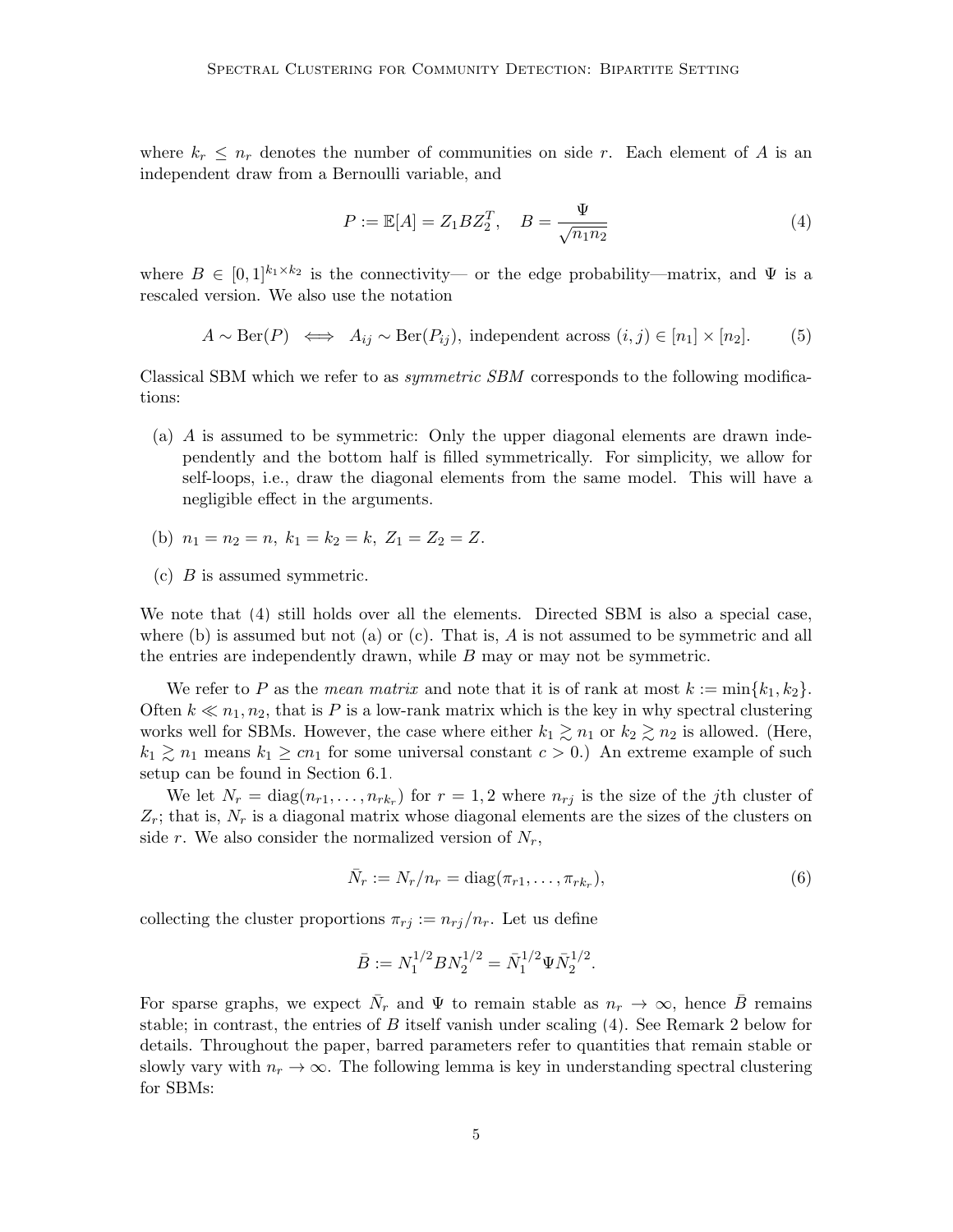where  $k_r \leq n_r$  denotes the number of communities on side r. Each element of A is an independent draw from a Bernoulli variable, and

<span id="page-4-2"></span><span id="page-4-0"></span>
$$
P := \mathbb{E}[A] = Z_1 B Z_2^T, \quad B = \frac{\Psi}{\sqrt{n_1 n_2}} \tag{4}
$$

where  $B \in [0,1]^{k_1 \times k_2}$  is the connectivity— or the edge probability—matrix, and  $\Psi$  is a rescaled version. We also use the notation

$$
A \sim \text{Ber}(P) \iff A_{ij} \sim \text{Ber}(P_{ij}), \text{ independent across } (i, j) \in [n_1] \times [n_2].
$$
 (5)

Classical SBM which we refer to as *symmetric SBM* corresponds to the following modifications:

- (a) A is assumed to be symmetric: Only the upper diagonal elements are drawn independently and the bottom half is filled symmetrically. For simplicity, we allow for self-loops, i.e., draw the diagonal elements from the same model. This will have a negligible effect in the arguments.
- (b)  $n_1 = n_2 = n, k_1 = k_2 = k, Z_1 = Z_2 = Z$ .
- $(c)$  B is assumed symmetric.

We note that [\(4\)](#page-4-0) still holds over all the elements. Directed SBM is also a special case, where (b) is assumed but not (a) or (c). That is,  $A$  is not assumed to be symmetric and all the entries are independently drawn, while  $B$  may or may not be symmetric.

We refer to P as the *mean matrix* and note that it is of rank at most  $k := min\{k_1, k_2\}$ . Often  $k \ll n_1, n_2$ , that is P is a low-rank matrix which is the key in why spectral clustering works well for SBMs. However, the case where either  $k_1 \gtrsim n_1$  or  $k_2 \gtrsim n_2$  is allowed. (Here,  $k_1 \gtrsim n_1$  means  $k_1 \geq cn_1$  for some universal constant  $c > 0$ .) An extreme example of such setup can be found in Section [6.1.](#page-24-1)

We let  $N_r = \text{diag}(n_{r1},...,n_{rk_r})$  for  $r = 1,2$  where  $n_{rj}$  is the size of the jth cluster of  $Z_r$ ; that is,  $N_r$  is a diagonal matrix whose diagonal elements are the sizes of the clusters on side r. We also consider the normalized version of  $N_r$ ,

$$
\bar{N}_r := N_r/n_r = \text{diag}(\pi_{r1}, \dots, \pi_{rk_r}),\tag{6}
$$

collecting the cluster proportions  $\pi_{rj} := n_{rj}/n_r$ . Let us define

$$
\bar{B} := N_1^{1/2} B N_2^{1/2} = \bar{N}_1^{1/2} \Psi \bar{N}_2^{1/2}.
$$

<span id="page-4-1"></span>For sparse graphs, we expect  $\bar{N}_r$  and  $\Psi$  to remain stable as  $n_r \to \infty$ , hence  $\bar{B}$  remains stable; in contrast, the entries of B itself vanish under scaling [\(4\)](#page-4-0). See Remark [2](#page-5-0) below for details. Throughout the paper, barred parameters refer to quantities that remain stable or slowly vary with  $n_r \to \infty$ . The following lemma is key in understanding spectral clustering for SBMs: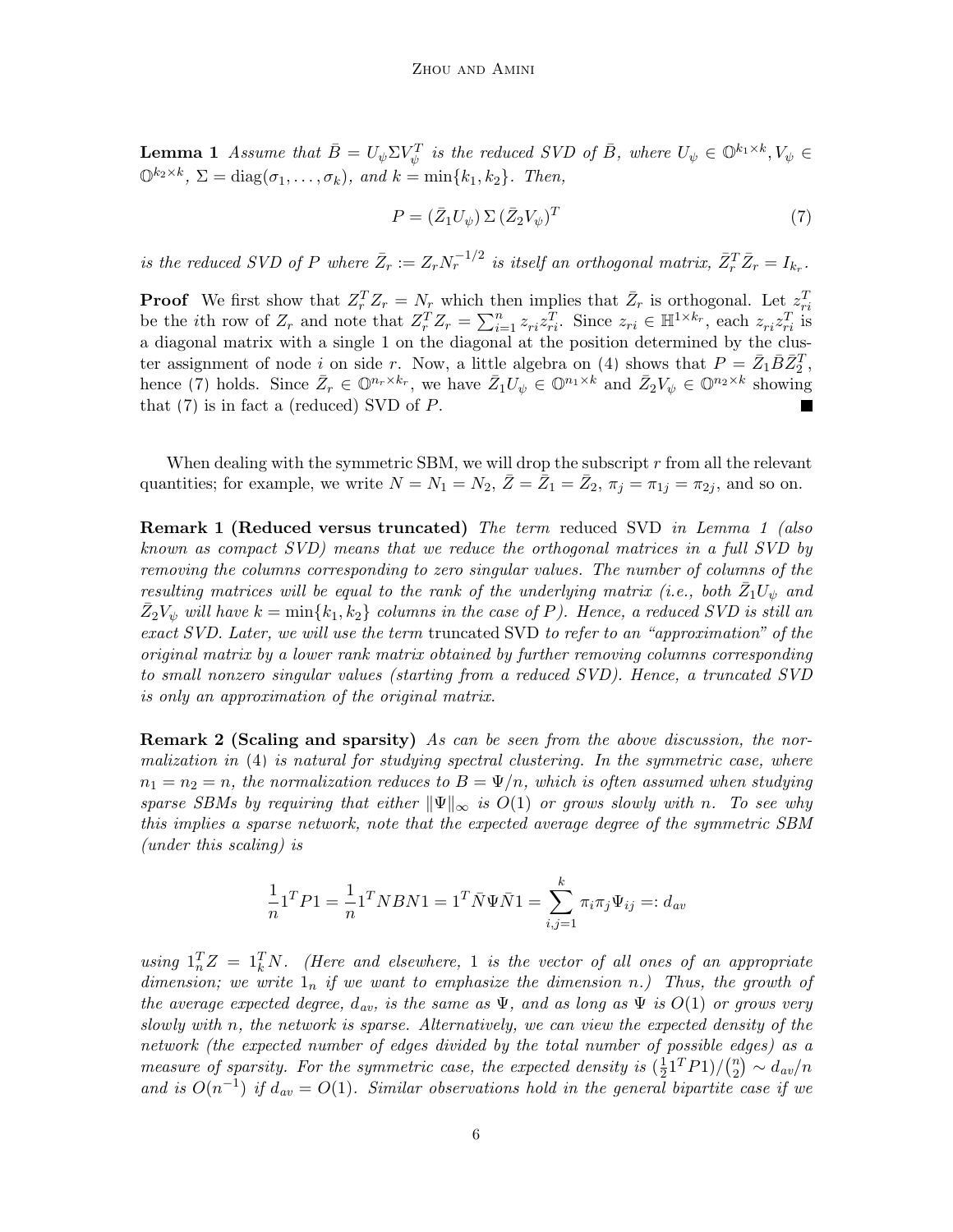**Lemma 1** Assume that  $\bar{B} = U_{\psi} \Sigma V_{\psi}^T$  is the reduced SVD of  $\bar{B}$ , where  $U_{\psi} \in \mathbb{O}^{k_1 \times k}$ ,  $V_{\psi} \in$  $\mathbb{O}^{k_2 \times k}$ ,  $\Sigma = \text{diag}(\sigma_1, \ldots, \sigma_k)$ , and  $k = \min\{k_1, k_2\}$ . Then,

<span id="page-5-1"></span>
$$
P = (\bar{Z}_1 U_\psi) \Sigma (\bar{Z}_2 V_\psi)^T
$$
\n<sup>(7)</sup>

is the reduced SVD of P where  $\bar{Z}_r := Z_r N_r^{-1/2}$  is itself an orthogonal matrix,  $\bar{Z}_r^T \bar{Z}_r = I_{k_r}$ .

**Proof** We first show that  $Z_r^T Z_r = N_r$  which then implies that  $\bar{Z}_r$  is orthogonal. Let  $z_{ri}^T$ be the *i*th row of  $Z_r$  and note that  $Z_r^T Z_r = \sum_{i=1}^n z_{ri} z_{ri}^T$ . Since  $z_{ri} \in \mathbb{H}^{1 \times k_r}$ , each  $z_{ri} z_{ri}^T$  is a diagonal matrix with a single 1 on the diagonal at the position determined by the cluster assignment of node *i* on side *r*. Now, a little algebra on [\(4\)](#page-4-0) shows that  $P = \bar{Z}_1 \bar{B} \bar{Z}_2^T$ , hence [\(7\)](#page-5-1) holds. Since  $\bar{Z}_r \in \mathbb{O}^{n_r \times k_r}$ , we have  $\bar{Z}_1 U_{\psi} \in \mathbb{O}^{n_1 \times k}$  and  $\bar{Z}_2 V_{\psi} \in \mathbb{O}^{n_2 \times k}$  showing that  $(7)$  is in fact a (reduced) SVD of P.

When dealing with the symmetric SBM, we will drop the subscript  $r$  from all the relevant quantities; for example, we write  $N = N_1 = N_2$ ,  $\bar{Z} = \bar{Z}_1 = \bar{Z}_2$ ,  $\pi_j = \pi_{1j} = \pi_{2j}$ , and so on.

**Remark [1](#page-4-1) (Reduced versus truncated)** The term reduced SVD in Lemma 1 (also known as compact SVD) means that we reduce the orthogonal matrices in a full SVD by removing the columns corresponding to zero singular values. The number of columns of the resulting matrices will be equal to the rank of the underlying matrix (i.e., both  $\bar{Z}_1 U_{\psi}$  and  $\bar{Z}_2 V_{\psi}$  will have  $k = \min\{k_1, k_2\}$  columns in the case of P). Hence, a reduced SVD is still an exact SVD. Later, we will use the term truncated SVD to refer to an "approximation" of the original matrix by a lower rank matrix obtained by further removing columns corresponding to small nonzero singular values (starting from a reduced SVD). Hence, a truncated SVD is only an approximation of the original matrix.

<span id="page-5-0"></span>**Remark 2 (Scaling and sparsity)** As can be seen from the above discussion, the nor-malization in [\(4\)](#page-4-0) is natural for studying spectral clustering. In the symmetric case, where  $n_1 = n_2 = n$ , the normalization reduces to  $B = \Psi/n$ , which is often assumed when studying sparse SBMs by requiring that either  $\|\Psi\|_{\infty}$  is  $O(1)$  or grows slowly with n. To see why this implies a sparse network, note that the expected average degree of the symmetric SBM (under this scaling) is

$$
\frac{1}{n}1^T P 1 = \frac{1}{n}1^T N B N 1 = 1^T \bar{N} \Psi \bar{N} 1 = \sum_{i,j=1}^k \pi_i \pi_j \Psi_{ij} =: d_{av}
$$

using  $1_n^T Z = 1_k^T N$ . (Here and elsewhere, 1 is the vector of all ones of an appropriate dimension; we write  $1_n$  if we want to emphasize the dimension n.) Thus, the growth of the average expected degree,  $d_{av}$ , is the same as  $\Psi$ , and as long as  $\Psi$  is  $O(1)$  or grows very slowly with n, the network is sparse. Alternatively, we can view the expected density of the network (the expected number of edges divided by the total number of possible edges) as a measure of sparsity. For the symmetric case, the expected density is  $(\frac{1}{2})$  $\frac{1}{2} 1^T P 1$ / $\binom{n}{2}$  $\binom{n}{2} \sim d_{av}/n$ and is  $O(n^{-1})$  if  $d_{av} = O(1)$ . Similar observations hold in the general bipartite case if we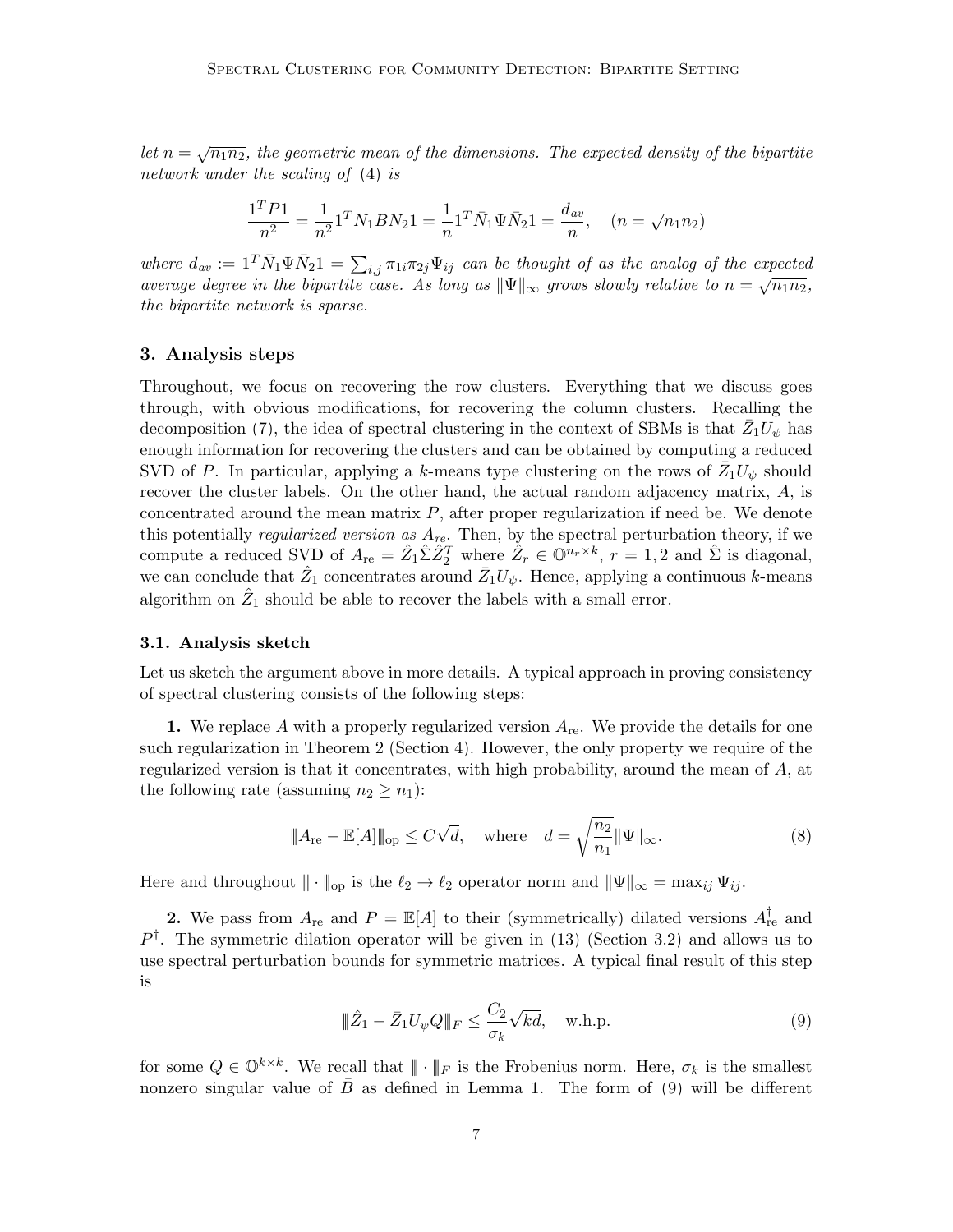let  $n = \sqrt{n_1 n_2}$ , the geometric mean of the dimensions. The expected density of the bipartite network under the scaling of [\(4\)](#page-4-0) is

$$
\frac{1^T P1}{n^2} = \frac{1}{n^2} 1^T N_1 B N_2 1 = \frac{1}{n} 1^T \bar{N}_1 \Psi \bar{N}_2 1 = \frac{d_{av}}{n}, \quad (n = \sqrt{n_1 n_2})
$$

where  $d_{av} := 1^T \bar{N}_1 \Psi \bar{N}_2 1 = \sum_{i,j} \pi_{1i} \pi_{2j} \Psi_{ij}$  can be thought of as the analog of the expected average degree in the bipartite case. As long as  $\|\Psi\|_{\infty}$  grows slowly relative to  $n = \sqrt{n_1 n_2}$ , the bipartite network is sparse.

# <span id="page-6-0"></span>3. Analysis steps

Throughout, we focus on recovering the row clusters. Everything that we discuss goes through, with obvious modifications, for recovering the column clusters. Recalling the decomposition [\(7\)](#page-5-1), the idea of spectral clustering in the context of SBMs is that  $\bar{Z}_1 U_{\psi}$  has enough information for recovering the clusters and can be obtained by computing a reduced SVD of P. In particular, applying a k-means type clustering on the rows of  $\bar{Z_1}U_{\psi}$  should recover the cluster labels. On the other hand, the actual random adjacency matrix, A, is concentrated around the mean matrix  $P$ , after proper regularization if need be. We denote this potentially *regularized version as*  $A_{re}$ . Then, by the spectral perturbation theory, if we compute a reduced SVD of  $A_{\text{re}} = \hat{Z}_1 \hat{\Sigma} \hat{Z}_2^T$  where  $\hat{Z}_r \in \mathbb{O}^{n_r \times k}$ ,  $r = 1, 2$  and  $\hat{\Sigma}$  is diagonal, we can conclude that  $\hat{Z}_1$  concentrates around  $\bar{Z}_1 U_{\psi}$ . Hence, applying a continuous k-means algorithm on  $\hat{Z}_1$  should be able to recover the labels with a small error.

#### <span id="page-6-1"></span>3.1. Analysis sketch

Let us sketch the argument above in more details. A typical approach in proving consistency of spectral clustering consists of the following steps:

1. We replace A with a properly regularized version  $A_{\text{re}}$ . We provide the details for one such regularization in Theorem [2](#page-14-1) (Section [4\)](#page-14-0). However, the only property we require of the regularized version is that it concentrates, with high probability, around the mean of A, at the following rate (assuming  $n_2 \geq n_1$ ):

$$
\|A_{\text{re}} - \mathbb{E}[A]\|_{\text{op}} \le C\sqrt{d}, \quad \text{where} \quad d = \sqrt{\frac{n_2}{n_1}} \|\Psi\|_{\infty}.
$$
 (8)

Here and throughout  $\|\cdot\|_{\text{op}}$  is the  $\ell_2 \to \ell_2$  operator norm and  $\|\Psi\|_{\infty} = \max_{ij} \Psi_{ij}$ .

2. We pass from  $A_{\text{re}}$  and  $P = \mathbb{E}[A]$  to their (symmetrically) dilated versions  $A_{\text{re}}^{\dagger}$  and  $P^{\dagger}$ . The symmetric dilation operator will be given in [\(13\)](#page-9-1) (Section [3.2\)](#page-9-2) and allows us to use spectral perturbation bounds for symmetric matrices. A typical final result of this step is

<span id="page-6-3"></span><span id="page-6-2"></span>
$$
\|\hat{Z}_1 - \bar{Z}_1 U_{\psi} Q\|_F \le \frac{C_2}{\sigma_k} \sqrt{kd}, \quad \text{w.h.p.}
$$
 (9)

for some  $Q \in \mathbb{O}^{k \times k}$ . We recall that  $\|\cdot\|_F$  is the Frobenius norm. Here,  $\sigma_k$  is the smallest nonzero singular value of  $\bar{B}$  as defined in Lemma [1.](#page-4-1) The form of [\(9\)](#page-6-2) will be different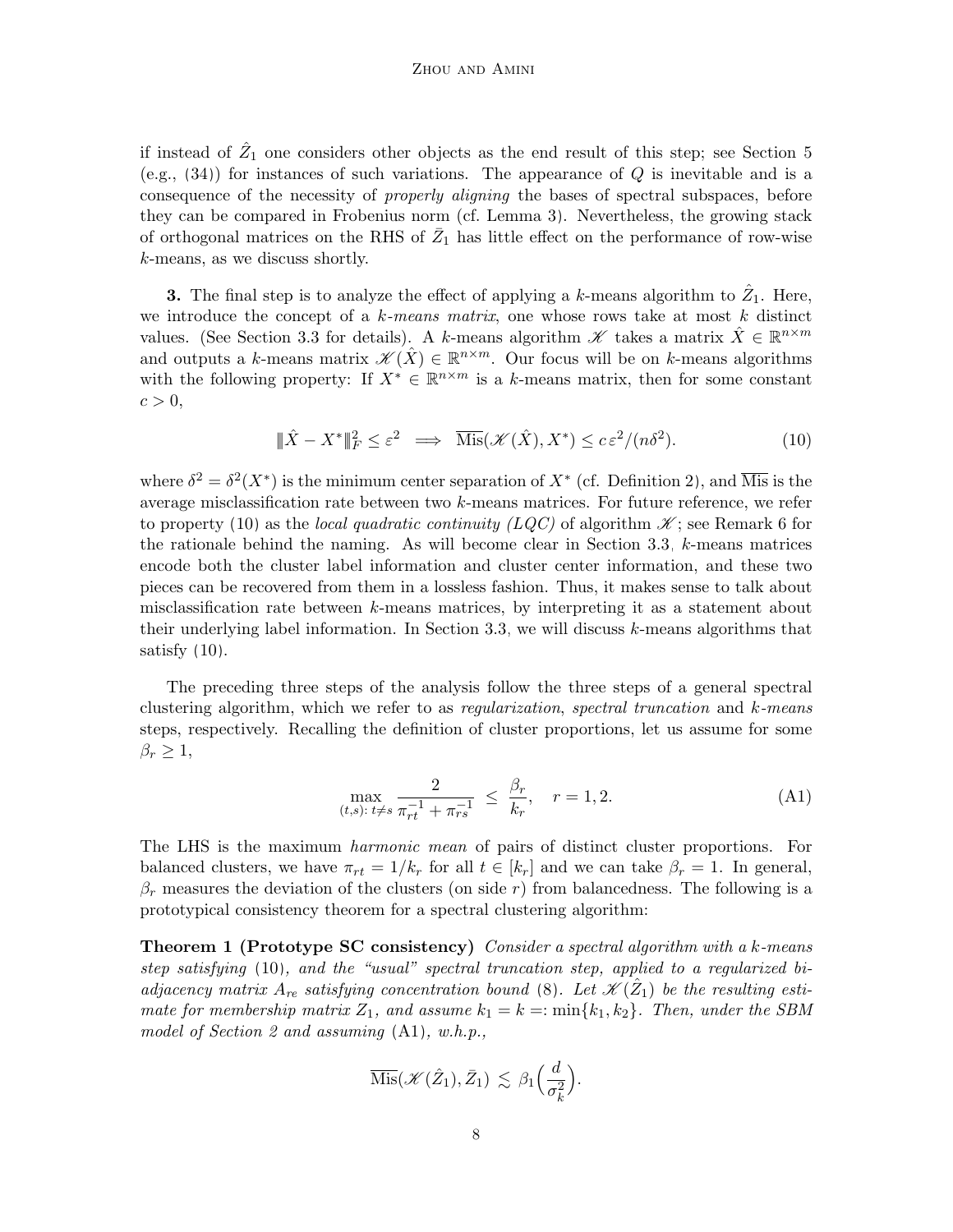if instead of  $\hat{Z}_1$  one considers other objects as the end result of this step; see Section [5](#page-17-0) (e.g.,  $(34)$ ) for instances of such variations. The appearance of Q is inevitable and is a consequence of the necessity of properly aligning the bases of spectral subspaces, before they can be compared in Frobenius norm (cf. Lemma [3\)](#page-10-1). Nevertheless, the growing stack of orthogonal matrices on the RHS of  $\bar{Z}_1$  has little effect on the performance of row-wise k-means, as we discuss shortly.

**3.** The final step is to analyze the effect of applying a k-means algorithm to  $\hat{Z}_1$ . Here, we introduce the concept of a  $k$ -means matrix, one whose rows take at most  $k$  distinct values. (See Section [3.3](#page-11-0) for details). A k-means algorithm  $\mathscr K$  takes a matrix  $\hat X \in \mathbb R^{n \times m}$ and outputs a k-means matrix  $\mathscr{K}(\hat{X}) \in \mathbb{R}^{n \times m}$ . Our focus will be on k-means algorithms with the following property: If  $X^* \in \mathbb{R}^{n \times m}$  is a k-means matrix, then for some constant  $c > 0$ ,

<span id="page-7-1"></span>
$$
\|\hat{X} - X^*\|_F^2 \le \varepsilon^2 \implies \overline{\text{ Mis}}(\mathcal{K}(\hat{X}), X^*) \le c\,\varepsilon^2/(n\delta^2). \tag{10}
$$

where  $\delta^2 = \delta^2(X^*)$  is the minimum center separation of  $X^*$  (cf. Definition [2\)](#page-12-0), and  $\overline{\text{ Mis}}$  is the average misclassification rate between two k-means matrices. For future reference, we refer to property [\(10\)](#page-7-1) as the *local quadratic continuity (LQC)* of algorithm  $\mathscr{K}$ ; see Remark [6](#page-9-3) for the rationale behind the naming. As will become clear in Section [3.3,](#page-11-0) k-means matrices encode both the cluster label information and cluster center information, and these two pieces can be recovered from them in a lossless fashion. Thus, it makes sense to talk about misclassification rate between k-means matrices, by interpreting it as a statement about their underlying label information. In Section [3.3,](#page-11-0) we will discuss k-means algorithms that satisfy [\(10\)](#page-7-1).

The preceding three steps of the analysis follow the three steps of a general spectral clustering algorithm, which we refer to as regularization, spectral truncation and k-means steps, respectively. Recalling the definition of cluster proportions, let us assume for some  $\beta_r \geq 1$ ,

$$
\max_{(t,s):\ t \neq s} \frac{2}{\pi_{rt}^{-1} + \pi_{rs}^{-1}} \le \frac{\beta_r}{k_r}, \quad r = 1, 2. \tag{A1}
$$

The LHS is the maximum harmonic mean of pairs of distinct cluster proportions. For balanced clusters, we have  $\pi_{rt} = 1/k_r$  for all  $t \in [k_r]$  and we can take  $\beta_r = 1$ . In general,  $\beta_r$  measures the deviation of the clusters (on side r) from balancedness. The following is a prototypical consistency theorem for a spectral clustering algorithm:

**Theorem 1 (Prototype SC consistency)** Consider a spectral algorithm with a k-means step satisfying [\(10\)](#page-7-1), and the "usual" spectral truncation step, applied to a regularized biadjacency matrix  $A_{re}$  satisfying concentration bound [\(8\)](#page-6-3). Let  $\mathscr{K}(\hat{Z}_1)$  be the resulting estimate for membership matrix  $Z_1$ , and assume  $k_1 = k =: \min\{k_1, k_2\}$ . Then, under the SBM model of Section [2](#page-3-1) and assuming [\(A1\)](#page-7-1), w.h.p.,

<span id="page-7-0"></span>
$$
\overline{\mathrm{Mis}}(\mathscr{K}(\hat{Z}_1), \bar{Z}_1) \lesssim \beta_1 \Big(\frac{d}{\sigma_k^2}\Big).
$$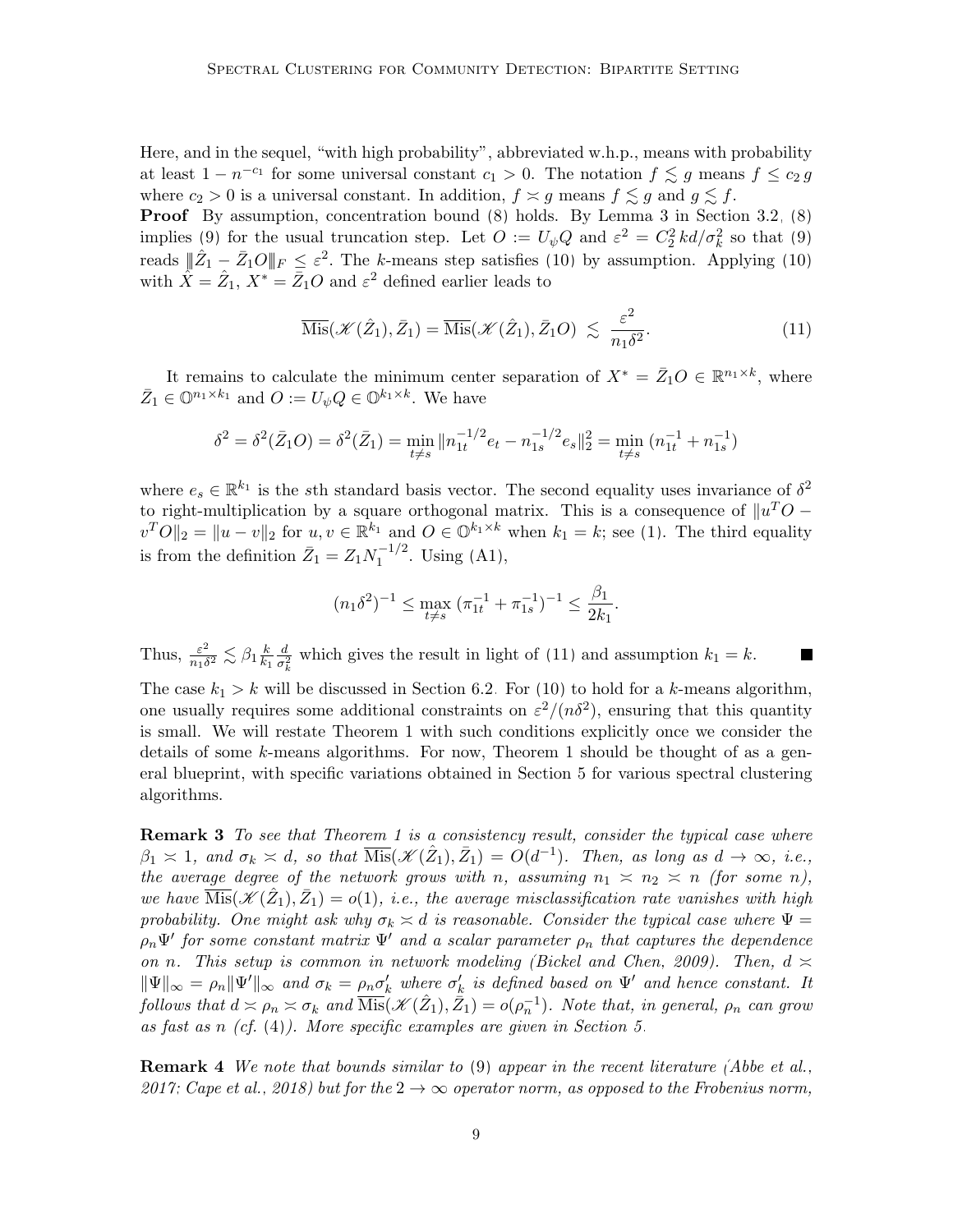Here, and in the sequel, "with high probability", abbreviated w.h.p., means with probability at least  $1 - n^{-c_1}$  for some universal constant  $c_1 > 0$ . The notation  $f \lesssim g$  means  $f \leq c_2 g$ where  $c_2 > 0$  is a universal constant. In addition,  $f \approx g$  means  $f \lesssim g$  and  $g \lesssim f$ .

Proof By assumption, concentration bound [\(8\)](#page-6-3) holds. By Lemma [3](#page-10-1) in Section [3.2,](#page-9-2) [\(8\)](#page-6-3) implies [\(9\)](#page-6-2) for the usual truncation step. Let  $O := U_{\psi}Q$  and  $\varepsilon^2 = C_2^2 k d/\sigma_k^2$  so that (9) reads  $||\hat{Z}_1 - \bar{Z}_1 O||_F \leq \varepsilon^2$ . The k-means step satisfies [\(10\)](#page-7-1) by assumption. Applying (10) with  $\hat{X} = \hat{Z}_1, X^* = \bar{Z}_1 O$  and  $\varepsilon^2$  defined earlier leads to

<span id="page-8-0"></span>
$$
\overline{\mathrm{Mis}}(\mathcal{K}(\hat{Z}_1), \bar{Z}_1) = \overline{\mathrm{Mis}}(\mathcal{K}(\hat{Z}_1), \bar{Z}_1 O) \leq \frac{\varepsilon^2}{n_1 \delta^2}.
$$
\n(11)

It remains to calculate the minimum center separation of  $X^* = \bar{Z}_1 O \in \mathbb{R}^{n_1 \times k}$ , where  $\bar{Z}_1 \in \mathbb{O}^{n_1 \times k_1}$  and  $O := U_{\psi} Q \in \mathbb{O}^{k_1 \times k}$ . We have

$$
\delta^2 = \delta^2(\bar{Z}_1O) = \delta^2(\bar{Z}_1) = \min_{t \neq s} ||n_{1t}^{-1/2}e_t - n_{1s}^{-1/2}e_s||_2^2 = \min_{t \neq s} (n_{1t}^{-1} + n_{1s}^{-1})
$$

where  $e_s \in \mathbb{R}^{k_1}$  is the sth standard basis vector. The second equality uses invariance of  $\delta^2$ to right-multiplication by a square orthogonal matrix. This is a consequence of  $\|u^T O$  $v^T O \|_2 = \| u - v \|_2$  for  $u, v \in \mathbb{R}^{k_1}$  and  $O \in \mathbb{O}^{k_1 \times k}$  when  $k_1 = k$ ; see [\(1\)](#page-3-4). The third equality is from the definition  $\bar{Z}_1 = Z_1 N_1^{-1/2}$  $1^{-1/2}$ . Using  $(A1)$ ,

$$
(n_1\delta^2)^{-1}\leq \max_{t\neq s}~(\pi_{1t}^{-1}+\pi_{1s}^{-1})^{-1}\leq \frac{\beta_1}{2k_1}.
$$

Thus,  $\frac{\varepsilon^2}{n+\delta}$  $\frac{\varepsilon^2}{n_1\delta^2}\lesssim \beta_1\frac{k}{k_1}$ d  $\frac{d}{\sigma_k^2}$  which gives the result in light of [\(11\)](#page-8-0) and assumption  $k_1 = k$ . **The Second Service**  $_{k_1}$ The case  $k_1 > k$  will be discussed in Section [6.2.](#page-24-2) For [\(10\)](#page-7-1) to hold for a k-means algorithm, one usually requires some additional constraints on  $\varepsilon^2/(n\delta^2)$ , ensuring that this quantity is small. We will restate Theorem [1](#page-7-0) with such conditions explicitly once we consider the details of some  $k$ -means algorithms. For now, Theorem [1](#page-7-0) should be thought of as a general blueprint, with specific variations obtained in Section [5](#page-17-0) for various spectral clustering

<span id="page-8-1"></span>algorithms.

**Remark 3** To see that Theorem [1](#page-7-0) is a consistency result, consider the typical case where  $\beta_1 \approx 1$ , and  $\sigma_k \approx d$ , so that  $\overline{\text{ Mis}}(\mathscr{K}(\hat{Z}_1), \bar{Z}_1) = O(d^{-1})$ . Then, as long as  $d \to \infty$ , i.e., the average degree of the network grows with n, assuming  $n_1 \n\times n_2 \n\times n$  (for some n), we have  $\overline{\text{ Mis}}(\mathcal{K}(\hat{Z}_1), \bar{Z}_1) = o(1)$ , i.e., the average misclassification rate vanishes with high probability. One might ask why  $\sigma_k \leq d$  is reasonable. Consider the typical case where  $\Psi =$  $\rho_n \Psi'$  for some constant matrix  $\Psi'$  and a scalar parameter  $\rho_n$  that captures the dependence on n. This setup is common in network modeling [\(Bickel and Chen, 2009\)](#page-43-8). Then,  $d \approx$  $\|\Psi\|_{\infty} = \rho_n \|\Psi'\|_{\infty}$  and  $\sigma_k = \rho_n \sigma'_k$  where  $\sigma'_k$  is defined based on  $\Psi'$  and hence constant. It follows that  $d \asymp \rho_n \asymp \sigma_k$  and  $\overline{\text{ Mis}}(\mathscr{K}(\hat{Z}_1), \bar{Z}_1) = o(\rho_n^{-1})$ . Note that, in general,  $\rho_n$  can grow as fast as  $n$  (cf. [\(4\)](#page-4-0)). More specific examples are given in Section [5.](#page-17-0)

Remark 4 We note that bounds similar to [\(9\)](#page-6-2) appear in the recent literature [\(Abbe et al.,](#page-42-1) [2017;](#page-42-1) [Cape et al., 2018\)](#page-43-9) but for the  $2 \rightarrow \infty$  operator norm, as opposed to the Frobenius norm,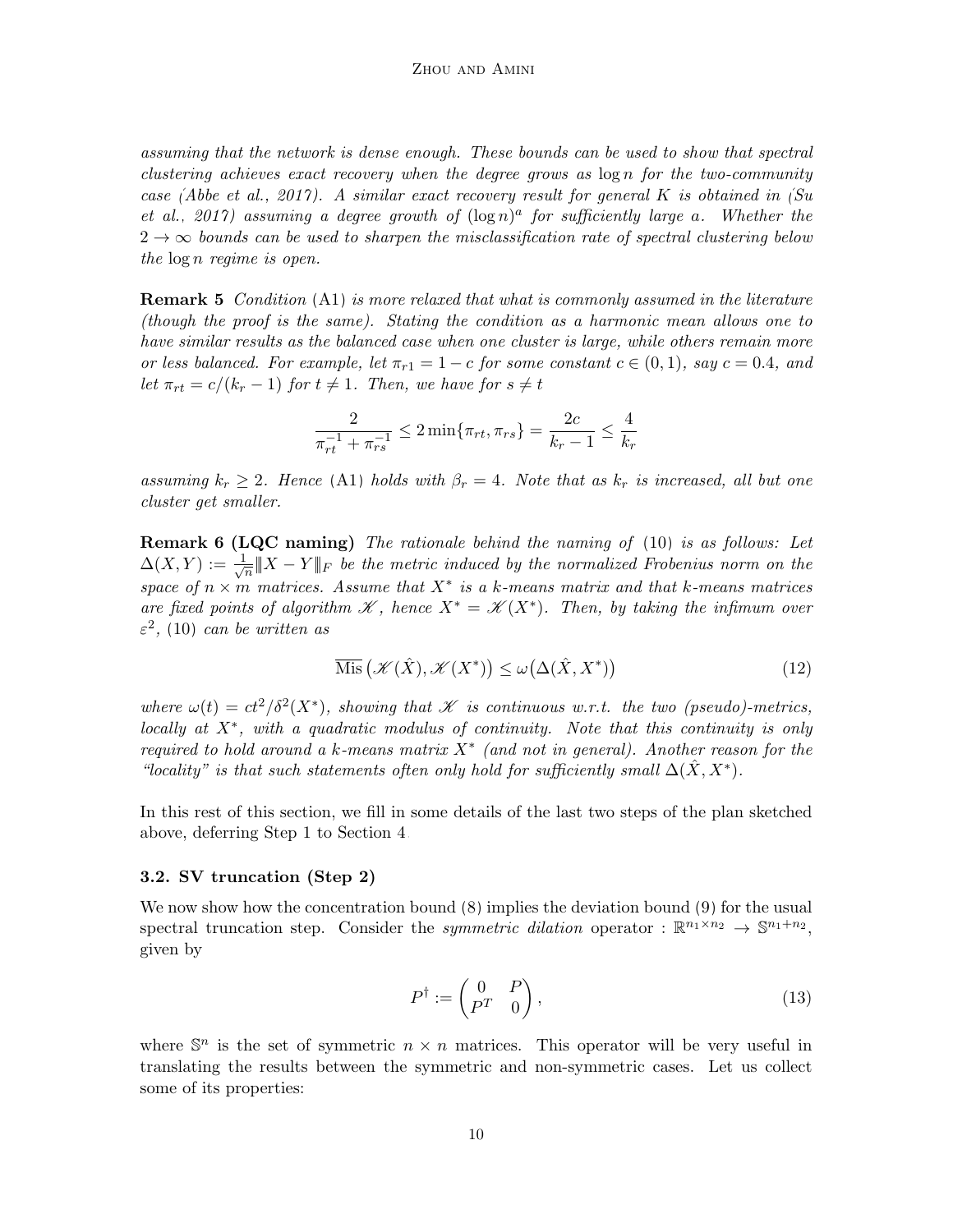assuming that the network is dense enough. These bounds can be used to show that spectral clustering achieves exact recovery when the degree grows as  $\log n$  for the two-community case [\(Abbe et al., 2017\)](#page-42-1). A similar exact recovery result for general K is obtained in [\(Su](#page-45-9) [et al., 2017\)](#page-45-9) assuming a degree growth of  $(\log n)^a$  for sufficiently large a. Whether the  $2 \rightarrow \infty$  bounds can be used to sharpen the misclassification rate of spectral clustering below the log n regime is open.

<span id="page-9-0"></span>**Remark 5** Condition [\(A1\)](#page-7-1) is more relaxed that what is commonly assumed in the literature (though the proof is the same). Stating the condition as a harmonic mean allows one to have similar results as the balanced case when one cluster is large, while others remain more or less balanced. For example, let  $\pi_{r1} = 1 - c$  for some constant  $c \in (0, 1)$ , say  $c = 0.4$ , and let  $\pi_{rt} = c/(k_r - 1)$  for  $t \neq 1$ . Then, we have for  $s \neq t$ 

$$
\frac{2}{\pi_{rt}^{-1} + \pi_{rs}^{-1}} \le 2 \min\{\pi_{rt}, \pi_{rs}\} = \frac{2c}{k_r - 1} \le \frac{4}{k_r}
$$

assuming  $k_r \geq 2$ . Hence [\(A1\)](#page-7-1) holds with  $\beta_r = 4$ . Note that as  $k_r$  is increased, all but one cluster get smaller.

<span id="page-9-3"></span>**Remark 6 (LQC naming)** The rationale behind the naming of  $(10)$  is as follows: Let  $\Delta(X,Y) := \frac{1}{\sqrt{2}}$  $\frac{1}{2\pi}|\!|\!| X - Y |\!|\!|_F$  be the metric induced by the normalized Frobenius norm on the space of  $n \times m$  matrices. Assume that  $X^*$  is a k-means matrix and that k-means matrices are fixed points of algorithm  $\mathscr K$ , hence  $X^* = \mathscr K(X^*)$ . Then, by taking the infimum over  $\varepsilon^2$ , [\(10\)](#page-7-1) can be written as

$$
\overline{\text{ Mis}}\left(\mathcal{K}(\hat{X}), \mathcal{K}(X^*)\right) \le \omega\big(\Delta(\hat{X}, X^*)\big) \tag{12}
$$

where  $\omega(t) = ct^2/\delta^2(X^*)$ , showing that X is continuous w.r.t. the two (pseudo)-metrics, locally at X<sup>\*</sup>, with a quadratic modulus of continuity. Note that this continuity is only required to hold around a k-means matrix  $X^*$  (and not in general). Another reason for the "locality" is that such statements often only hold for sufficiently small  $\Delta(\hat{X}, X^*)$ .

In this rest of this section, we fill in some details of the last two steps of the plan sketched above, deferring Step 1 to Section [4.](#page-14-0)

#### <span id="page-9-2"></span>3.2. SV truncation (Step 2)

We now show how the concentration bound [\(8\)](#page-6-3) implies the deviation bound [\(9\)](#page-6-2) for the usual spectral truncation step. Consider the *symmetric dilation* operator :  $\mathbb{R}^{n_1 \times n_2} \to \mathbb{S}^{n_1+n_2}$ , given by

<span id="page-9-4"></span><span id="page-9-1"></span>
$$
P^{\dagger} := \begin{pmatrix} 0 & P \\ P^T & 0 \end{pmatrix},\tag{13}
$$

where  $\mathbb{S}^n$  is the set of symmetric  $n \times n$  matrices. This operator will be very useful in translating the results between the symmetric and non-symmetric cases. Let us collect some of its properties: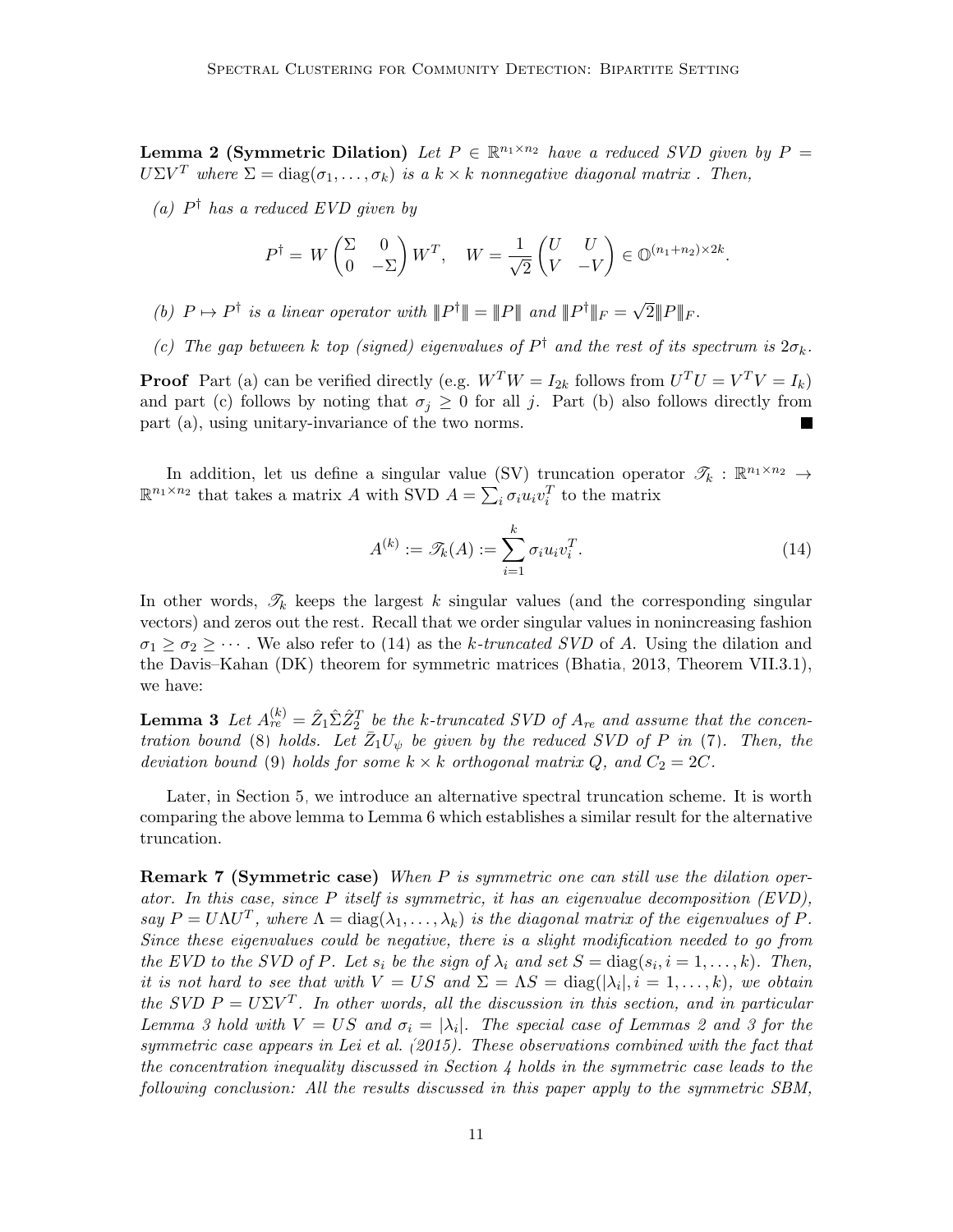**Lemma 2 (Symmetric Dilation)** Let  $P \in \mathbb{R}^{n_1 \times n_2}$  have a reduced SVD given by  $P =$  $U\Sigma V^T$  where  $\Sigma = \text{diag}(\sigma_1, \ldots, \sigma_k)$  is a  $k \times k$  nonnegative diagonal matrix . Then,

(a)  $P^{\dagger}$  has a reduced EVD given by

$$
P^{\dagger} = W \begin{pmatrix} \Sigma & 0 \\ 0 & -\Sigma \end{pmatrix} W^T, \quad W = \frac{1}{\sqrt{2}} \begin{pmatrix} U & U \\ V & -V \end{pmatrix} \in \mathbb{O}^{(n_1 + n_2) \times 2k}.
$$

- (b)  $P \mapsto P^{\dagger}$  is a linear operator with  $||P^{\dagger}|| = ||P||$  and  $||P^{\dagger}||_F =$ √  $2|\!|\!| P |\!|\!|_F.$
- (c) The gap between k top (signed) eigenvalues of  $P^{\dagger}$  and the rest of its spectrum is  $2\sigma_k$ .

**Proof** Part (a) can be verified directly (e.g.  $W^T W = I_{2k}$  follows from  $U^T U = V^T V = I_k$ ) and part (c) follows by noting that  $\sigma_j \geq 0$  for all j. Part (b) also follows directly from part (a), using unitary-invariance of the two norms. **In the Second State** 

In addition, let us define a singular value (SV) truncation operator  $\mathscr{T}_k : \mathbb{R}^{n_1 \times n_2} \to$  $\mathbb{R}^{n_1 \times n_2}$  that takes a matrix A with SVD  $A = \sum_i \sigma_i u_i v_i^T$  to the matrix

<span id="page-10-2"></span>
$$
A^{(k)} := \mathcal{F}_k(A) := \sum_{i=1}^k \sigma_i u_i v_i^T.
$$
 (14)

In other words,  $\mathcal{T}_k$  keeps the largest k singular values (and the corresponding singular vectors) and zeros out the rest. Recall that we order singular values in nonincreasing fashion  $\sigma_1 \geq \sigma_2 \geq \cdots$ . We also refer to [\(14\)](#page-10-2) as the k-truncated SVD of A. Using the dilation and the Davis–Kahan (DK) theorem for symmetric matrices [\(Bhatia, 2013,](#page-43-10) Theorem VII.3.1), we have:

<span id="page-10-1"></span>**Lemma 3** Let  $A_{re}^{(k)} = \hat{Z}_1 \hat{\Sigma} \hat{Z}_2^T$  be the k-truncated SVD of  $A_{re}$  and assume that the concen-tration bound [\(8\)](#page-6-3) holds. Let  $\bar{Z}_1 U_{\psi}$  be given by the reduced SVD of P in [\(7\)](#page-5-1). Then, the deviation bound [\(9\)](#page-6-2) holds for some  $k \times k$  orthogonal matrix Q, and  $C_2 = 2C$ .

Later, in Section [5,](#page-17-0) we introduce an alternative spectral truncation scheme. It is worth comparing the above lemma to Lemma [6](#page-18-3) which establishes a similar result for the alternative truncation.

<span id="page-10-0"></span>**Remark 7 (Symmetric case)** When P is symmetric one can still use the dilation operator. In this case, since P itself is symmetric, it has an eigenvalue decomposition (EVD), say  $P = U\Lambda U^T$ , where  $\Lambda = \text{diag}(\lambda_1, \ldots, \lambda_k)$  is the diagonal matrix of the eigenvalues of P. Since these eigenvalues could be negative, there is a slight modification needed to go from the EVD to the SVD of P. Let  $s_i$  be the sign of  $\lambda_i$  and set  $S = \text{diag}(s_i, i = 1, \ldots, k)$ . Then, it is not hard to see that with  $V = US$  and  $\Sigma = \Lambda S = \text{diag}(|\lambda_i|, i = 1, ..., k)$ , we obtain the SVD  $P = U\Sigma V^T$ . In other words, all the discussion in this section, and in particular Lemma [3](#page-10-1) hold with  $V = US$  and  $\sigma_i = |\lambda_i|$ . The special case of Lemmas [2](#page-9-4) and 3 for the symmetric case appears in [Lei et al.](#page-45-5) [\(2015\)](#page-45-5). These observations combined with the fact that the concentration inequality discussed in Section  $\frac{1}{4}$  holds in the symmetric case leads to the following conclusion: All the results discussed in this paper apply to the symmetric SBM,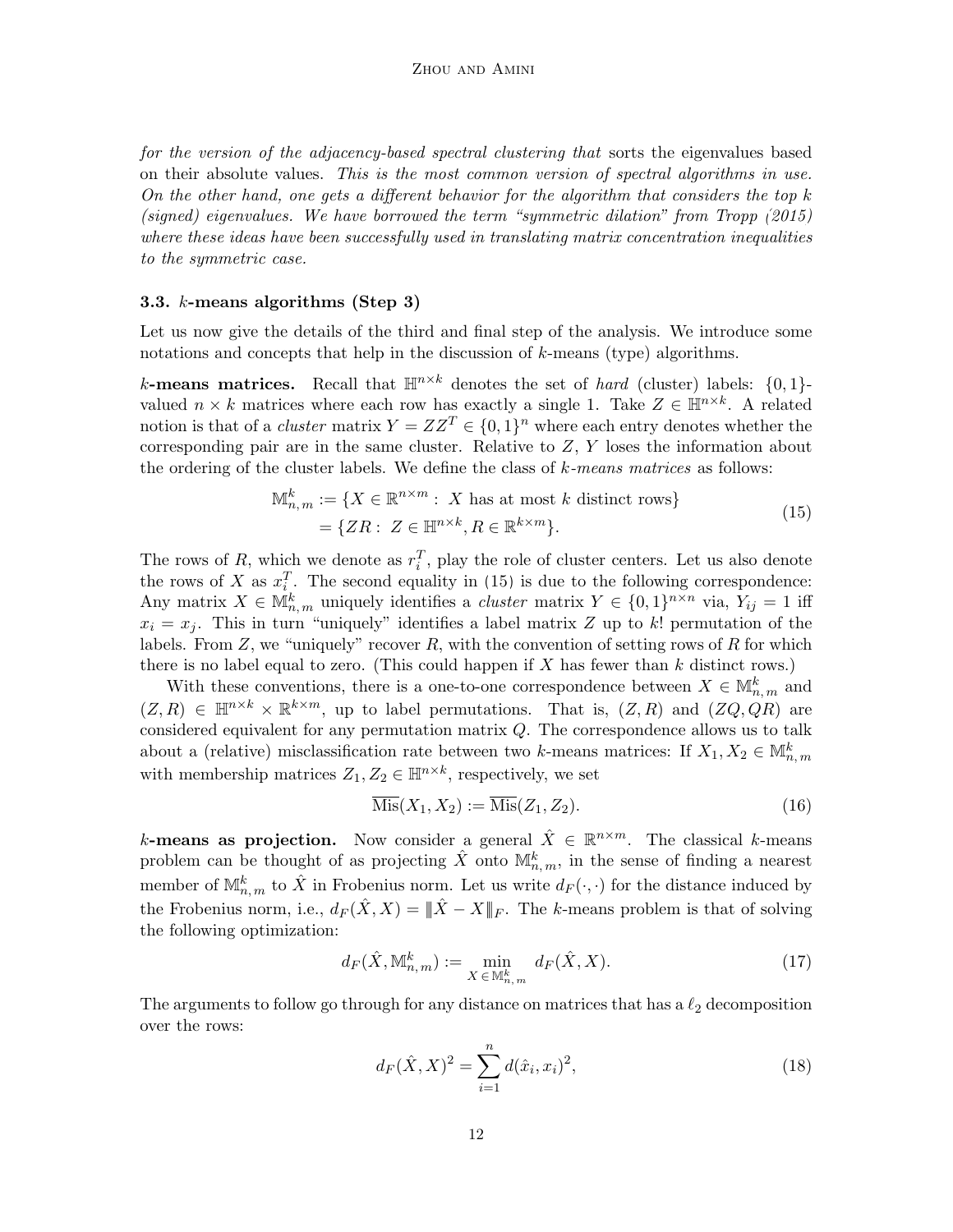for the version of the adjacency-based spectral clustering that sorts the eigenvalues based on their absolute values. This is the most common version of spectral algorithms in use. On the other hand, one gets a different behavior for the algorithm that considers the top  $k$ (signed) eigenvalues. We have borrowed the term "symmetric dilation" from [Tropp](#page-46-6) [\(2015\)](#page-46-6) where these ideas have been successfully used in translating matrix concentration inequalities to the symmetric case.

#### <span id="page-11-0"></span>3.3. k-means algorithms (Step 3)

Let us now give the details of the third and final step of the analysis. We introduce some notations and concepts that help in the discussion of k-means (type) algorithms.

k-means matrices. Recall that  $\mathbb{H}^{n \times k}$  denotes the set of *hard* (cluster) labels: {0,1}valued  $n \times k$  matrices where each row has exactly a single 1. Take  $Z \in \mathbb{H}^{n \times k}$ . A related notion is that of a *cluster* matrix  $Y = ZZ^T \in \{0,1\}^n$  where each entry denotes whether the corresponding pair are in the same cluster. Relative to  $Z, Y$  loses the information about the ordering of the cluster labels. We define the class of  $k$ -means matrices as follows:

<span id="page-11-1"></span>
$$
\mathbb{M}_{n,m}^k := \{ X \in \mathbb{R}^{n \times m} : X \text{ has at most } k \text{ distinct rows} \}
$$
  
= 
$$
\{ ZR : Z \in \mathbb{H}^{n \times k}, R \in \mathbb{R}^{k \times m} \}. \tag{15}
$$

The rows of R, which we denote as  $r_i^T$ , play the role of cluster centers. Let us also denote the rows of X as  $x_i^T$ . The second equality in [\(15\)](#page-11-1) is due to the following correspondence: Any matrix  $X \in \mathbb{M}_{n,m}^k$  uniquely identifies a *cluster* matrix  $Y \in \{0,1\}^{n \times n}$  via,  $Y_{ij} = 1$  iff  $x_i = x_j$ . This in turn "uniquely" identifies a label matrix Z up to k! permutation of the labels. From  $Z$ , we "uniquely" recover  $R$ , with the convention of setting rows of  $R$  for which there is no label equal to zero. (This could happen if  $X$  has fewer than  $k$  distinct rows.)

With these conventions, there is a one-to-one correspondence between  $X \in \mathbb{M}_{n,m}^k$  and  $(Z, R) \in \mathbb{H}^{n \times k} \times \mathbb{R}^{k \times m}$ , up to label permutations. That is,  $(Z, R)$  and  $(ZQ, QR)$  are considered equivalent for any permutation matrix  $Q$ . The correspondence allows us to talk about a (relative) misclassification rate between two k-means matrices: If  $X_1, X_2 \in \mathbb{M}_{n,m}^k$ with membership matrices  $Z_1, Z_2 \in \mathbb{H}^{n \times k}$ , respectively, we set

$$
\overline{\mathrm{Mis}}(X_1, X_2) := \overline{\mathrm{Mis}}(Z_1, Z_2). \tag{16}
$$

k-means as projection. Now consider a general  $\hat{X} \in \mathbb{R}^{n \times m}$ . The classical k-means problem can be thought of as projecting  $\hat{X}$  onto  $\mathbb{M}_{n,m}^k$ , in the sense of finding a nearest member of  $\mathbb{M}_{n,m}^k$  to  $\hat{X}$  in Frobenius norm. Let us write  $d_F(\cdot,\cdot)$  for the distance induced by the Frobenius norm, i.e.,  $d_F(\hat{X}, X) = ||\hat{X} - X||_F$ . The k-means problem is that of solving the following optimization:

$$
d_F(\hat{X}, \mathbb{M}_{n,m}^k) := \min_{X \in \mathbb{M}_{n,m}^k} d_F(\hat{X}, X).
$$
 (17)

The arguments to follow go through for any distance on matrices that has a  $\ell_2$  decomposition over the rows:

<span id="page-11-3"></span><span id="page-11-2"></span>
$$
d_F(\hat{X}, X)^2 = \sum_{i=1}^n d(\hat{x}_i, x_i)^2,
$$
\n(18)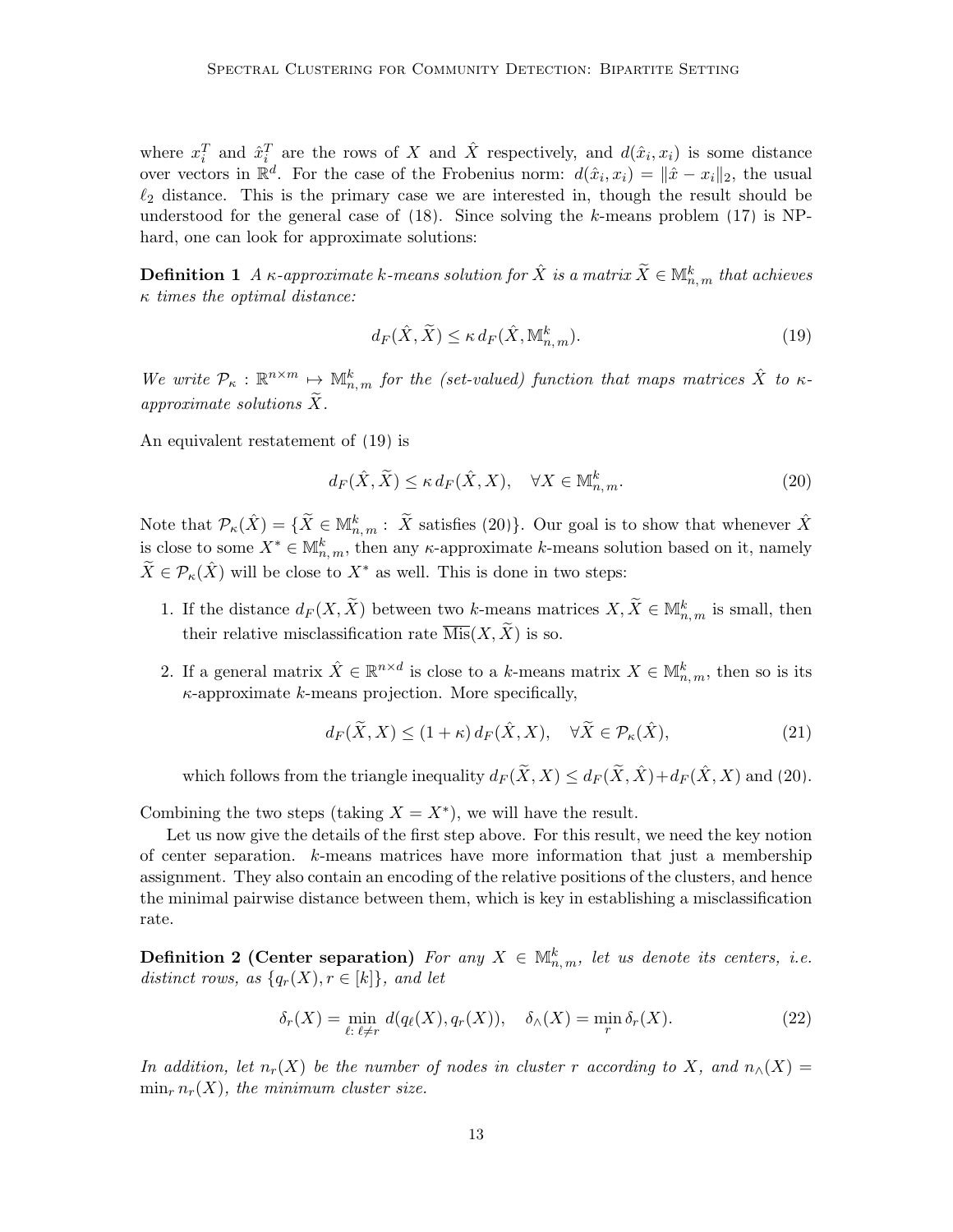where  $x_i^T$  and  $\hat{x}_i^T$  are the rows of X and  $\hat{X}$  respectively, and  $d(\hat{x}_i, x_i)$  is some distance over vectors in  $\mathbb{R}^d$ . For the case of the Frobenius norm:  $d(\hat{x}_i, x_i) = \|\hat{x} - x_i\|_2$ , the usual  $\ell_2$  distance. This is the primary case we are interested in, though the result should be understood for the general case of  $(18)$ . Since solving the k-means problem  $(17)$  is NPhard, one can look for approximate solutions:

**Definition 1** A  $\kappa$ -approximate  $k$ -means solution for  $\hat{X}$  is a matrix  $\widetilde{X} \in \mathbb{M}_{n,m}^k$  that achieves  $\kappa$  times the optimal distance:

<span id="page-12-2"></span><span id="page-12-1"></span>
$$
d_F(\hat{X}, \tilde{X}) \le \kappa \, d_F(\hat{X}, \mathbb{M}^k_{n,m}).\tag{19}
$$

We write  $\mathcal{P}_{\kappa}: \mathbb{R}^{n \times m} \mapsto \mathbb{M}_{n,m}^k$  for the (set-valued) function that maps matrices  $\hat{X}$  to  $\kappa$ approximate solutions  $\widetilde{X}$ .

An equivalent restatement of [\(19\)](#page-12-1) is

$$
d_F(\hat{X}, \tilde{X}) \le \kappa \, d_F(\hat{X}, X), \quad \forall X \in \mathbb{M}_{n,m}^k. \tag{20}
$$

Note that  $\mathcal{P}_{\kappa}(\hat{X}) = \{ \tilde{X} \in \mathbb{M}_{n,m}^k : \ \tilde{X} \text{ satisfies (20)} \}.$  $\mathcal{P}_{\kappa}(\hat{X}) = \{ \tilde{X} \in \mathbb{M}_{n,m}^k : \ \tilde{X} \text{ satisfies (20)} \}.$  $\mathcal{P}_{\kappa}(\hat{X}) = \{ \tilde{X} \in \mathbb{M}_{n,m}^k : \ \tilde{X} \text{ satisfies (20)} \}.$  Our goal is to show that whenever  $\hat{X}$ is close to some  $X^* \in \mathbb{M}_{n,m}^k$ , then any  $\kappa$ -approximate k-means solution based on it, namely  $X \in \mathcal{P}_{\kappa}(\hat{X})$  will be close to  $X^*$  as well. This is done in two steps:

- 1. If the distance  $d_F(X, \tilde{X})$  between two k-means matrices  $X, \tilde{X} \in M_{n,m}^k$  is small, then their relative misclassification rate  $\overline{\text{ Mis}}(X, \widetilde{X})$  is so.
- 2. If a general matrix  $\hat{X} \in \mathbb{R}^{n \times d}$  is close to a k-means matrix  $X \in \mathbb{M}_{n,m}^k$ , then so is its  $\kappa$ -approximate  $k$ -means projection. More specifically,

<span id="page-12-4"></span>
$$
d_F(\tilde{X}, X) \le (1 + \kappa) d_F(\hat{X}, X), \quad \forall \tilde{X} \in \mathcal{P}_{\kappa}(\hat{X}), \tag{21}
$$

which follows from the triangle inequality  $d_F(\tilde{X}, X) \leq d_F(\tilde{X}, \hat{X}) + d_F(\hat{X}, X)$  and [\(20\)](#page-12-2).

Combining the two steps (taking  $X = X^*$ ), we will have the result.

Let us now give the details of the first step above. For this result, we need the key notion of center separation. k-means matrices have more information that just a membership assignment. They also contain an encoding of the relative positions of the clusters, and hence the minimal pairwise distance between them, which is key in establishing a misclassification rate.

<span id="page-12-0"></span>**Definition 2 (Center separation)** For any  $X \in \mathbb{M}_{n,m}^k$ , let us denote its centers, i.e. distinct rows, as  $\{q_r(X), r \in [k]\}$ , and let

<span id="page-12-3"></span>
$$
\delta_r(X) = \min_{\ell: \ell \neq r} d(q_\ell(X), q_r(X)), \quad \delta_\wedge(X) = \min_r \delta_r(X). \tag{22}
$$

In addition, let  $n_r(X)$  be the number of nodes in cluster r according to X, and  $n_{\wedge}(X) =$  $\min_{x} n_r(X)$ , the minimum cluster size.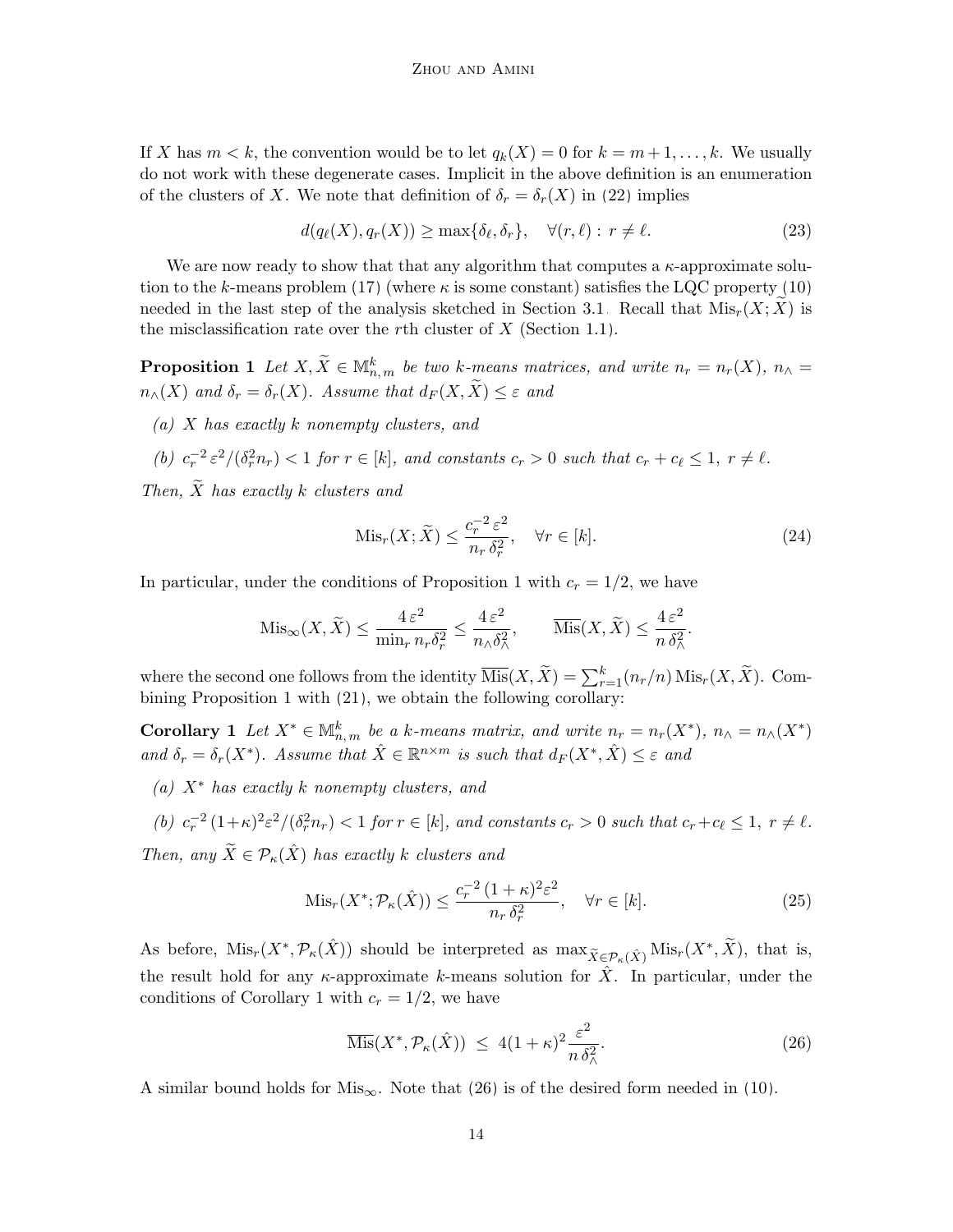If X has  $m < k$ , the convention would be to let  $q_k(X) = 0$  for  $k = m+1, \ldots, k$ . We usually do not work with these degenerate cases. Implicit in the above definition is an enumeration of the clusters of X. We note that definition of  $\delta_r = \delta_r(X)$  in [\(22\)](#page-12-3) implies

<span id="page-13-4"></span>
$$
d(q_{\ell}(X), q_r(X)) \ge \max\{\delta_{\ell}, \delta_r\}, \quad \forall (r, \ell) : r \ne \ell. \tag{23}
$$

We are now ready to show that that any algorithm that computes a  $\kappa$ -approximate solu-tion to the k-means problem [\(17\)](#page-11-3) (where  $\kappa$  is some constant) satisfies the LQC property [\(10\)](#page-7-1) needed in the last step of the analysis sketched in Section [3.1.](#page-6-1) Recall that  $Mis_r(X; X)$  is the misclassification rate over the rth cluster of  $X$  (Section [1.1\)](#page-3-0).

<span id="page-13-0"></span>**Proposition 1** Let  $X, \widetilde{X} \in \mathbb{M}_{n,m}^k$  be two k-means matrices, and write  $n_r = n_r(X)$ ,  $n_\wedge =$  $n_{\wedge}(X)$  and  $\delta_r = \delta_r(X)$ . Assume that  $d_F(X, \widetilde{X}) \leq \varepsilon$  and

- (a) X has exactly k nonempty clusters, and
- (b)  $c_r^{-2} \varepsilon^2/(\delta_r^2 n_r) < 1$  for  $r \in [k]$ , and constants  $c_r > 0$  such that  $c_r + c_\ell \leq 1$ ,  $r \neq \ell$ .

Then,  $\widetilde{X}$  has exactly k clusters and

<span id="page-13-1"></span>
$$
\text{Mis}_r(X; \tilde{X}) \le \frac{c_r^{-2} \varepsilon^2}{n_r \delta_r^2}, \quad \forall r \in [k]. \tag{24}
$$

In particular, under the conditions of Proposition [1](#page-13-0) with  $c_r = 1/2$ , we have

$$
\text{Mis}_{\infty}(X,\widetilde{X}) \le \frac{4\,\varepsilon^2}{\min_r n_r \delta_r^2} \le \frac{4\,\varepsilon^2}{n_\wedge \delta_\wedge^2}, \qquad \overline{\text{Mis}}(X,\widetilde{X}) \le \frac{4\,\varepsilon^2}{n\,\delta_\wedge^2}.
$$

where the second one follows from the identity  $\overline{\text{Mis}}(X, \tilde{X}) = \sum_{r=1}^{k} (n_r/n) \text{ Mis}_r(X, \tilde{X})$ . Combining Proposition [1](#page-13-0) with [\(21\)](#page-12-4), we obtain the following corollary:

Corollary 1 Let  $X^* \in \mathbb{M}_{n,m}^k$  be a k-means matrix, and write  $n_r = n_r(X^*)$ ,  $n_\wedge = n_\wedge(X^*)$ and  $\delta_r = \delta_r(X^*)$ . Assume that  $\hat{X} \in \mathbb{R}^{n \times m}$  is such that  $d_F(X^*, \hat{X}) \leq \varepsilon$  and

(a)  $X^*$  has exactly k nonempty clusters, and

(b) 
$$
c_r^{-2} (1+\kappa)^2 \varepsilon^2 / (\delta_r^2 n_r) < 1
$$
 for  $r \in [k]$ , and constants  $c_r > 0$  such that  $c_r + c_\ell \le 1$ ,  $r \ne \ell$ .  
Then, any  $\widetilde{X} \in \mathcal{P}_\kappa(\hat{X})$  has exactly k clusters and

$$
\text{Mis}_r(X^*; \mathcal{P}_\kappa(\hat{X})) \le \frac{c_r^{-2} (1 + \kappa)^2 \varepsilon^2}{n_r \delta_r^2}, \quad \forall r \in [k]. \tag{25}
$$

As before,  $Mis_r(X^*, \mathcal{P}_{\kappa}(\hat{X}))$  should be interpreted as  $\max_{\widetilde{X} \in \mathcal{P}_{\kappa}(\hat{X})} Mis_r(X^*, \widetilde{X})$ , that is, the result hold for any  $\kappa$ -approximate k-means solution for  $\hat{X}$ . In particular, under the conditions of Corollary [1](#page-13-1) with  $c_r = 1/2$ , we have

<span id="page-13-2"></span>
$$
\overline{\mathrm{Mis}}(X^*, \mathcal{P}_\kappa(\hat{X})) \le 4(1+\kappa)^2 \frac{\varepsilon^2}{n \,\delta_\wedge^2}.\tag{26}
$$

<span id="page-13-3"></span>A similar bound holds for  $Mis_{\infty}$ . Note that [\(26\)](#page-13-2) is of the desired form needed in [\(10\)](#page-7-1).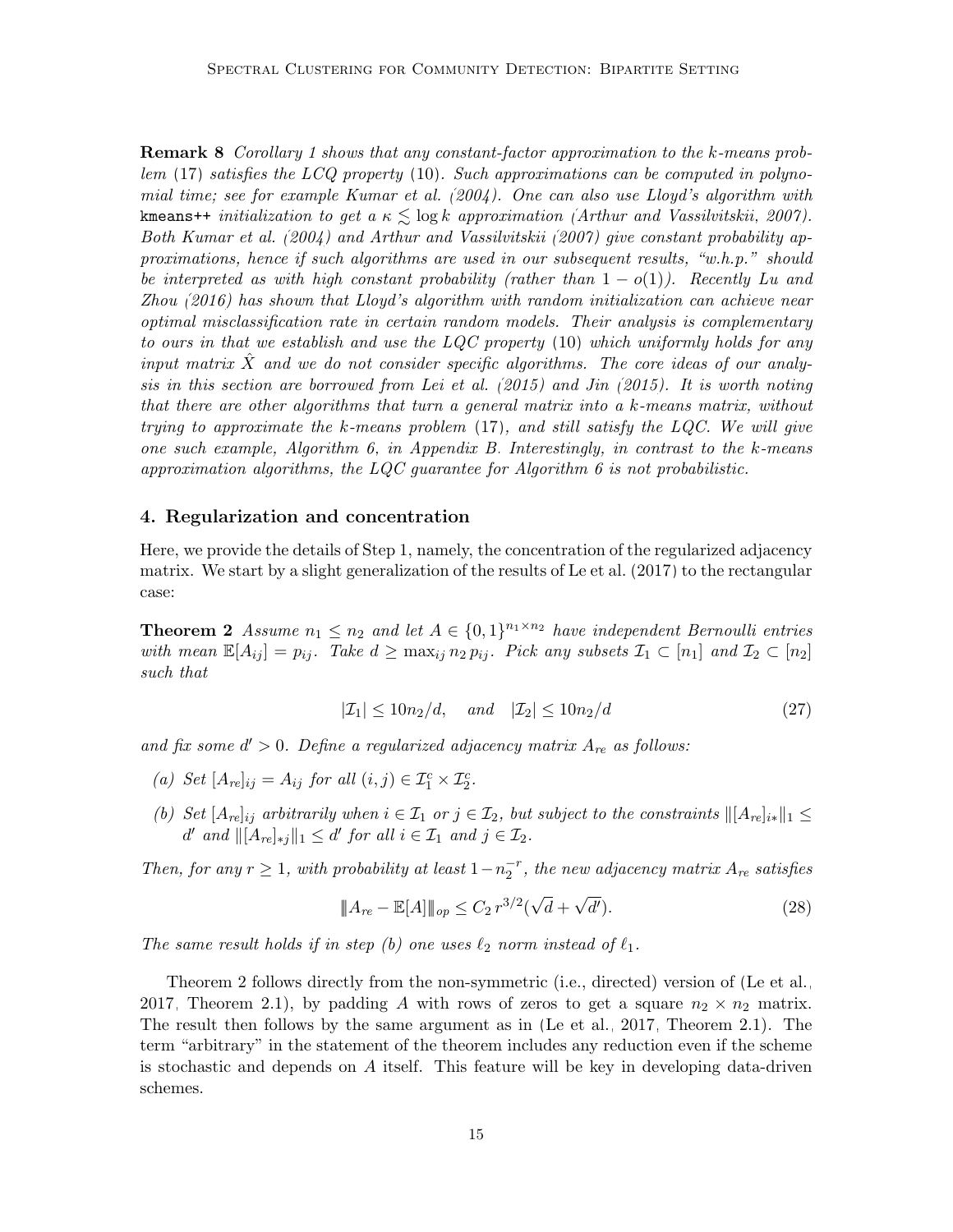Remark 8 Corollary [1](#page-13-1) shows that any constant-factor approximation to the k-means problem [\(17\)](#page-11-3) satisfies the LCQ property [\(10\)](#page-7-1). Such approximations can be computed in polynomial time; see for example [Kumar et al.](#page-44-8) [\(2004\)](#page-44-8). One can also use Lloyd's algorithm with kmeans++ initialization to get a  $\kappa \leq \log k$  approximation [\(Arthur and Vassilvitskii, 2007\)](#page-43-11). Both [Kumar et al.](#page-44-8) [\(2004\)](#page-44-8) and [Arthur and Vassilvitskii](#page-43-11) [\(2007\)](#page-43-11) give constant probability approximations, hence if such algorithms are used in our subsequent results, "w.h.p." should be interpreted as with high constant probability (rather than  $1 - o(1)$ ). Recently [Lu and](#page-45-10) [Zhou](#page-45-10) [\(2016\)](#page-45-10) has shown that Lloyd's algorithm with random initialization can achieve near optimal misclassification rate in certain random models. Their analysis is complementary to ours in that we establish and use the  $LQC$  property [\(10\)](#page-7-1) which uniformly holds for any input matrix  $X$  and we do not consider specific algorithms. The core ideas of our analysis in this section are borrowed from [Lei et al.](#page-45-5) [\(2015\)](#page-45-5) and [Jin](#page-44-9) [\(2015\)](#page-44-9). It is worth noting that there are other algorithms that turn a general matrix into a k-means matrix, without trying to approximate the k-means problem [\(17\)](#page-11-3), and still satisfy the LQC. We will give one such example, Algorithm [6,](#page-40-0) in Appendix [B.](#page-39-0) Interestingly, in contrast to the  $k$ -means approximation algorithms, the  $LQC$  guarantee for Algorithm [6](#page-40-0) is not probabilistic.

#### <span id="page-14-0"></span>4. Regularization and concentration

Here, we provide the details of Step 1, namely, the concentration of the regularized adjacency matrix. We start by a slight generalization of the results of [Le et al.](#page-45-11) [\(2017\)](#page-45-11) to the rectangular case:

<span id="page-14-1"></span>**Theorem 2** Assume  $n_1 \leq n_2$  and let  $A \in \{0,1\}^{n_1 \times n_2}$  have independent Bernoulli entries with mean  $\mathbb{E}[A_{ij}] = p_{ij}$ . Take  $d \geq \max_{ij} n_2 p_{ij}$ . Pick any subsets  $\mathcal{I}_1 \subset [n_1]$  and  $\mathcal{I}_2 \subset [n_2]$ such that

<span id="page-14-2"></span>
$$
|\mathcal{I}_1| \le 10n_2/d, \quad and \quad |\mathcal{I}_2| \le 10n_2/d \tag{27}
$$

and fix some  $d' > 0$ . Define a regularized adjacency matrix  $A_{re}$  as follows:

- (a) Set  $[A_{re}]_{ij} = A_{ij}$  for all  $(i, j) \in \mathcal{I}_1^c \times \mathcal{I}_2^c$ .
- (b) Set  $[A_{re}]_{ij}$  arbitrarily when  $i \in \mathcal{I}_1$  or  $j \in \mathcal{I}_2$ , but subject to the constraints  $\|[A_{re}]_{i*}\|_1 \leq$  $d'$  and  $\|[A_{re}]_{*j}\|_1 \leq d'$  for all  $i \in \mathcal{I}_1$  and  $j \in \mathcal{I}_2$ .

Then, for any  $r \geq 1$ , with probability at least  $1-n_2^{-r}$ , the new adjacency matrix  $A_{re}$  satisfies

$$
||A_{re} - \mathbb{E}[A]||_{op} \le C_2 r^{3/2} (\sqrt{d} + \sqrt{d'}).
$$
 (28)

The same result holds if in step (b) one uses  $\ell_2$  norm instead of  $\ell_1$ .

Theorem [2](#page-14-1) follows directly from the non-symmetric (i.e., directed) version of [\(Le et al.,](#page-45-11) [2017,](#page-45-11) Theorem 2.1), by padding A with rows of zeros to get a square  $n_2 \times n_2$  matrix. The result then follows by the same argument as in [\(Le et al., 2017,](#page-45-11) Theorem 2.1). The term "arbitrary" in the statement of the theorem includes any reduction even if the scheme is stochastic and depends on  $A$  itself. This feature will be key in developing data-driven schemes.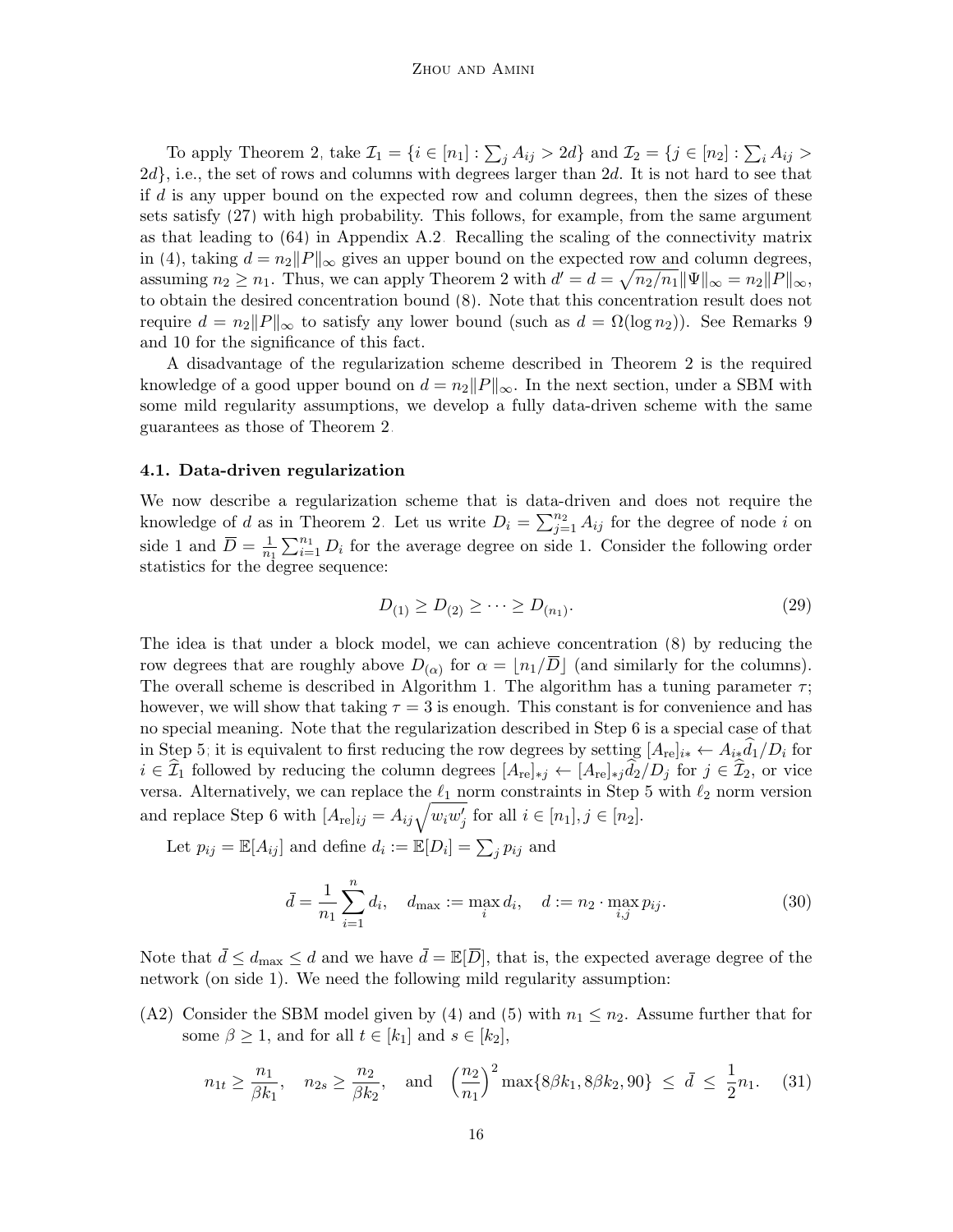To apply Theorem [2,](#page-14-1) take  $\mathcal{I}_1 = \{i \in [n_1] : \sum_j A_{ij} > 2d\}$  and  $\mathcal{I}_2 = \{j \in [n_2] : \sum_i A_{ij} > 2d\}$  $2d$ , i.e., the set of rows and columns with degrees larger than 2d. It is not hard to see that if d is any upper bound on the expected row and column degrees, then the sizes of these sets satisfy [\(27\)](#page-14-2) with high probability. This follows, for example, from the same argument as that leading to [\(64\)](#page-32-0) in Appendix [A.2.](#page-31-0) Recalling the scaling of the connectivity matrix in [\(4\)](#page-4-0), taking  $d = n_2||P||_{\infty}$  gives an upper bound on the expected row and column degrees, assuming  $n_2 \geq n_1$ . Thus, we can apply Theorem [2](#page-14-1) with  $d' = d = \sqrt{n_2/n_1} ||\Psi||_{\infty} = n_2 ||P||_{\infty}$ , to obtain the desired concentration bound [\(8\)](#page-6-3). Note that this concentration result does not require  $d = n_2||P||_{\infty}$  to satisfy any lower bound (such as  $d = \Omega(\log n_2)$ ). See Remarks [9](#page-17-2) and [10](#page-22-2) for the significance of this fact.

A disadvantage of the regularization scheme described in Theorem [2](#page-14-1) is the required knowledge of a good upper bound on  $d = n_2||P||_{\infty}$ . In the next section, under a SBM with some mild regularity assumptions, we develop a fully data-driven scheme with the same guarantees as those of Theorem [2.](#page-14-1)

#### <span id="page-15-4"></span>4.1. Data-driven regularization

We now describe a regularization scheme that is data-driven and does not require the knowledge of d as in Theorem [2.](#page-14-1) Let us write  $D_i = \sum_{j=1}^{n_2} A_{ij}$  for the degree of node i on side 1 and  $\overline{D} = \frac{1}{n_1}$  $\frac{1}{n_1} \sum_{i=1}^{n_1} D_i$  for the average degree on side 1. Consider the following order statistics for the degree sequence:

<span id="page-15-3"></span><span id="page-15-0"></span>
$$
D_{(1)} \ge D_{(2)} \ge \cdots \ge D_{(n_1)}.\tag{29}
$$

The idea is that under a block model, we can achieve concentration [\(8\)](#page-6-3) by reducing the row degrees that are roughly above  $D_{(\alpha)}$  for  $\alpha = \lfloor n_1/D \rfloor$  (and similarly for the columns). The overall scheme is described in Algorithm [1.](#page-16-0) The algorithm has a tuning parameter  $\tau$ ; however, we will show that taking  $\tau = 3$  is enough. This constant is for convenience and has no special meaning. Note that the regularization described in Step [6](#page-15-0) is a special case of that in Step [5;](#page-15-0) it is equivalent to first reducing the row degrees by setting  $[A_{re}]_{i*} \leftarrow A_{i*}d_1/D_i$  for  $i \in \widehat{\mathcal{I}}_1$  followed by reducing the column degrees  $[A_{\text{re}}]_{*j} \leftarrow [A_{\text{re}}]_{*j} \widehat{d}_2/D_j$  for  $j \in \widehat{\mathcal{I}}_2$ , or vice versa. Alternatively, we can replace the  $\ell_1$  norm constraints in Step [5](#page-15-0) with  $\ell_2$  norm version and replace Step [6](#page-15-0) with  $[A_{\text{re}}]_{ij} = A_{ij} \sqrt{w_i w'_j}$  for all  $i \in [n_1], j \in [n_2]$ .

Let  $p_{ij} = \mathbb{E}[A_{ij}]$  and define  $d_i := \mathbb{E}[D_i] = \sum_j p_{ij}$  and

<span id="page-15-2"></span>
$$
\bar{d} = \frac{1}{n_1} \sum_{i=1}^{n} d_i, \quad d_{\text{max}} := \max_{i} d_i, \quad d := n_2 \cdot \max_{i,j} p_{ij}.
$$
 (30)

Note that  $\bar{d} \leq d_{\text{max}} \leq d$  and we have  $\bar{d} = \mathbb{E}[\overline{D}]$ , that is, the expected average degree of the network (on side 1). We need the following mild regularity assumption:

<span id="page-15-1"></span>(A2) Consider the SBM model given by [\(4\)](#page-4-0) and [\(5\)](#page-4-2) with  $n_1 \leq n_2$ . Assume further that for some  $\beta \geq 1$ , and for all  $t \in [k_1]$  and  $s \in [k_2]$ ,

$$
n_{1t} \ge \frac{n_1}{\beta k_1}, \quad n_{2s} \ge \frac{n_2}{\beta k_2}, \quad \text{and} \quad \left(\frac{n_2}{n_1}\right)^2 \max\{8\beta k_1, 8\beta k_2, 90\} \le \bar{d} \le \frac{1}{2}n_1. \tag{31}
$$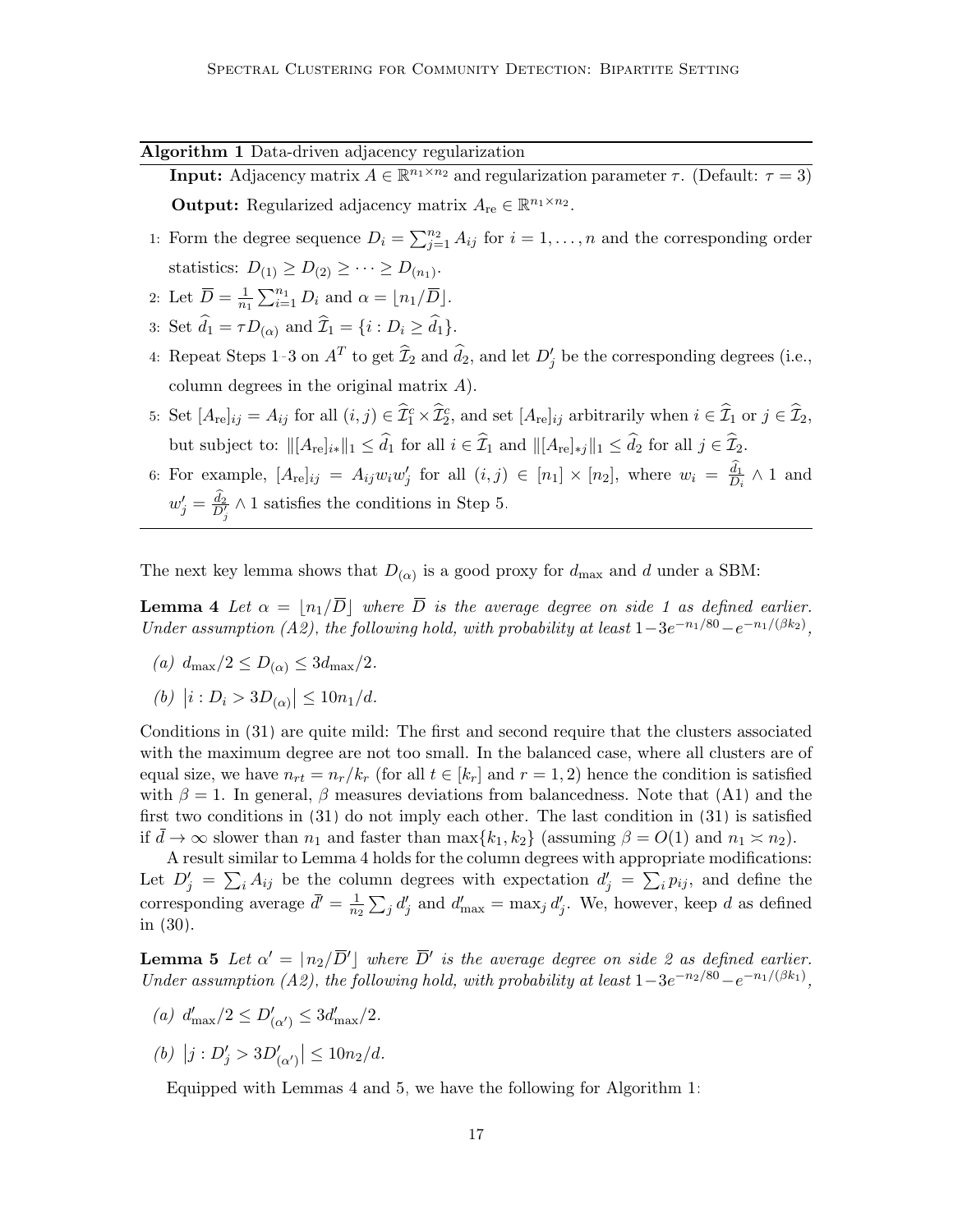<span id="page-16-0"></span>

|  |  | Algorithm 1 Data-driven adjacency regularization |
|--|--|--------------------------------------------------|
|  |  |                                                  |

**Input:** Adjacency matrix  $A \in \mathbb{R}^{n_1 \times n_2}$  and regularization parameter  $\tau$ . (Default:  $\tau = 3$ ) **Output:** Regularized adjacency matrix  $A_{\text{re}} \in \mathbb{R}^{n_1 \times n_2}$ .

- 1: Form the degree sequence  $D_i = \sum_{j=1}^{n_2} A_{ij}$  for  $i = 1, ..., n$  and the corresponding order statistics:  $D_{(1)} \ge D_{(2)} \ge \cdots \ge D_{(n_1)}$ .
- 2: Let  $\overline{D} = \frac{1}{n}$  $\frac{1}{n_1} \sum_{i=1}^{n_1} D_i$  and  $\alpha = \lfloor n_1/\overline{D} \rfloor$ .
- 3: Set  $\widehat{d}_1 = \tau D_{(\alpha)}$  and  $\widehat{\mathcal{I}}_1 = \{i : D_i \geq \widehat{d}_1\}.$
- 4: Repeat Steps [1–3](#page-15-0) on  $A<sup>T</sup>$  to get  $\widehat{I}_2$  and  $\widehat{d}_2$ , and let  $D'_j$  be the corresponding degrees (i.e., column degrees in the original matrix A).
- 5: Set  $[A_{\text{re}}]_{ij} = A_{ij}$  for all  $(i, j) \in \hat{\mathcal{I}}_1^c \times \hat{\mathcal{I}}_2^c$ , and set  $[A_{\text{re}}]_{ij}$  arbitrarily when  $i \in \hat{\mathcal{I}}_1$  or  $j \in \hat{\mathcal{I}}_2$ , but subject to:  $\|[A_{\text{re}}]_{i*}\|_1 \leq \hat{d}_1$  for all  $i \in \hat{\mathcal{I}}_1$  and  $\|[A_{\text{re}}]_{*j}\|_1 \leq \hat{d}_2$  for all  $j \in \hat{\mathcal{I}}_2$ .
- 6: For example,  $[A_{\text{re}}]_{ij} = A_{ij} w_i w_j'$  for all  $(i, j) \in [n_1] \times [n_2]$ , where  $w_i = \frac{d_1}{D_i} \wedge 1$  and  $w_j' = \frac{d_2}{D_j'} \wedge 1$  satisfies the conditions in Step [5.](#page-15-0)

The next key lemma shows that  $D_{(\alpha)}$  is a good proxy for  $d_{\text{max}}$  and d under a SBM:

**Lemma 4** Let  $\alpha = |n_1/\overline{D}|$  where  $\overline{D}$  is the average degree on side 1 as defined earlier. Under assumption [\(A2\),](#page-15-1) the following hold, with probability at least  $1-3e^{-n_1/80}-e^{-n_1/(\beta k_2)}$ ,

<span id="page-16-2"></span>(a)  $d_{\text{max}}/2 \leq D_{(\alpha)} \leq 3d_{\text{max}}/2$ .

(b) 
$$
|i: D_i > 3D_{(\alpha)}| \le 10n_1/d.
$$

Conditions in [\(31\)](#page-15-2) are quite mild: The first and second require that the clusters associated with the maximum degree are not too small. In the balanced case, where all clusters are of equal size, we have  $n_{rt} = n_r/k_r$  (for all  $t \in [k_r]$  and  $r = 1, 2$ ) hence the condition is satisfied with  $\beta = 1$ . In general,  $\beta$  measures deviations from balancedness. Note that [\(A1\)](#page-7-1) and the first two conditions in [\(31\)](#page-15-2) do not imply each other. The last condition in [\(31\)](#page-15-2) is satisfied if  $\bar{d} \to \infty$  slower than  $n_1$  and faster than  $\max\{k_1, k_2\}$  (assuming  $\beta = O(1)$  and  $n_1 \asymp n_2$ ).

A result similar to Lemma [4](#page-16-2) holds for the column degrees with appropriate modifications: Let  $D'_j = \sum_i A_{ij}$  be the column degrees with expectation  $d'_j = \sum_i p_{ij}$ , and define the corresponding average  $\bar{d}' = \frac{1}{n}$  $\frac{1}{n_2}\sum_j d'_j$  and  $d'_{\text{max}} = \max_j d'_j$ . We, however, keep d as defined in [\(30\)](#page-15-3).

<span id="page-16-3"></span>**Lemma 5** Let  $\alpha' = \lfloor n_2/\overline{D'} \rfloor$  where  $\overline{D}'$  is the average degree on side 2 as defined earlier. Under assumption [\(A2\),](#page-15-1) the following hold, with probability at least  $1-3e^{-n_2/80}-e^{-n_1/(\beta k_1)}$ ,

- (a)  $d'_{\text{max}}/2 \le D'_{(\alpha')}\le 3d'_{\text{max}}/2$ .
- (b)  $|j: D'_j > 3D'_{(\alpha')}| \leq 10n_2/d$ .

<span id="page-16-1"></span>Equipped with Lemmas [4](#page-16-2) and [5,](#page-16-3) we have the following for Algorithm [1:](#page-16-0)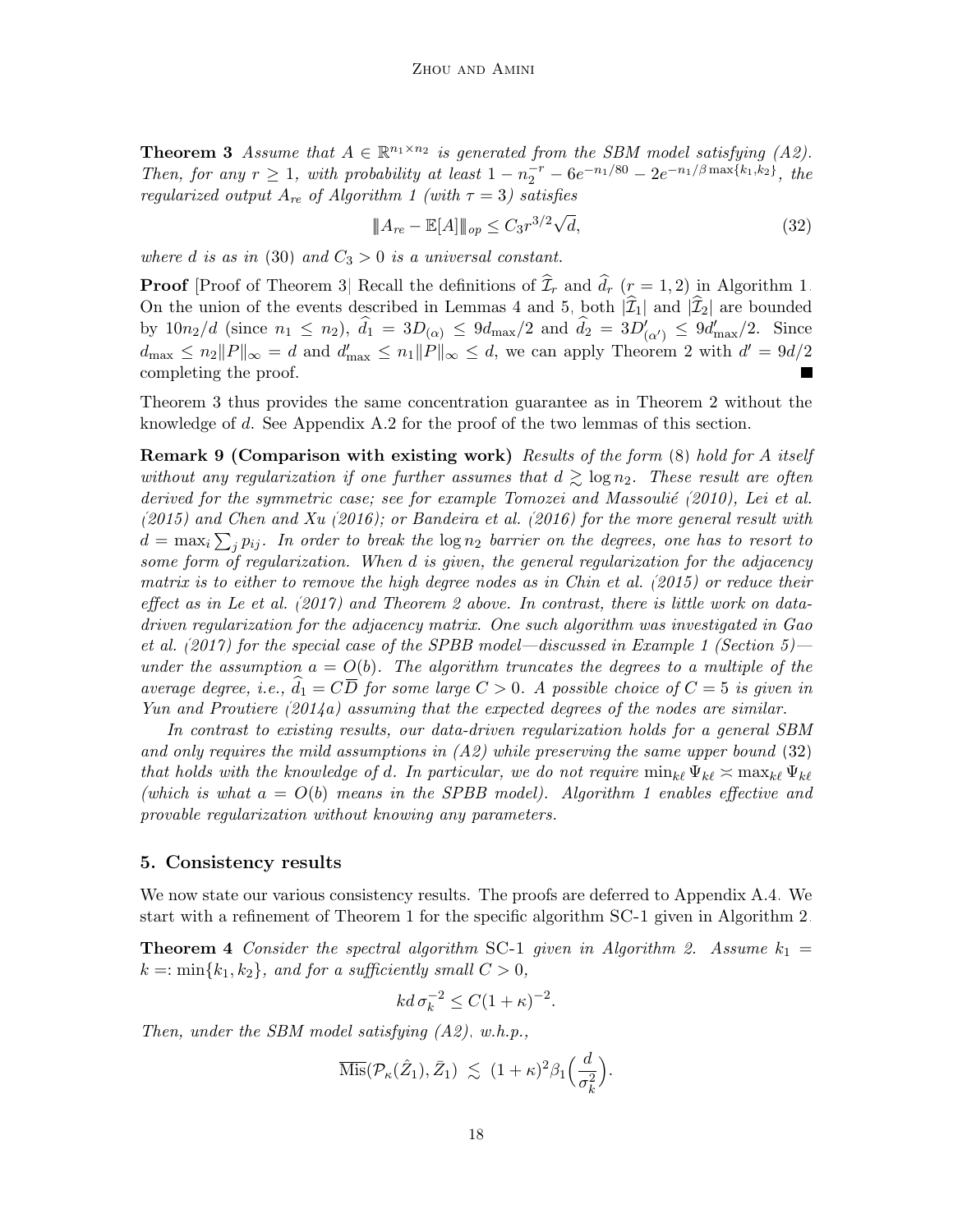**Theorem 3** Assume that  $A \in \mathbb{R}^{n_1 \times n_2}$  is generated from the SBM model satisfying [\(A2\).](#page-15-1) Then, for any  $r \ge 1$ , with probability at least  $1 - n_2^{-r} - 6e^{-n_1/80} - 2e^{-n_1/\beta \max\{k_1, k_2\}}$ , the regularized output  $A_{re}$  of Algorithm [1](#page-16-0) (with  $\tau = 3$ ) satisfies

<span id="page-17-3"></span>
$$
||A_{re} - \mathbb{E}[A]||_{op} \le C_3 r^{3/2} \sqrt{d},
$$
\n(32)

where d is as in [\(30\)](#page-15-3) and  $C_3 > 0$  is a universal constant.

**Proof** [Proof of Theorem [3\]](#page-16-1) Recall the definitions of  $\hat{\mathcal{I}}_r$  and  $\hat{d}_r$  (r = 1, 2) in Algorithm [1.](#page-16-0) On the union of the events described in Lemmas [4](#page-16-2) and [5,](#page-16-3) both  $|\widehat{\mathcal{I}}_1|$  and  $|\widehat{\mathcal{I}}_2|$  are bounded by  $10n_2/d$  (since  $n_1 \leq n_2$ ),  $\hat{d}_1 = 3D_{(\alpha)} \leq 9d_{\text{max}}/2$  and  $\hat{d}_2 = 3D'_{(\alpha')} \leq 9d'_{\text{max}}/2$ . Since  $d_{\max} \leq n_2 ||P||_{\infty} = d$  and  $d'_{\max} \leq n_1 ||P||_{\infty} \leq d$ , we can apply Theorem [2](#page-14-1) with  $d' = 9d/2$ completing the proof. **The State** 

Theorem [3](#page-16-1) thus provides the same concentration guarantee as in Theorem [2](#page-14-1) without the knowledge of d. See Appendix [A.2](#page-31-0) for the proof of the two lemmas of this section.

<span id="page-17-2"></span>**Remark 9 (Comparison with existing work)** Results of the form  $(8)$  hold for A itself without any regularization if one further assumes that  $d \gtrsim \log n_2$ . These result are often derived for the symmetric case; see for example Tomozei and Massoulié [\(2010\)](#page-45-2), [Lei et al.](#page-45-5) [\(2015\)](#page-45-5) and [Chen and Xu](#page-43-12) [\(2016\)](#page-43-12); or [Bandeira et al.](#page-43-7) [\(2016\)](#page-43-7) for the more general result with  $d = \max_i \sum_j p_{ij}$ . In order to break the  $\log n_2$  barrier on the degrees, one has to resort to some form of regularization. When d is given, the general regularization for the adjacency matrix is to either to remove the high degree nodes as in [Chin et al.](#page-43-5) [\(2015\)](#page-43-5) or reduce their effect as in [Le et al.](#page-45-11) [\(2017\)](#page-45-11) and Theorem [2](#page-14-1) above. In contrast, there is little work on datadriven regularization for the adjacency matrix. One such algorithm was investigated in [Gao](#page-44-4) [et al.](#page-44-4) [\(2017\)](#page-44-4) for the special case of the SPBB model—discussed in Example [1](#page-19-1) (Section [5\)](#page-17-0) under the assumption  $a = O(b)$ . The algorithm truncates the degrees to a multiple of the average degree, i.e.,  $d_1 = C\overline{D}$  for some large  $C > 0$ . A possible choice of  $C = 5$  is given in [Yun and Proutiere](#page-46-3) [\(2014a\)](#page-46-3) assuming that the expected degrees of the nodes are similar.

In contrast to existing results, our data-driven regularization holds for a general SBM and only requires the mild assumptions in  $(A2)$  while preserving the same upper bound  $(32)$ that holds with the knowledge of d. In particular, we do not require  $\min_{k\ell} \Psi_{k\ell} \asymp \max_{k\ell} \Psi_{k\ell}$ (which is what  $a = O(b)$  means in the SPBB model). Algorithm [1](#page-16-0) enables effective and provable regularization without knowing any parameters.

# <span id="page-17-0"></span>5. Consistency results

We now state our various consistency results. The proofs are deferred to Appendix [A.4.](#page-35-0) We start with a refinement of Theorem [1](#page-7-0) for the specific algorithm SC-1 given in Algorithm [2.](#page-18-0)

<span id="page-17-1"></span>**Theorem 4** Consider the spectral algorithm SC-1 given in Algorithm [2.](#page-18-0) Assume  $k_1 =$  $k =: \min\{k_1, k_2\}$ , and for a sufficiently small  $C > 0$ ,

$$
kd\,\sigma_k^{-2} \le C(1+\kappa)^{-2}.
$$

Then, under the SBM model satisfying [\(A2\),](#page-15-1) w.h.p.,

$$
\overline{\mathrm{Mis}}(\mathcal{P}_{\kappa}(\hat{Z}_1), \bar{Z}_1) \leq (1+\kappa)^2 \beta_1 \Big(\frac{d}{\sigma_k^2}\Big).
$$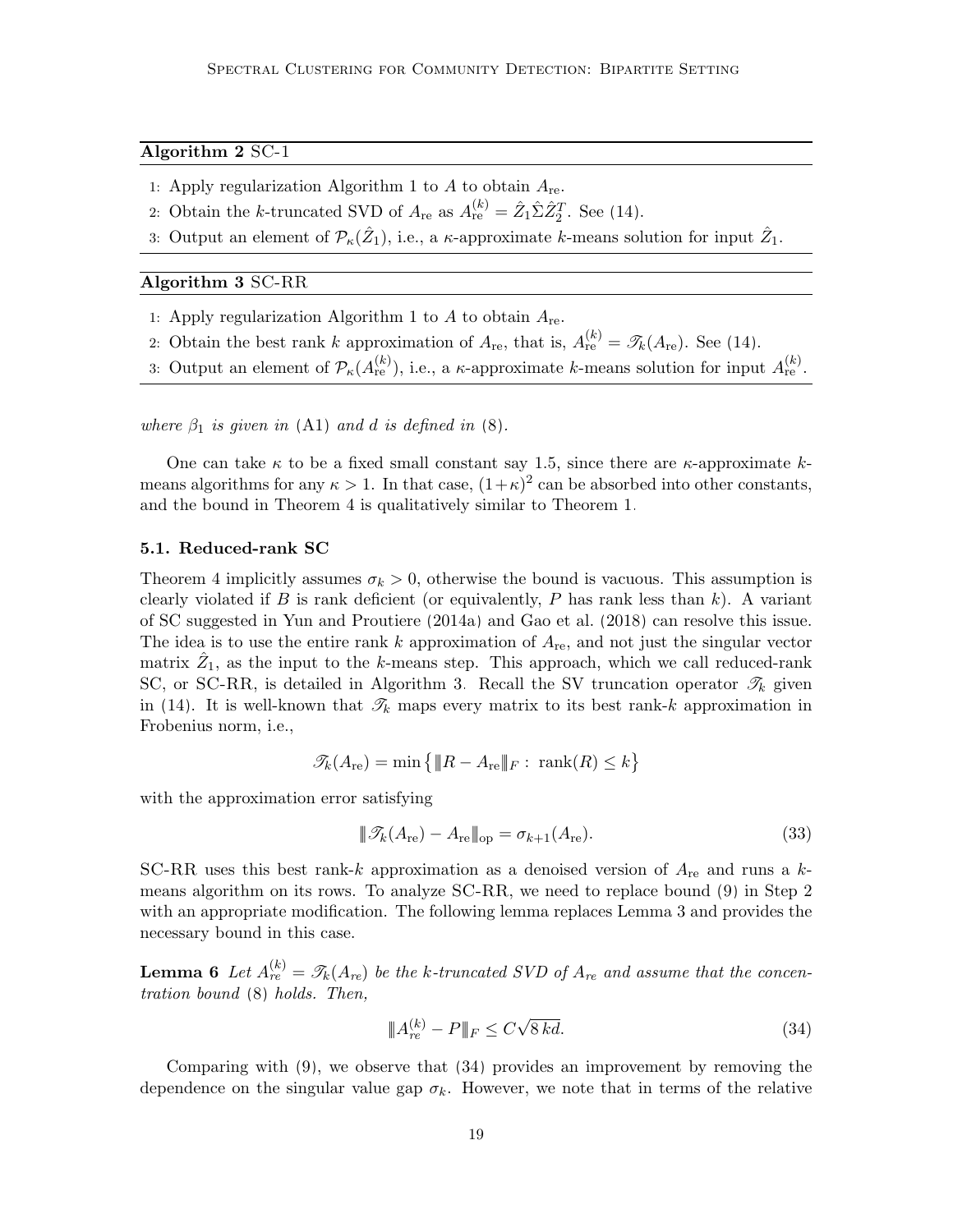<span id="page-18-0"></span>Algorithm 2 SC-1

- 1: Apply regularization Algorithm [1](#page-16-0) to  $A$  to obtain  $A_{\text{re}}$ .
- 2: Obtain the k-truncated SVD of  $A_{\text{re}}$  as  $A_{\text{re}}^{(k)} = \hat{Z}_1 \hat{\Sigma} \hat{Z}_2^T$ . See [\(14\)](#page-10-2).
- 3: Output an element of  $\mathcal{P}_{\kappa}(\hat{Z}_1)$ , i.e., a  $\kappa$ -approximate k-means solution for input  $\hat{Z}_1$ .

<span id="page-18-1"></span>Algorithm 3 SC-RR

- 1: Apply regularization Algorithm [1](#page-16-0) to A to obtain  $A_{\text{re}}$ .
- 2: Obtain the best rank k approximation of  $A_{\text{re}}$ , that is,  $A_{\text{re}}^{(k)} = \mathcal{I}_k(A_{\text{re}})$ . See [\(14\)](#page-10-2).
- 3: Output an element of  $\mathcal{P}_{\kappa}(A_{\text{re}}^{(k)})$ , i.e., a  $\kappa$ -approximate k-means solution for input  $A_{\text{re}}^{(k)}$ .

where  $\beta_1$  is given in [\(A1\)](#page-7-1) and d is defined in [\(8\)](#page-6-3).

One can take  $\kappa$  to be a fixed small constant say 1.5, since there are  $\kappa$ -approximate kmeans algorithms for any  $\kappa > 1$ . In that case,  $(1 + \kappa)^2$  can be absorbed into other constants, and the bound in Theorem [4](#page-17-1) is qualitatively similar to Theorem [1.](#page-7-0)

#### 5.1. Reduced-rank SC

Theorem [4](#page-17-1) implicitly assumes  $\sigma_k > 0$ , otherwise the bound is vacuous. This assumption is clearly violated if B is rank deficient (or equivalently, P has rank less than  $k$ ). A variant of SC suggested in [Yun and Proutiere](#page-46-3) [\(2014a\)](#page-46-3) and [Gao et al.](#page-44-7) [\(2018\)](#page-44-7) can resolve this issue. The idea is to use the entire rank k approximation of  $A_{\text{re}}$ , and not just the singular vector matrix  $\hat{Z}_1$ , as the input to the k-means step. This approach, which we call reduced-rank SC, or SC-RR, is detailed in Algorithm [3.](#page-18-1) Recall the SV truncation operator  $\mathscr{T}_k$  given in [\(14\)](#page-10-2). It is well-known that  $\mathcal{T}_k$  maps every matrix to its best rank-k approximation in Frobenius norm, i.e.,

$$
\mathcal{T}_{k}(A_{\text{re}}) = \min\left\{ \|R - A_{\text{re}}\|_{F} : \text{rank}(R) \le k \right\}
$$

with the approximation error satisfying

<span id="page-18-4"></span>
$$
\|\mathcal{I}_k(A_{\rm re}) - A_{\rm re}\|_{\rm op} = \sigma_{k+1}(A_{\rm re}).\tag{33}
$$

SC-RR uses this best rank-k approximation as a denoised version of  $A_{re}$  and runs a kmeans algorithm on its rows. To analyze SC-RR, we need to replace bound [\(9\)](#page-6-2) in Step 2 with an appropriate modification. The following lemma replaces Lemma [3](#page-10-1) and provides the necessary bound in this case.

<span id="page-18-3"></span>**Lemma 6** Let  $A_{re}^{(k)} = \mathcal{T}_{k}(A_{re})$  be the k-truncated SVD of  $A_{re}$  and assume that the concentration bound [\(8\)](#page-6-3) holds. Then,

<span id="page-18-2"></span>
$$
\|A_{re}^{(k)} - P\|_{F} \le C\sqrt{8\,kd}.\tag{34}
$$

Comparing with [\(9\)](#page-6-2), we observe that [\(34\)](#page-18-2) provides an improvement by removing the dependence on the singular value gap  $\sigma_k$ . However, we note that in terms of the relative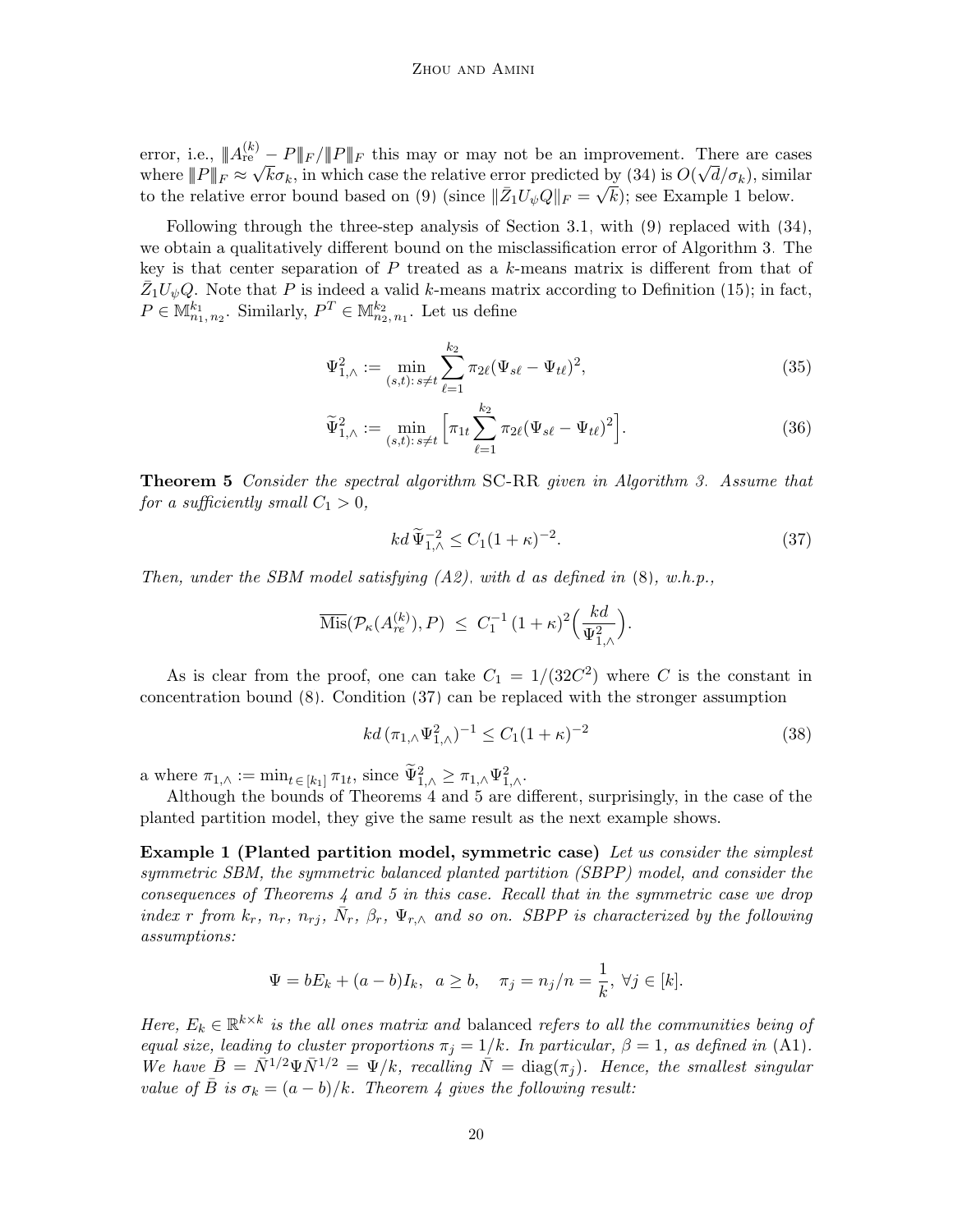error, i.e.,  $||A_{\text{re}}^{(k)} - P||_F / ||P||_F$  this may or may not be an improvement. There are cases where  $||P||_F \approx \sqrt{k\sigma_k}$ , in which case the relative error predicted by [\(34\)](#page-18-2) is  $O(\sqrt{d/\sigma_k})$ , similar to the relative error bound based on [\(9\)](#page-6-2) (since  $\|\bar{Z}_1U_\psi Q\|_F = \sqrt{k}$ ); see Example [1](#page-19-1) below.

Following through the three-step analysis of Section [3.1,](#page-6-1) with [\(9\)](#page-6-2) replaced with [\(34\)](#page-18-2), we obtain a qualitatively different bound on the misclassification error of Algorithm [3.](#page-18-1) The key is that center separation of  $P$  treated as a  $k$ -means matrix is different from that of  $\bar{Z}_1 U_{\psi} Q$ . Note that P is indeed a valid k-means matrix according to Definition [\(15\)](#page-11-1); in fact,  $P \in \mathbb{M}_{n_1, n_2}^{k_1}$ . Similarly,  $P^T \in \mathbb{M}_{n_2, n_1}^{k_2}$ . Let us define

$$
\Psi_{1,\wedge}^{2} := \min_{(s,t): \, s \neq t} \sum_{\ell=1}^{k_2} \pi_{2\ell} (\Psi_{s\ell} - \Psi_{t\ell})^2,\tag{35}
$$

$$
\widetilde{\Psi}_{1,\wedge}^{2} := \min_{(s,t): \, s \neq t} \left[ \pi_{1t} \sum_{\ell=1}^{k_2} \pi_{2\ell} (\Psi_{s\ell} - \Psi_{t\ell})^2 \right]. \tag{36}
$$

<span id="page-19-0"></span>Theorem 5 Consider the spectral algorithm SC-RR given in Algorithm [3.](#page-18-1) Assume that for a sufficiently small  $C_1 > 0$ ,

<span id="page-19-3"></span><span id="page-19-2"></span>
$$
kd\,\widetilde{\Psi}_{1,\wedge}^{-2} \le C_1(1+\kappa)^{-2}.\tag{37}
$$

Then, under the SBM model satisfying  $(A2)$ , with d as defined in  $(8)$ , w.h.p.,

$$
\overline{\mathrm{Mis}}(\mathcal{P}_\kappa(A_{re}^{(k)}), P) \leq C_1^{-1} (1+\kappa)^2 \Big(\frac{kd}{\Psi_{1,\wedge}^2}\Big).
$$

As is clear from the proof, one can take  $C_1 = 1/(32C^2)$  where C is the constant in concentration bound [\(8\)](#page-6-3). Condition [\(37\)](#page-19-2) can be replaced with the stronger assumption

<span id="page-19-1"></span>
$$
kd\,(\pi_{1,\wedge}\Psi_{1,\wedge}^2)^{-1}\leq C_1(1+\kappa)^{-2}\tag{38}
$$

a where  $\pi_{1,\wedge} := \min_{t \in [k_1]} \pi_{1t}$ , since  $\widetilde{\Psi}_{1,\wedge}^2 \geq \pi_{1,\wedge} \Psi_{1,\wedge}^2$ .

Although the bounds of Theorems [4](#page-17-1) and [5](#page-19-0) are different, surprisingly, in the case of the planted partition model, they give the same result as the next example shows.

Example 1 (Planted partition model, symmetric case) Let us consider the simplest symmetric SBM, the symmetric balanced planted partition (SBPP) model, and consider the consequences of Theorems [4](#page-17-1) and [5](#page-19-0) in this case. Recall that in the symmetric case we drop index r from  $k_r$ ,  $n_r$ ,  $n_{rj}$ ,  $\bar{N}_r$ ,  $\beta_r$ ,  $\Psi_{r,\wedge}$  and so on. SBPP is characterized by the following assumptions:

<span id="page-19-4"></span>
$$
\Psi = bE_k + (a - b)I_k, \ \ a \ge b, \ \ \pi_j = n_j/n = \frac{1}{k}, \ \forall j \in [k].
$$

Here,  $E_k \in \mathbb{R}^{k \times k}$  is the all ones matrix and balanced refers to all the communities being of equal size, leading to cluster proportions  $\pi_j = 1/k$ . In particular,  $\beta = 1$ , as defined in [\(A1\)](#page-7-1). We have  $\bar{B}=\bar{N}^{1/2}\Psi \bar{N}^{1/2}=\Psi/k$ , recalling  $\bar{N}=\text{diag}(\pi_j)$ . Hence, the smallest singular value of  $\bar{B}$  is  $\sigma_k = (a - b)/k$ . Theorem [4](#page-17-1) gives the following result: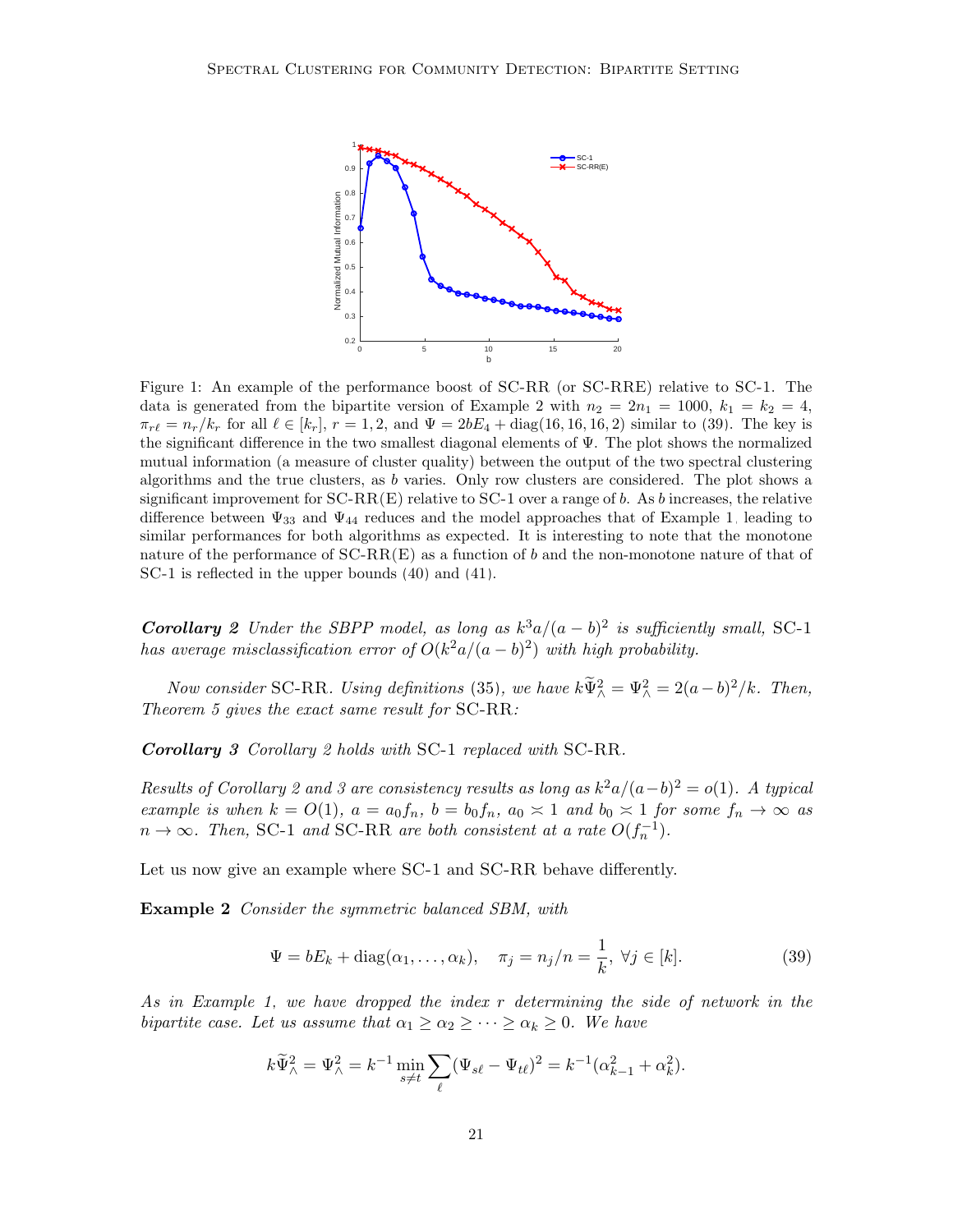<span id="page-20-3"></span>

Figure 1: An example of the performance boost of SC-RR (or SC-RRE) relative to SC-1. The data is generated from the bipartite version of Example [2](#page-20-0) with  $n_2 = 2n_1 = 1000$ ,  $k_1 = k_2 = 4$ ,  $\pi_{r\ell} = n_r/k_r$  for all  $\ell \in [k_r]$ ,  $r = 1, 2$ , and  $\Psi = 2bE_4 + \text{diag}(16, 16, 16, 2)$  similar to [\(39\)](#page-20-1). The key is the significant difference in the two smallest diagonal elements of Ψ. The plot shows the normalized mutual information (a measure of cluster quality) between the output of the two spectral clustering algorithms and the true clusters, as b varies. Only row clusters are considered. The plot shows a significant improvement for  $SC-RR(E)$  relative to  $SC-1$  over a range of b. As b increases, the relative difference between  $\Psi_{33}$  and  $\Psi_{44}$  reduces and the model approaches that of Example [1,](#page-19-1) leading to similar performances for both algorithms as expected. It is interesting to note that the monotone nature of the performance of  $SC-RR(E)$  as a function of b and the non-monotone nature of that of SC-1 is reflected in the upper bounds [\(40\)](#page-21-0) and [\(41\)](#page-21-1).

**Corollary** 2 Under the SBPP model, as long as  $k^3a/(a-b)^2$  is sufficiently small, SC-1 has average misclassification error of  $O(k^2a/(a-b)^2)$  with high probability.

Now consider SC-RR. Using definitions [\(35\)](#page-19-3), we have  $k\widetilde{\Psi}^2_{\wedge} = \Psi^2_{\wedge} = 2(a-b)^2/k$ . Then, Theorem [5](#page-19-0) gives the exact same result for SC-RR:

Corollary 3 Corollary [2](#page-19-4) holds with SC-1 replaced with SC-RR.

Results of Corollary [2](#page-19-4) and [3](#page-20-2) are consistency results as long as  $k^2 a/(a-b)^2 = o(1)$ . A typical example is when  $k = O(1)$ ,  $a = a_0 f_n$ ,  $b = b_0 f_n$ ,  $a_0 \approx 1$  and  $b_0 \approx 1$  for some  $f_n \to \infty$  as  $n \to \infty$ . Then, SC-1 and SC-RR are both consistent at a rate  $O(f_n^{-1})$ .

Let us now give an example where SC-1 and SC-RR behave differently.

**Example 2** Consider the symmetric balanced SBM, with

<span id="page-20-2"></span><span id="page-20-1"></span><span id="page-20-0"></span>
$$
\Psi = bE_k + \text{diag}(\alpha_1, \dots, \alpha_k), \quad \pi_j = n_j/n = \frac{1}{k}, \forall j \in [k].
$$
\n(39)

As in Example [1,](#page-19-1) we have dropped the index r determining the side of network in the bipartite case. Let us assume that  $\alpha_1 \geq \alpha_2 \geq \cdots \geq \alpha_k \geq 0$ . We have

$$
k\widetilde{\Psi}_{\wedge}^{2} = \Psi_{\wedge}^{2} = k^{-1} \min_{s \neq t} \sum_{\ell} (\Psi_{s\ell} - \Psi_{t\ell})^{2} = k^{-1} (\alpha_{k-1}^{2} + \alpha_{k}^{2}).
$$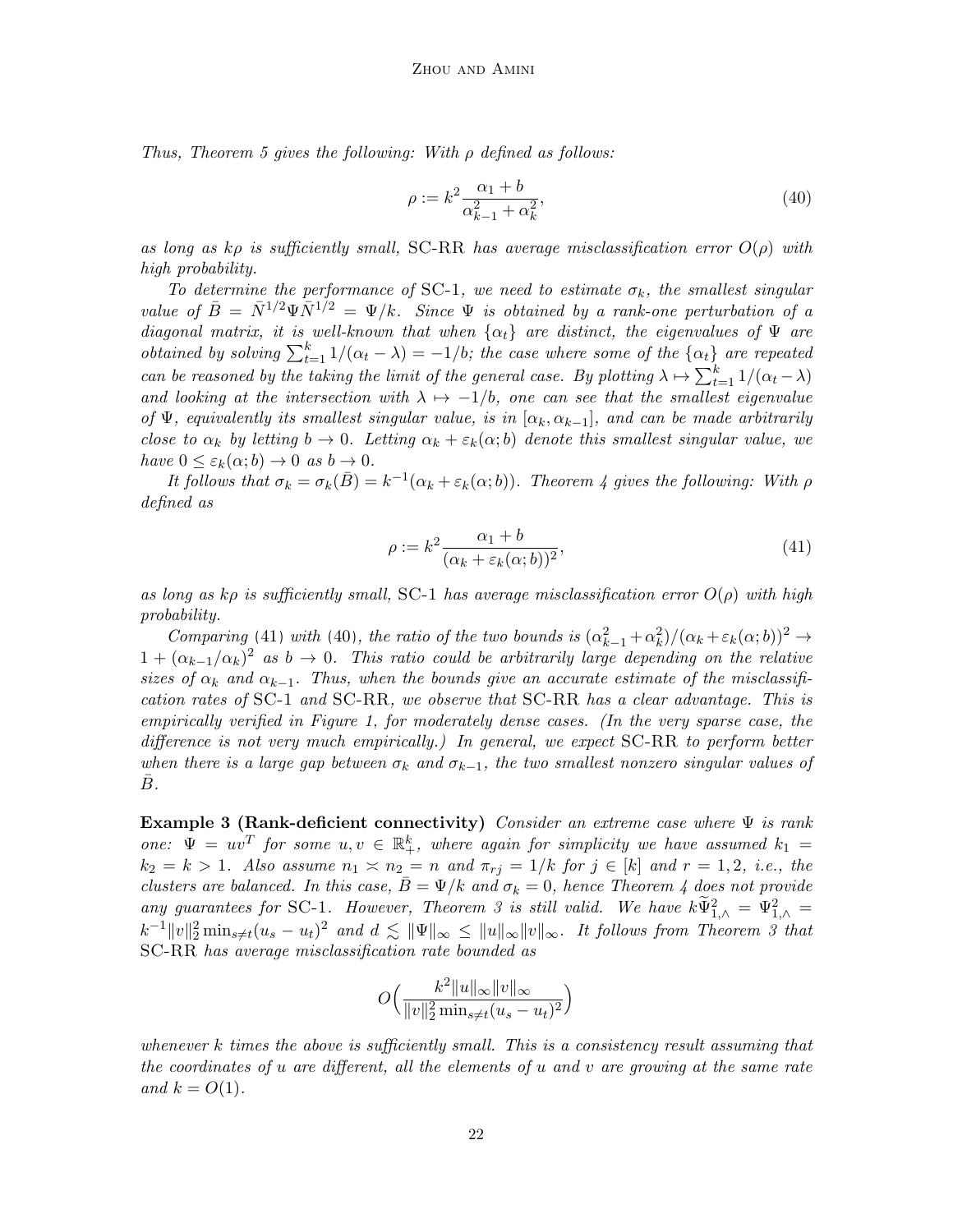Thus, Theorem [5](#page-19-0) gives the following: With  $\rho$  defined as follows:

<span id="page-21-0"></span>
$$
\rho := k^2 \frac{\alpha_1 + b}{\alpha_{k-1}^2 + \alpha_k^2},\tag{40}
$$

as long as kρ is sufficiently small, SC-RR has average misclassification error  $O(\rho)$  with high probability.

To determine the performance of SC-1, we need to estimate  $\sigma_k$ , the smallest singular value of  $\bar{B}=\bar{N}^{1/2}\Psi\bar{N}^{1/2}=\Psi/k$ . Since  $\Psi$  is obtained by a rank-one perturbation of a diagonal matrix, it is well-known that when  $\{\alpha_t\}$  are distinct, the eigenvalues of  $\Psi$  are obtained by solving  $\sum_{t=1}^{k} 1/(\alpha_t - \lambda) = -1/b$ ; the case where some of the  $\{\alpha_t\}$  are repeated can be reasoned by the taking the limit of the general case. By plotting  $\lambda \mapsto \sum_{t=1}^{k} 1/(\alpha_t - \lambda)$ and looking at the intersection with  $\lambda \mapsto -1/b$ , one can see that the smallest eigenvalue of  $\Psi$ , equivalently its smallest singular value, is in  $[\alpha_k, \alpha_{k-1}]$ , and can be made arbitrarily close to  $\alpha_k$  by letting  $b \to 0$ . Letting  $\alpha_k + \varepsilon_k(\alpha; b)$  denote this smallest singular value, we have  $0 \leq \varepsilon_k(\alpha; b) \to 0$  as  $b \to 0$ .

It follows that  $\sigma_k = \sigma_k(\bar{B}) = k^{-1}(\alpha_k + \varepsilon_k(\alpha; b))$ . Theorem [4](#page-17-1) gives the following: With  $\rho$ defined as

<span id="page-21-1"></span>
$$
\rho := k^2 \frac{\alpha_1 + b}{(\alpha_k + \varepsilon_k(\alpha; b))^2},\tag{41}
$$

as long as kρ is sufficiently small, SC-1 has average misclassification error  $O(\rho)$  with high probability.

Comparing [\(41\)](#page-21-1) with [\(40\)](#page-21-0), the ratio of the two bounds is  $(\alpha_{k-1}^2 + \alpha_k^2)/(\alpha_k + \varepsilon_k(\alpha; b))^2 \rightarrow$  $1 + (\alpha_{k-1}/\alpha_k)^2$  as  $b \to 0$ . This ratio could be arbitrarily large depending on the relative sizes of  $\alpha_k$  and  $\alpha_{k-1}$ . Thus, when the bounds give an accurate estimate of the misclassification rates of SC-1 and SC-RR, we observe that SC-RR has a clear advantage. This is empirically verified in Figure [1,](#page-20-3) for moderately dense cases. (In the very sparse case, the difference is not very much empirically.) In general, we expect SC-RR to perform better when there is a large gap between  $\sigma_k$  and  $\sigma_{k-1}$ , the two smallest nonzero singular values of  $B.$ 

**Example 3 (Rank-deficient connectivity)** Consider an extreme case where  $\Psi$  is rank one:  $\Psi = uv^T$  for some  $u, v \in \mathbb{R}^k_+$ , where again for simplicity we have assumed  $k_1 =$  $k_2 = k > 1$ . Also assume  $n_1 \approx n_2 = n$  and  $\pi_{rj} = 1/k$  for  $j \in [k]$  and  $r = 1, 2, i.e.,$  the clusters are balanced. In this case,  $B = \Psi/k$  and  $\sigma_k = 0$ , hence Theorem [4](#page-17-1) does not provide any guarantees for SC-1. However, Theorem [3](#page-18-1) is still valid. We have  $k\widetilde{\Psi}^2_{1,\wedge} = \Psi^2_{1,\wedge} =$  $\|k^{-1}\|v\|_2^2 \min_{s\neq t}(u_s-u_t)^2$  and  $d\lesssim \|\Psi\|_{\infty}\leq \|u\|_{\infty}\|v\|_{\infty}$ . It follows from Theorem [3](#page-18-1) that SC-RR has average misclassification rate bounded as

$$
O\Big(\frac{k^2\|u\|_{\infty}\|v\|_{\infty}}{\|v\|_2^2 \min_{s \neq t} (u_s - u_t)^2}\Big)
$$

whenever k times the above is sufficiently small. This is a consistency result assuming that the coordinates of u are different, all the elements of u and v are growing at the same rate and  $k = O(1)$ .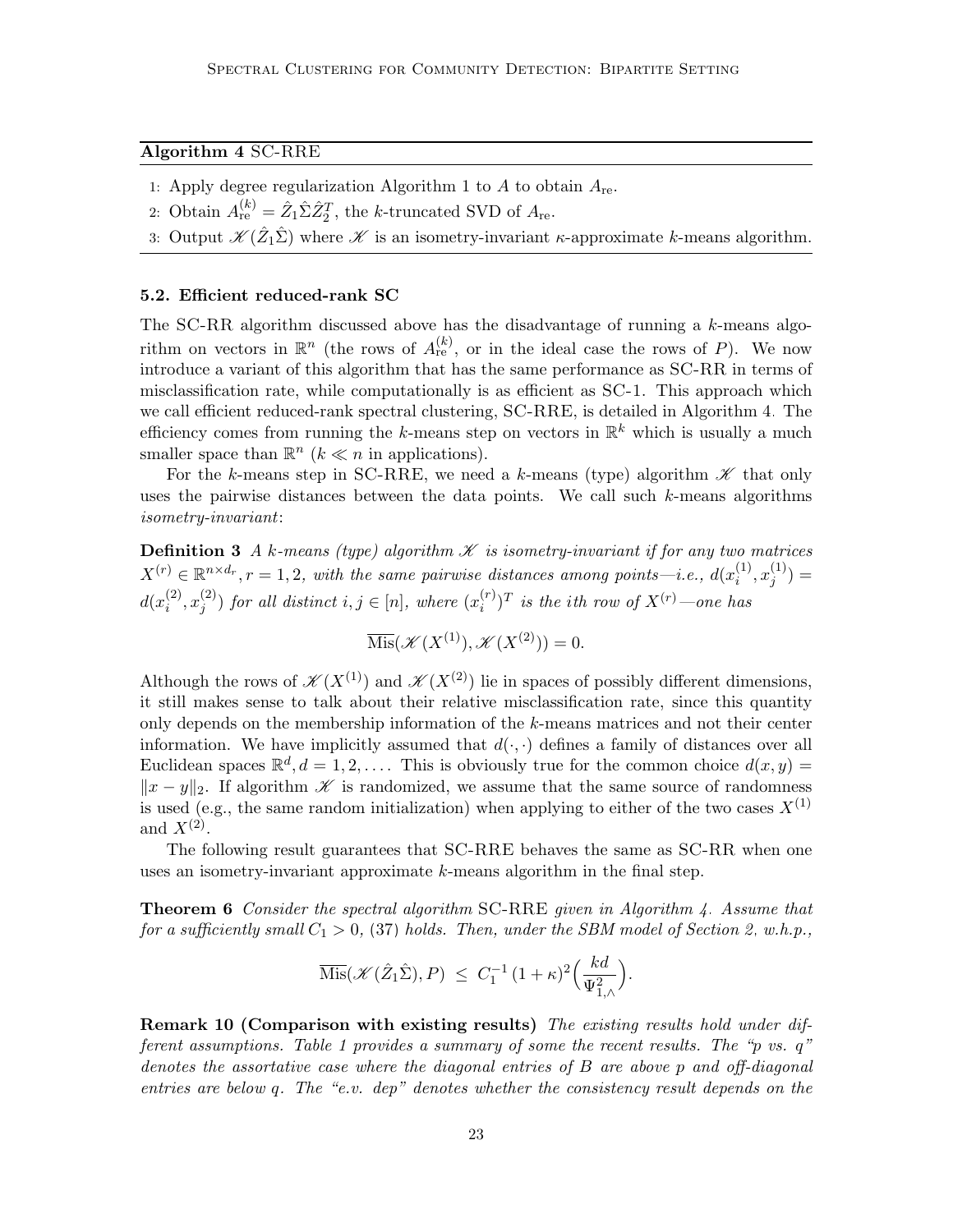# <span id="page-22-0"></span>Algorithm 4 SC-RRE

- 1: Apply degree regularization Algorithm [1](#page-16-0) to  $A$  to obtain  $A_{\text{re}}$ .
- 2: Obtain  $A_{\rm re}^{(k)} = \hat{Z}_1 \hat{\Sigma} \hat{Z}_2^T$ , the k-truncated SVD of  $A_{\rm re}$ .
- 3: Output  $\mathscr{K}(\hat{Z}_1\hat{\Sigma})$  where  $\mathscr{K}$  is an isometry-invariant  $\kappa$ -approximate  $k$ -means algorithm.

#### 5.2. Efficient reduced-rank SC

The SC-RR algorithm discussed above has the disadvantage of running a k-means algorithm on vectors in  $\mathbb{R}^n$  (the rows of  $A_{\text{re}}^{(k)}$ , or in the ideal case the rows of P). We now introduce a variant of this algorithm that has the same performance as SC-RR in terms of misclassification rate, while computationally is as efficient as SC-1. This approach which we call efficient reduced-rank spectral clustering, SC-RRE, is detailed in Algorithm [4.](#page-22-0) The efficiency comes from running the k-means step on vectors in  $\mathbb{R}^k$  which is usually a much smaller space than  $\mathbb{R}^n$  ( $k \ll n$  in applications).

For the k-means step in SC-RRE, we need a k-means (type) algorithm  $\mathscr K$  that only uses the pairwise distances between the data points. We call such k-means algorithms isometry-invariant:

**Definition 3** A k-means (type) algorithm  $\mathcal{K}$  is isometry-invariant if for any two matrices  $X^{(r)} \in \mathbb{R}^{n \times d_r}, r = 1, 2$ , with the same pairwise distances among points—i.e.,  $d(x_i^{(1)})$  $\binom{11}{i}, x_j^{(1)}$  $j^{(1)}$ ) =  $d(x_i^{(2)}$  $\binom{2}{i}, x_j^{(2)}$  $j^{(2)}$ ) for all distinct  $i, j \in [n]$ , where  $(x_i^{(r)})$  $\binom{(r)}{i}$  is the ith row of  $X^{(r)}$ —one has

$$
\overline{\mathrm{Mis}}(\mathcal{K}(X^{(1)}), \mathcal{K}(X^{(2)})) = 0.
$$

Although the rows of  $\mathscr{K}(X^{(1)})$  and  $\mathscr{K}(X^{(2)})$  lie in spaces of possibly different dimensions, it still makes sense to talk about their relative misclassification rate, since this quantity only depends on the membership information of the k-means matrices and not their center information. We have implicitly assumed that  $d(\cdot, \cdot)$  defines a family of distances over all Euclidean spaces  $\mathbb{R}^d, d = 1, 2, \ldots$  This is obviously true for the common choice  $d(x, y) =$  $||x - y||_2$ . If algorithm X is randomized, we assume that the same source of randomness is used (e.g., the same random initialization) when applying to either of the two cases  $X^{(1)}$ and  $X^{(2)}$ .

The following result guarantees that SC-RRE behaves the same as SC-RR when one uses an isometry-invariant approximate k-means algorithm in the final step.

<span id="page-22-1"></span>Theorem 6 Consider the spectral algorithm SC-RRE given in Algorithm [4.](#page-22-0) Assume that for a sufficiently small  $C_1 > 0$ , [\(37\)](#page-19-2) holds. Then, under the SBM model of Section [2,](#page-3-1) w.h.p.,

$$
\overline{\mathrm{Mis}}(\mathscr{K}(\hat{Z}_1\hat{\Sigma}), P) \leq C_1^{-1} (1+\kappa)^2 \Big(\frac{kd}{\Psi_{1,\wedge}^2}\Big).
$$

<span id="page-22-2"></span>Remark 10 (Comparison with existing results) The existing results hold under different assumptions. Table [1](#page-23-2) provides a summary of some the recent results. The "p vs. q" denotes the assortative case where the diagonal entries of B are above p and off-diagonal entries are below q. The "e.v. dep" denotes whether the consistency result depends on the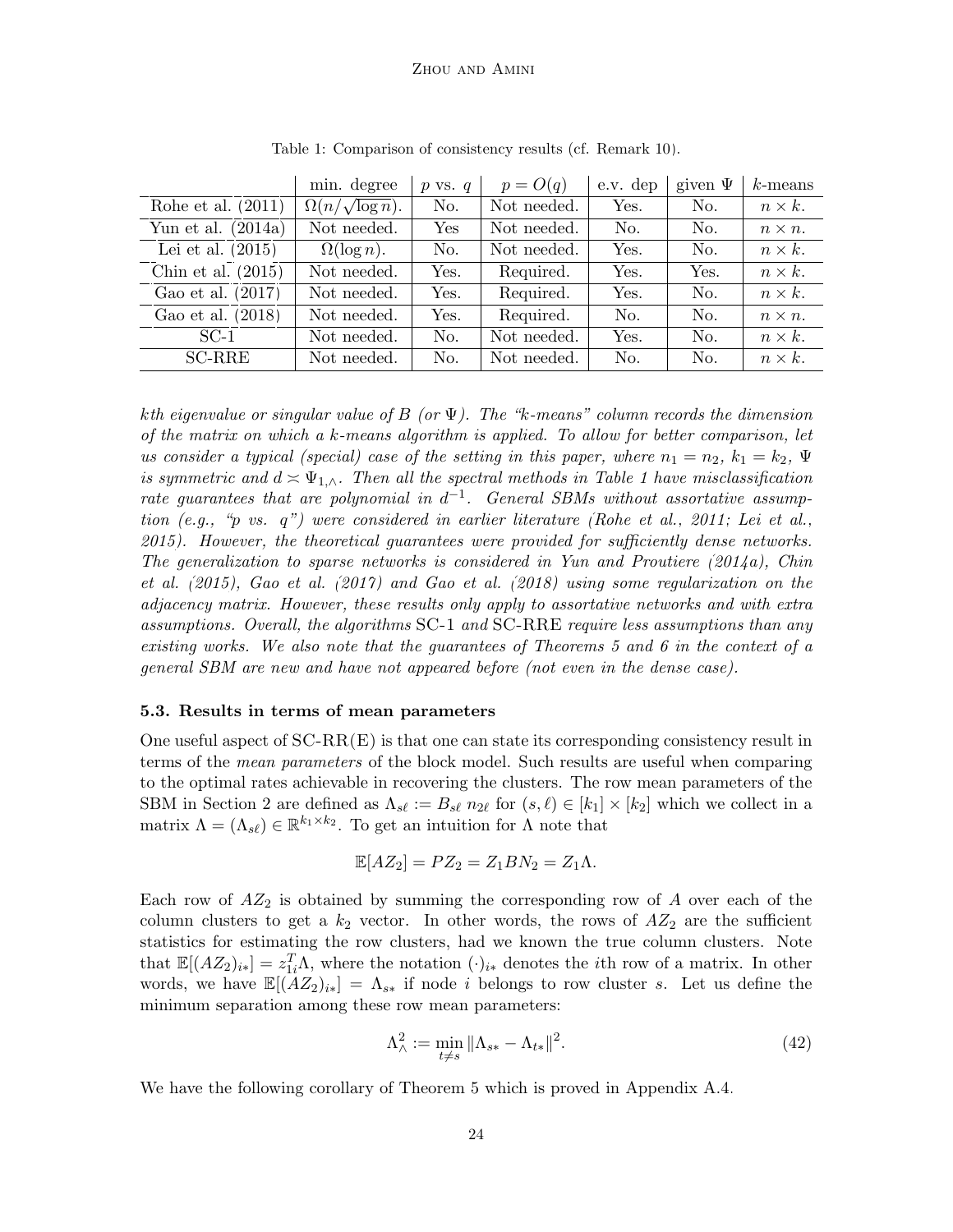<span id="page-23-2"></span>

|                      | min. degree                 | $p$ vs. $q$ | $p = O(q)$  | e.v. dep | given $\Psi$ | $k$ -means     |
|----------------------|-----------------------------|-------------|-------------|----------|--------------|----------------|
| Rohe et al. $(2011)$ | $\Omega(n/\sqrt{\log n})$ . | No.         | Not needed. | Yes.     | No.          | $n \times k$ . |
| Yun et al. $(2014a)$ | Not needed.                 | Yes         | Not needed. | No.      | No.          | $n \times n$ . |
| Lei et al. $(2015)$  | $\Omega(\log n)$ .          | No.         | Not needed. | Yes.     | No.          | $n \times k$ . |
| Chin et al. $(2015)$ | Not needed.                 | Yes.        | Required.   | Yes.     | Yes.         | $n \times k$ . |
| Gao et al. (2017)    | Not needed.                 | Yes.        | Required.   | Yes.     | No.          | $n \times k$ . |
| Gao et al. (2018)    | Not needed.                 | Yes.        | Required.   | No.      | No.          | $n \times n$ . |
| $SC-1$               | Not needed.                 | No.         | Not needed. | Yes.     | No.          | $n \times k$ . |
| <b>SC-RRE</b>        | Not needed.                 | No.         | Not needed. | No.      | No.          | $n \times k$ . |

Table 1: Comparison of consistency results (cf. Remark [10\)](#page-22-2).

kth eigenvalue or singular value of B (or  $\Psi$ ). The "k-means" column records the dimension of the matrix on which a k-means algorithm is applied. To allow for better comparison, let us consider a typical (special) case of the setting in this paper, where  $n_1 = n_2$ ,  $k_1 = k_2$ ,  $\Psi$ is symmetric and  $d \simeq \Psi_{1,\wedge}$ . Then all the spectral methods in Table [1](#page-23-2) have misclassification rate guarantees that are polynomial in  $d^{-1}$ . General SBMs without assortative assumption (e.g., "p vs. q") were considered in earlier literature [\(Rohe et al., 2011;](#page-45-3) [Lei et al.,](#page-45-5) [2015\)](#page-45-5). However, the theoretical guarantees were provided for sufficiently dense networks. The generalization to sparse networks is considered in [Yun and Proutiere](#page-46-3) [\(2014a\)](#page-46-3), [Chin](#page-43-5) [et al.](#page-43-5) [\(2015\)](#page-43-5), [Gao et al.](#page-44-4) [\(2017\)](#page-44-4) and [Gao et al.](#page-44-7) [\(2018\)](#page-44-7) using some regularization on the adjacency matrix. However, these results only apply to assortative networks and with extra assumptions. Overall, the algorithms SC-1 and SC-RRE require less assumptions than any existing works. We also note that the guarantees of Theorems [5](#page-19-0) and [6](#page-22-1) in the context of a general SBM are new and have not appeared before (not even in the dense case).

# <span id="page-23-1"></span>5.3. Results in terms of mean parameters

One useful aspect of  $SC-RR(E)$  is that one can state its corresponding consistency result in terms of the mean parameters of the block model. Such results are useful when comparing to the optimal rates achievable in recovering the clusters. The row mean parameters of the SBM in Section [2](#page-3-1) are defined as  $\Lambda_{s\ell} := B_{s\ell} n_{2\ell}$  for  $(s, \ell) \in [k_1] \times [k_2]$  which we collect in a matrix  $\Lambda = (\Lambda_{s\ell}) \in \mathbb{R}^{k_1 \times k_2}$ . To get an intuition for  $\Lambda$  note that

$$
\mathbb{E}[AZ_2] = PZ_2 = Z_1BN_2 = Z_1\Lambda.
$$

Each row of  $AZ_2$  is obtained by summing the corresponding row of A over each of the column clusters to get a  $k_2$  vector. In other words, the rows of  $AZ_2$  are the sufficient statistics for estimating the row clusters, had we known the true column clusters. Note that  $\mathbb{E}[(AZ_2)_{i*}] = z_{1i}^T \Lambda$ , where the notation  $(\cdot)_{i*}$  denotes the *i*th row of a matrix. In other words, we have  $\mathbb{E}[(AZ_2)_{i*}] = \Lambda_{s*}$  if node i belongs to row cluster s. Let us define the minimum separation among these row mean parameters:

<span id="page-23-3"></span>
$$
\Lambda^2_{\wedge} := \min_{t \neq s} \|\Lambda_{s*} - \Lambda_{t*}\|^2. \tag{42}
$$

<span id="page-23-0"></span>We have the following corollary of Theorem [5](#page-19-0) which is proved in Appendix [A.4.](#page-35-0)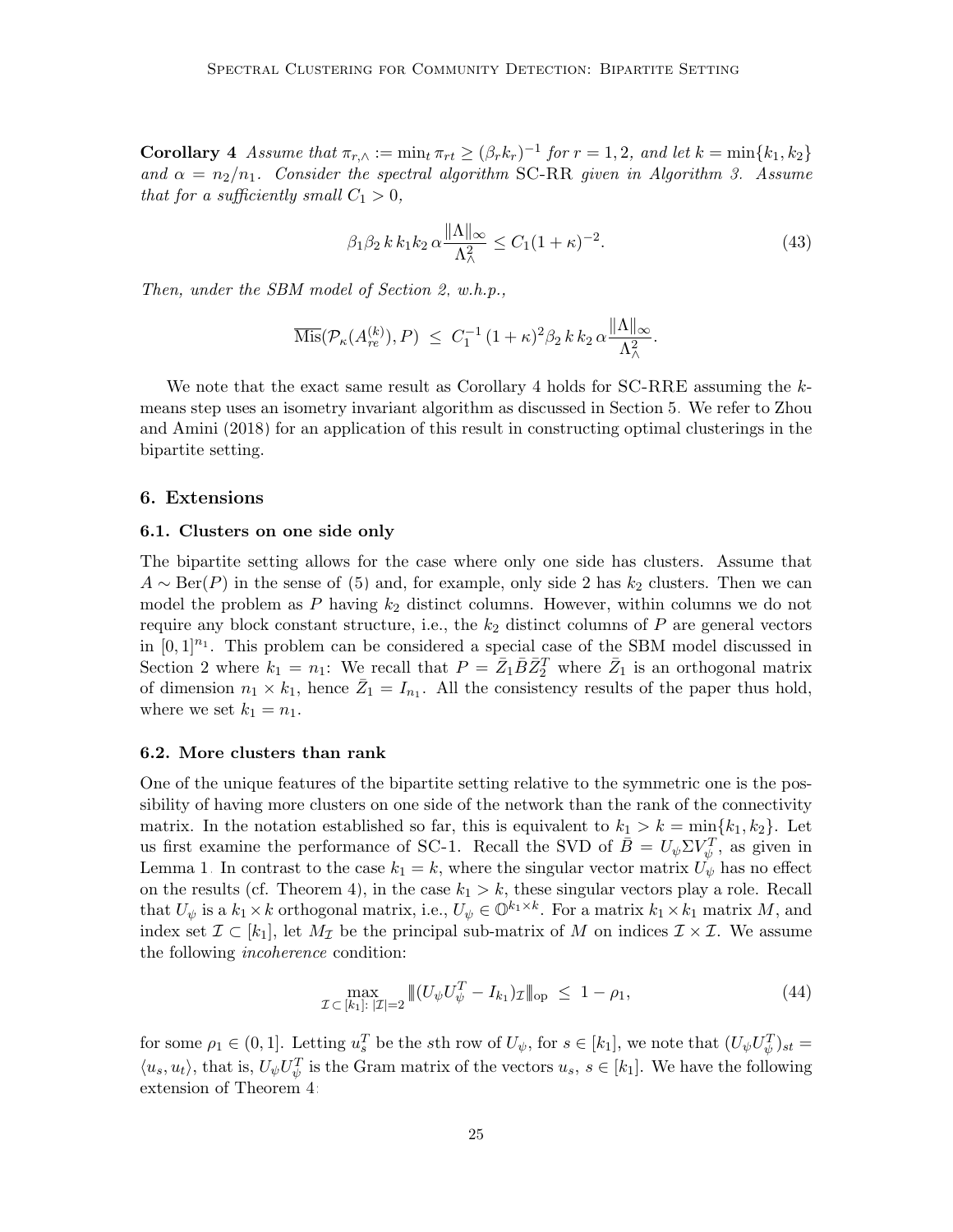**Corollary** 4 Assume that  $\pi_{r,\wedge} := \min_t \pi_{rt} \geq (\beta_r k_r)^{-1}$  for  $r = 1, 2$ , and let  $k = \min\{k_1, k_2\}$ and  $\alpha = n_2/n_1$ . Consider the spectral algorithm SC-RR given in Algorithm [3.](#page-18-1) Assume that for a sufficiently small  $C_1 > 0$ ,

<span id="page-24-3"></span>
$$
\beta_1 \beta_2 k k_1 k_2 \alpha \frac{\|\Lambda\|_{\infty}}{\Lambda_{\Lambda}^2} \le C_1 (1+\kappa)^{-2}.
$$
\n(43)

Then, under the SBM model of Section [2,](#page-3-1) w.h.p.,

$$
\overline{\mathrm{Mis}}(\mathcal{P}_{\kappa}(A_{re}^{(k)}), P) \leq C_1^{-1} (1+\kappa)^2 \beta_2 k k_2 \alpha \frac{\|\Lambda\|_{\infty}}{\Lambda_{\wedge}^2}.
$$

We note that the exact same result as Corollary [4](#page-23-0) holds for SC-RRE assuming the kmeans step uses an isometry invariant algorithm as discussed in Section [5.](#page-17-0) We refer to [Zhou](#page-46-5) [and Amini](#page-46-5) [\(2018\)](#page-46-5) for an application of this result in constructing optimal clusterings in the bipartite setting.

# <span id="page-24-0"></span>6. Extensions

#### <span id="page-24-1"></span>6.1. Clusters on one side only

The bipartite setting allows for the case where only one side has clusters. Assume that  $A \sim \text{Ber}(P)$  in the sense of [\(5\)](#page-4-2) and, for example, only side 2 has  $k_2$  clusters. Then we can model the problem as  $P$  having  $k_2$  distinct columns. However, within columns we do not require any block constant structure, i.e., the  $k_2$  distinct columns of P are general vectors in  $[0,1]^{n_1}$ . This problem can be considered a special case of the SBM model discussed in Section [2](#page-3-1) where  $k_1 = n_1$ : We recall that  $P = \bar{Z}_1 \bar{B} \bar{Z}_2^T$  where  $\bar{Z}_1$  is an orthogonal matrix of dimension  $n_1 \times k_1$ , hence  $\bar{Z}_1 = I_{n_1}$ . All the consistency results of the paper thus hold, where we set  $k_1 = n_1$ .

#### <span id="page-24-2"></span>6.2. More clusters than rank

One of the unique features of the bipartite setting relative to the symmetric one is the possibility of having more clusters on one side of the network than the rank of the connectivity matrix. In the notation established so far, this is equivalent to  $k_1 > k = \min\{k_1, k_2\}$ . Let us first examine the performance of SC-1. Recall the SVD of  $\bar{B} = U_{\psi} \Sigma V_{\psi}^{T}$ , as given in Lemma [1.](#page-4-1) In contrast to the case  $k_1 = k$ , where the singular vector matrix  $U_{\psi}$  has no effect on the results (cf. Theorem [4\)](#page-17-1), in the case  $k_1 > k$ , these singular vectors play a role. Recall that  $U_{\psi}$  is a  $k_1 \times k$  orthogonal matrix, i.e.,  $U_{\psi} \in \mathbb{O}^{k_1 \times k}$ . For a matrix  $k_1 \times k_1$  matrix M, and index set  $\mathcal{I} \subset [k_1]$ , let  $M_{\mathcal{I}}$  be the principal sub-matrix of M on indices  $\mathcal{I} \times \mathcal{I}$ . We assume the following incoherence condition:

<span id="page-24-5"></span>
$$
\max_{\mathcal{I} \subset [k_1]: |\mathcal{I}| = 2} \| (U_{\psi} U_{\psi}^T - I_{k_1})_{\mathcal{I}} \|_{\text{op}} \le 1 - \rho_1,\tag{44}
$$

<span id="page-24-4"></span>for some  $\rho_1 \in (0,1]$ . Letting  $u_s^T$  be the sth row of  $U_{\psi}$ , for  $s \in [k_1]$ , we note that  $(U_{\psi}U_{\psi}^T)_{st} =$  $\langle u_s, u_t \rangle$ , that is,  $U_{\psi} U_{\psi}^T$  is the Gram matrix of the vectors  $u_s, s \in [k_1]$ . We have the following extension of Theorem [4:](#page-17-1)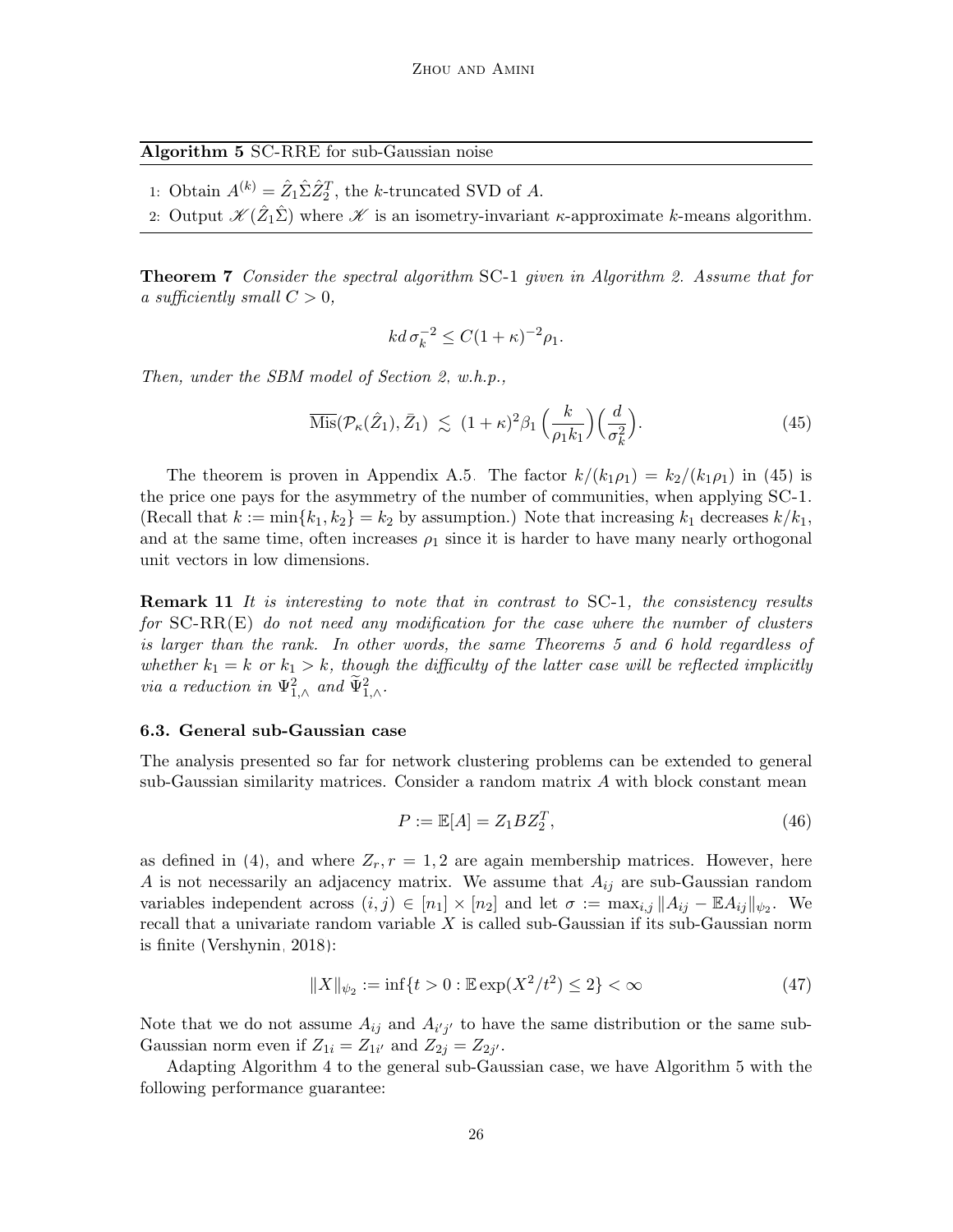<span id="page-25-2"></span>Algorithm 5 SC-RRE for sub-Gaussian noise

- 1: Obtain  $A^{(k)} = \hat{Z}_1 \hat{\Sigma} \hat{Z}_2^T$ , the k-truncated SVD of A.
- 2: Output  $\mathscr{K}(\hat{Z}_1\hat{\Sigma})$  where  $\mathscr{K}$  is an isometry-invariant  $\kappa$ -approximate  $k$ -means algorithm.

Theorem 7 Consider the spectral algorithm SC-1 given in Algorithm [2.](#page-18-0) Assume that for a sufficiently small  $C > 0$ ,

<span id="page-25-1"></span>
$$
kd\,\sigma_k^{-2} \le C(1+\kappa)^{-2}\rho_1.
$$

Then, under the SBM model of Section [2,](#page-3-1) w.h.p.,

$$
\overline{\text{Mis}}(\mathcal{P}_{\kappa}(\hat{Z}_1), \bar{Z}_1) \lesssim (1+\kappa)^2 \beta_1 \left(\frac{k}{\rho_1 k_1}\right) \left(\frac{d}{\sigma_k^2}\right). \tag{45}
$$

The theorem is proven in Appendix [A.5.](#page-37-0) The factor  $k/(k_1\rho_1) = k_2/(k_1\rho_1)$  in [\(45\)](#page-25-1) is the price one pays for the asymmetry of the number of communities, when applying SC-1. (Recall that  $k := \min\{k_1, k_2\} = k_2$  by assumption.) Note that increasing  $k_1$  decreases  $k/k_1$ , and at the same time, often increases  $\rho_1$  since it is harder to have many nearly orthogonal unit vectors in low dimensions.

**Remark 11** It is interesting to note that in contrast to SC-1, the consistency results for  $SC-RR(E)$  do not need any modification for the case where the number of clusters is larger than the rank. In other words, the same Theorems [5](#page-19-0) and [6](#page-22-1) hold regardless of whether  $k_1 = k$  or  $k_1 > k$ , though the difficulty of the latter case will be reflected implicitly *via a reduction in*  $\Psi_{1,\wedge}^2$  *and*  $\widetilde{\Psi}_{1,\wedge}^2$ .

#### <span id="page-25-0"></span>6.3. General sub-Gaussian case

The analysis presented so far for network clustering problems can be extended to general sub-Gaussian similarity matrices. Consider a random matrix A with block constant mean

$$
P := \mathbb{E}[A] = Z_1 B Z_2^T,\tag{46}
$$

as defined in [\(4\)](#page-4-0), and where  $Z_r$ ,  $r = 1, 2$  are again membership matrices. However, here A is not necessarily an adjacency matrix. We assume that  $A_{ij}$  are sub-Gaussian random variables independent across  $(i, j) \in [n_1] \times [n_2]$  and let  $\sigma := \max_{i,j} ||A_{ij} - \mathbb{E}A_{ij}||_{\psi_2}$ . We recall that a univariate random variable  $X$  is called sub-Gaussian if its sub-Gaussian norm is finite [\(Vershynin, 2018\)](#page-46-7):

$$
||X||_{\psi_2} := \inf\{t > 0 : \mathbb{E}\exp(X^2/t^2) \le 2\} < \infty
$$
\n(47)

Note that we do not assume  $A_{ij}$  and  $A_{i'j'}$  to have the same distribution or the same sub-Gaussian norm even if  $Z_{1i} = Z_{1i'}$  and  $Z_{2j} = Z_{2j'}$ .

<span id="page-25-3"></span>Adapting Algorithm [4](#page-22-0) to the general sub-Gaussian case, we have Algorithm [5](#page-25-2) with the following performance guarantee: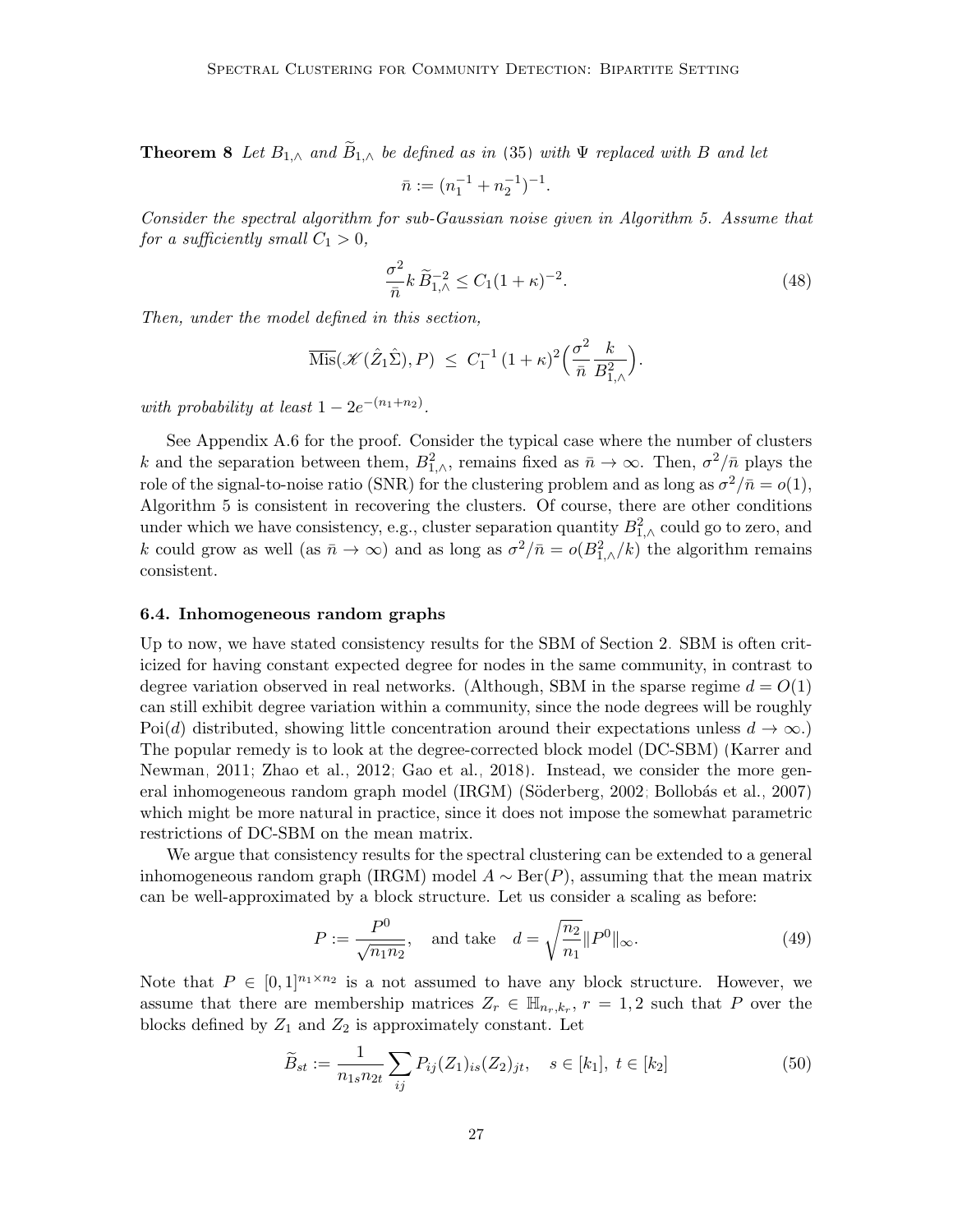**Theorem 8** Let  $B_{1,\wedge}$  and  $B_{1,\wedge}$  be defined as in [\(35\)](#page-19-3) with  $\Psi$  replaced with B and let

$$
\bar{n} := (n_1^{-1} + n_2^{-1})^{-1}.
$$

Consider the spectral algorithm for sub-Gaussian noise given in Algorithm [5.](#page-25-2) Assume that for a sufficiently small  $C_1 > 0$ ,

$$
\frac{\sigma^2}{\bar{n}}k\,\tilde{B}_{1,\wedge}^{-2} \le C_1(1+\kappa)^{-2}.\tag{48}
$$

Then, under the model defined in this section,

$$
\overline{\mathrm{Mis}}(\mathscr{K}(\hat{Z}_1\hat{\Sigma}), P) \leq C_1^{-1} (1+\kappa)^2 \Big(\frac{\sigma^2}{\bar{n}} \frac{k}{B_{1,\wedge}^2}\Big).
$$

with probability at least  $1 - 2e^{-(n_1+n_2)}$ .

See Appendix [A.6](#page-38-0) for the proof. Consider the typical case where the number of clusters k and the separation between them,  $B_{1,\wedge}^2$ , remains fixed as  $\bar{n} \to \infty$ . Then,  $\sigma^2/\bar{n}$  plays the role of the signal-to-noise ratio (SNR) for the clustering problem and as long as  $\sigma^2/\bar{n} = o(1)$ , Algorithm [5](#page-25-2) is consistent in recovering the clusters. Of course, there are other conditions under which we have consistency, e.g., cluster separation quantity  $B_{1,\wedge}^2$  could go to zero, and k could grow as well (as  $\bar{n} \to \infty$ ) and as long as  $\sigma^2/\bar{n} = o(B_{1,\wedge}^2/k)$  the algorithm remains consistent.

#### <span id="page-26-0"></span>6.4. Inhomogeneous random graphs

Up to now, we have stated consistency results for the SBM of Section [2.](#page-3-1) SBM is often criticized for having constant expected degree for nodes in the same community, in contrast to degree variation observed in real networks. (Although, SBM in the sparse regime  $d = O(1)$ ) can still exhibit degree variation within a community, since the node degrees will be roughly Poi(d) distributed, showing little concentration around their expectations unless  $d \to \infty$ . The popular remedy is to look at the degree-corrected block model (DC-SBM) [\(Karrer and](#page-44-10) [Newman, 2011;](#page-44-10) [Zhao et al., 2012;](#page-46-8) [Gao et al., 2018\)](#page-44-7). Instead, we consider the more general inhomogeneous random graph model (IRGM) (Söderberg, 2002; Bollobás et al., 2007) which might be more natural in practice, since it does not impose the somewhat parametric restrictions of DC-SBM on the mean matrix.

We argue that consistency results for the spectral clustering can be extended to a general inhomogeneous random graph (IRGM) model  $A \sim \text{Ber}(P)$ , assuming that the mean matrix can be well-approximated by a block structure. Let us consider a scaling as before:

<span id="page-26-2"></span><span id="page-26-1"></span>
$$
P := \frac{P^0}{\sqrt{n_1 n_2}}, \quad \text{and take} \quad d = \sqrt{\frac{n_2}{n_1}} \| P^0 \|_{\infty}.
$$
 (49)

Note that  $P \in [0,1]^{n_1 \times n_2}$  is a not assumed to have any block structure. However, we assume that there are membership matrices  $Z_r \in \mathbb{H}_{n_r,k_r}$ ,  $r = 1,2$  such that P over the blocks defined by  $Z_1$  and  $Z_2$  is approximately constant. Let

$$
\widetilde{B}_{st} := \frac{1}{n_{1s}n_{2t}} \sum_{ij} P_{ij}(Z_1)_{is}(Z_2)_{jt}, \quad s \in [k_1], \ t \in [k_2]
$$
\n
$$
(50)
$$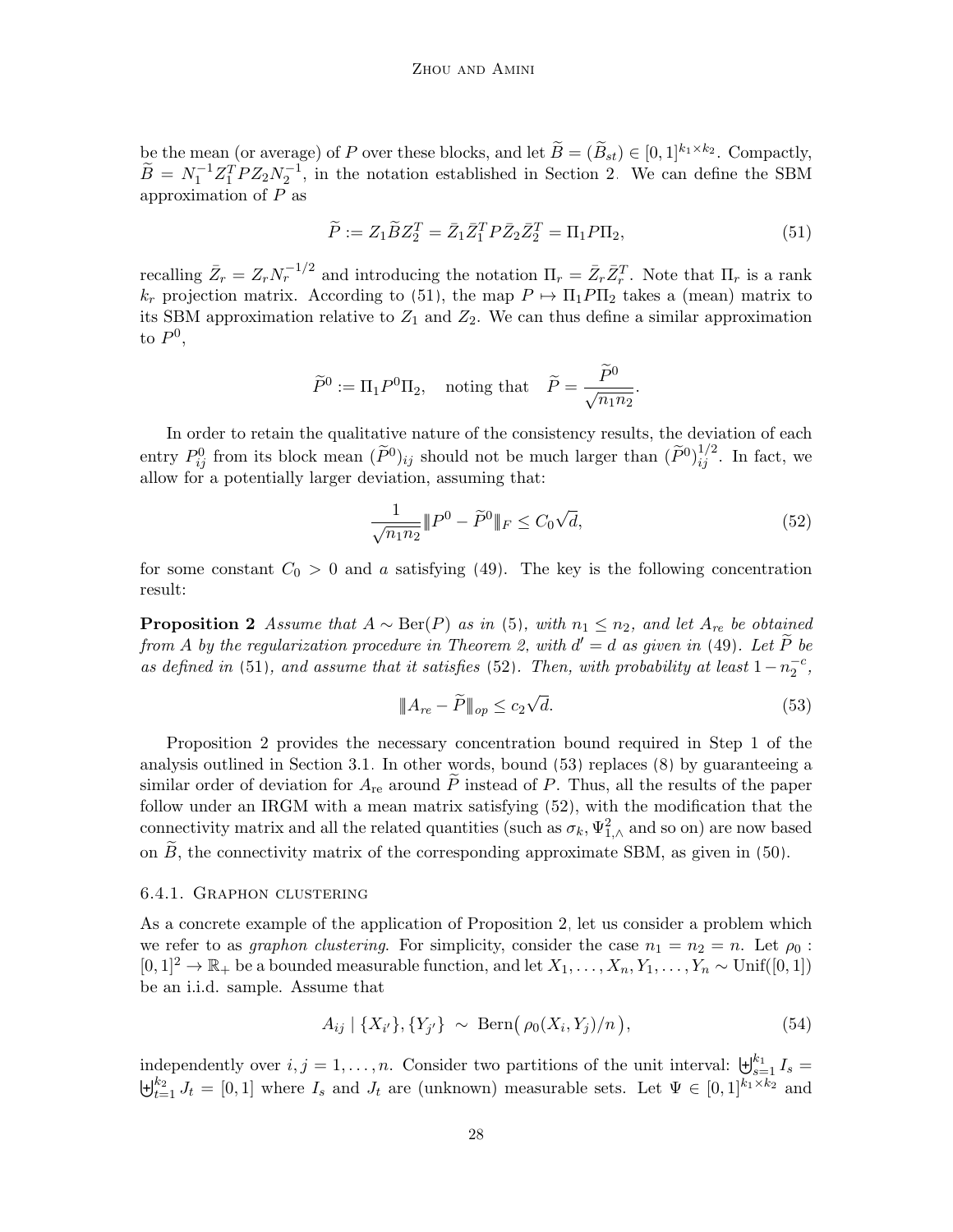be the mean (or average) of P over these blocks, and let  $\widetilde{B} = (\widetilde{B}_{st}) \in [0,1]^{k_1 \times k_2}$ . Compactly,  $\widetilde{B} = N_1^{-1}Z_1^T P Z_2 N_2^{-1}$ , in the notation established in Section [2.](#page-3-1) We can define the SBM approximation of  $P$  as

<span id="page-27-0"></span>
$$
\widetilde{P} := Z_1 \widetilde{B} Z_2^T = \overline{Z}_1 \overline{Z}_1^T P \overline{Z}_2 \overline{Z}_2^T = \Pi_1 P \Pi_2,\tag{51}
$$

recalling  $\bar{Z}_r = Z_r N_r^{-1/2}$  and introducing the notation  $\Pi_r = \bar{Z}_r \bar{Z}_r^T$ . Note that  $\Pi_r$  is a rank  $k_r$  projection matrix. According to [\(51\)](#page-27-0), the map  $P \mapsto \Pi_1 P \Pi_2$  takes a (mean) matrix to its SBM approximation relative to  $Z_1$  and  $Z_2$ . We can thus define a similar approximation to  $P^0$ ,

$$
\widetilde{P}^0 := \Pi_1 P^0 \Pi_2, \quad \text{noting that} \quad \widetilde{P} = \frac{\widetilde{P}^0}{\sqrt{n_1 n_2}}.
$$

In order to retain the qualitative nature of the consistency results, the deviation of each entry  $P_{ij}^0$  from its block mean  $(\tilde{P}^0)_{ij}$  should not be much larger than  $(\tilde{P}^0)_{ij}^{1/2}$ . In fact, we allow for a potentially larger deviation, assuming that:

<span id="page-27-1"></span>
$$
\frac{1}{\sqrt{n_1 n_2}} \| P^0 - \tilde{P}^0 \|_F \le C_0 \sqrt{d},\tag{52}
$$

<span id="page-27-2"></span>for some constant  $C_0 > 0$  and a satisfying [\(49\)](#page-26-1). The key is the following concentration result:

**Proposition 2** Assume that  $A \sim \text{Ber}(P)$  as in [\(5\)](#page-4-2), with  $n_1 \leq n_2$ , and let  $A_{re}$  be obtained from A by the regularization procedure in Theorem [2,](#page-14-1) with  $d' = d$  as given in [\(49\)](#page-26-1). Let  $\tilde{P}$  be as defined in [\(51\)](#page-27-0), and assume that it satisfies [\(52\)](#page-27-1). Then, with probability at least  $1-n_2^{-c}$ ,

<span id="page-27-3"></span>
$$
\|A_{re} - \widetilde{P}\|_{op} \le c_2 \sqrt{d}.\tag{53}
$$

Proposition [2](#page-27-2) provides the necessary concentration bound required in Step 1 of the analysis outlined in Section [3.1.](#page-6-1) In other words, bound [\(53\)](#page-27-3) replaces [\(8\)](#page-6-3) by guaranteeing a similar order of deviation for  $A_{\text{re}}$  around P instead of P. Thus, all the results of the paper follow under an IRGM with a mean matrix satisfying [\(52\)](#page-27-1), with the modification that the connectivity matrix and all the related quantities (such as  $\sigma_k, \Psi_{1,\wedge}^2$  and so on) are now based on  $\widetilde{B}$ , the connectivity matrix of the corresponding approximate SBM, as given in [\(50\)](#page-26-2).

#### 6.4.1. Graphon clustering

As a concrete example of the application of Proposition [2,](#page-27-2) let us consider a problem which we refer to as graphon clustering. For simplicity, consider the case  $n_1 = n_2 = n$ . Let  $\rho_0$ :  $[0,1]^2 \to \mathbb{R}_+$  be a bounded measurable function, and let  $X_1, \ldots, X_n, Y_1, \ldots, Y_n \sim \text{Unif}([0,1])$ be an i.i.d. sample. Assume that

<span id="page-27-4"></span>
$$
A_{ij} | \{X_{i'}\}, \{Y_{j'}\} \sim \text{Bern}\big(\rho_0(X_i, Y_j)/n\big), \tag{54}
$$

independently over  $i, j = 1, ..., n$ . Consider two partitions of the unit interval:  $\biguplus_{s=1}^{k_1} I_s =$  $\biguplus_{t=1}^{k_2} J_t = [0,1]$  where  $I_s$  and  $J_t$  are (unknown) measurable sets. Let  $\Psi \in [0,1]^{k_1 \times k_2}$  and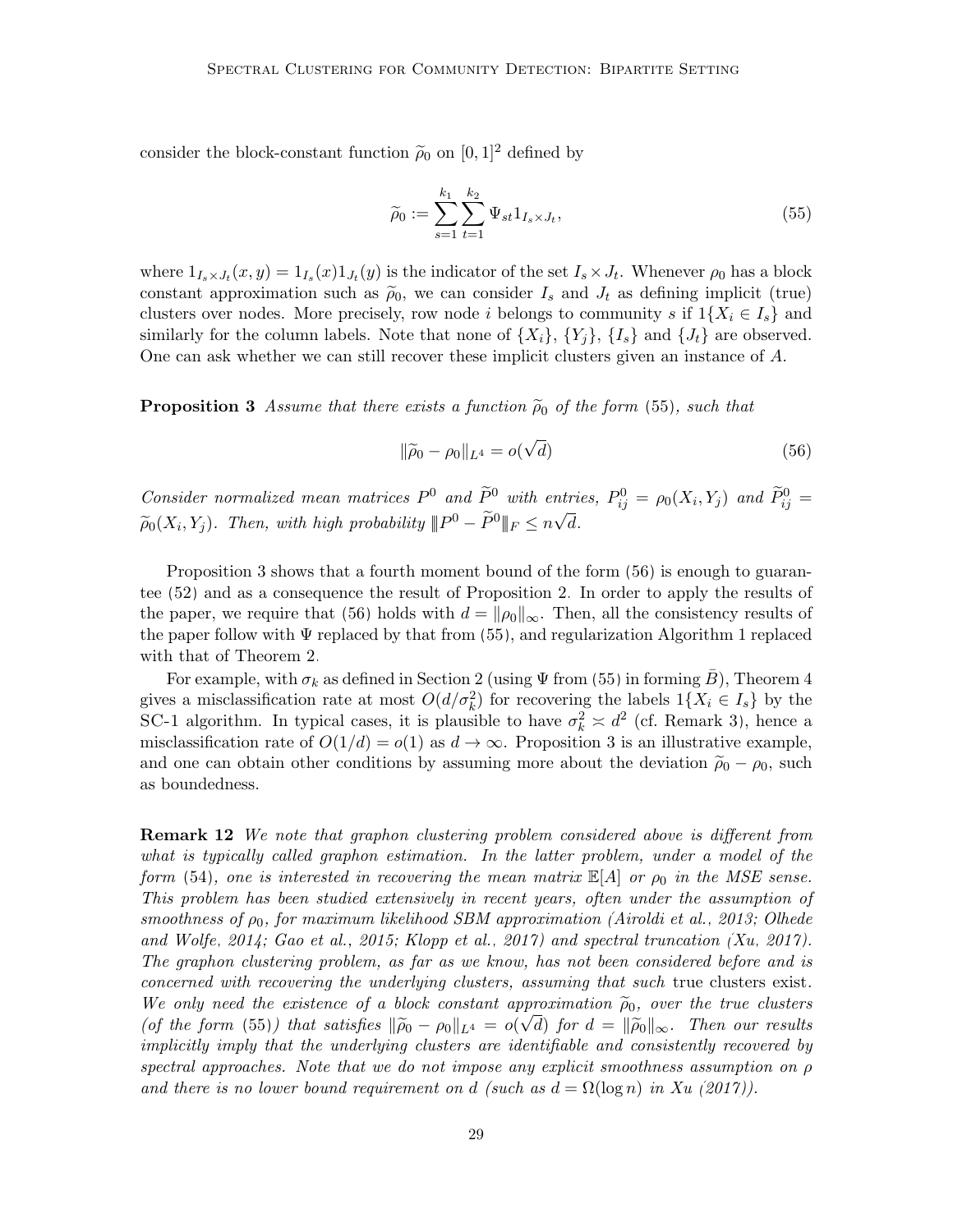consider the block-constant function  $\tilde{\rho}_0$  on  $[0, 1]^2$  defined by

<span id="page-28-0"></span>
$$
\widetilde{\rho}_0 := \sum_{s=1}^{k_1} \sum_{t=1}^{k_2} \Psi_{st} 1_{I_s \times J_t},\tag{55}
$$

where  $1_{I_s\times J_t}(x,y)=1_{I_s}(x)1_{J_t}(y)$  is the indicator of the set  $I_s\times J_t$ . Whenever  $\rho_0$  has a block constant approximation such as  $\tilde{\rho}_0$ , we can consider  $I_s$  and  $J_t$  as defining implicit (true) clusters over nodes. More precisely, row node i belongs to community s if  $1\{X_i \in I_s\}$  and similarly for the column labels. Note that none of  $\{X_i\}$ ,  $\{Y_i\}$ ,  $\{I_s\}$  and  $\{J_t\}$  are observed. One can ask whether we can still recover these implicit clusters given an instance of A.

<span id="page-28-1"></span>**Proposition 3** Assume that there exists a function  $\tilde{\rho}_0$  of the form [\(55\)](#page-28-0), such that

<span id="page-28-2"></span>
$$
\|\tilde{\rho}_0 - \rho_0\|_{L^4} = o(\sqrt{d})\tag{56}
$$

Consider normalized mean matrices  $P^0$  and  $\widetilde{P}^0$  with entries,  $P_{ij}^0 = \rho_0(X_i, Y_j)$  and  $\widetilde{P}_{ij}^0 = \widetilde{\rho}_0(X_i, Y_j)$  $\widetilde{\rho}_0(X_i, Y_j)$ . Then, with high probability  $||P^0 - \widetilde{P}^0||_F \le n\sqrt{d}$ .

Proposition [3](#page-28-1) shows that a fourth moment bound of the form [\(56\)](#page-28-2) is enough to guarantee [\(52\)](#page-27-1) and as a consequence the result of Proposition [2.](#page-27-2) In order to apply the results of the paper, we require that [\(56\)](#page-28-2) holds with  $d = ||\rho_0||_{\infty}$ . Then, all the consistency results of the paper follow with  $\Psi$  replaced by that from [\(55\)](#page-28-0), and regularization Algorithm [1](#page-16-0) replaced with that of Theorem [2.](#page-14-1)

For example, with  $\sigma_k$  as defined in Section [2](#page-3-1) (using  $\Psi$  from [\(55\)](#page-28-0) in forming B), Theorem [4](#page-17-1) gives a misclassification rate at most  $O(d/\sigma_k^2)$  for recovering the labels  $1\{X_i \in I_s\}$  by the SC-1 algorithm. In typical cases, it is plausible to have  $\sigma_k^2 \approx d^2$  (cf. Remark [3\)](#page-8-1), hence a misclassification rate of  $O(1/d) = o(1)$  as  $d \to \infty$ . Proposition [3](#page-28-1) is an illustrative example, and one can obtain other conditions by assuming more about the deviation  $\tilde{\rho}_0 - \rho_0$ , such as boundedness.

**Remark 12** We note that graphon clustering problem considered above is different from what is typically called graphon estimation. In the latter problem, under a model of the form [\(54\)](#page-27-4), one is interested in recovering the mean matrix  $\mathbb{E}[A]$  or  $\rho_0$  in the MSE sense. This problem has been studied extensively in recent years, often under the assumption of smoothness of  $\rho_0$ , for maximum likelihood SBM approximation [\(Airoldi et al., 2013;](#page-42-2) [Olhede](#page-45-13) [and Wolfe, 2014;](#page-45-13) [Gao et al., 2015;](#page-44-11) [Klopp et al., 2017\)](#page-44-12) and spectral truncation [\(Xu, 2017\)](#page-46-9). The graphon clustering problem, as far as we know, has not been considered before and is concerned with recovering the underlying clusters, assuming that such true clusters exist. We only need the existence of a block constant approximation  $\tilde{\rho}_0$ , over the true clusters (of the form (55)) that estiglies  $\|\tilde{\rho}_0\|$  and  $\|\tilde{\rho}_0\|$  for  $d = \|\tilde{\rho}_0\|$ . Then our results (of the form [\(55\)](#page-28-0)) that satisfies  $\|\widetilde{\rho}_0 - \rho_0\|_{L^4} = o(\sqrt{d})$  for  $d = \|\widetilde{\rho}_0\|_{\infty}$ . Then our results<br>implicitly imply that the underlying clusters are identifiable and consistently reserved by implicitly imply that the underlying clusters are identifiable and consistently recovered by spectral approaches. Note that we do not impose any explicit smoothness assumption on  $\rho$ and there is no lower bound requirement on d (such as  $d = \Omega(\log n)$  in [Xu](#page-46-9) [\(2017\)](#page-46-9)).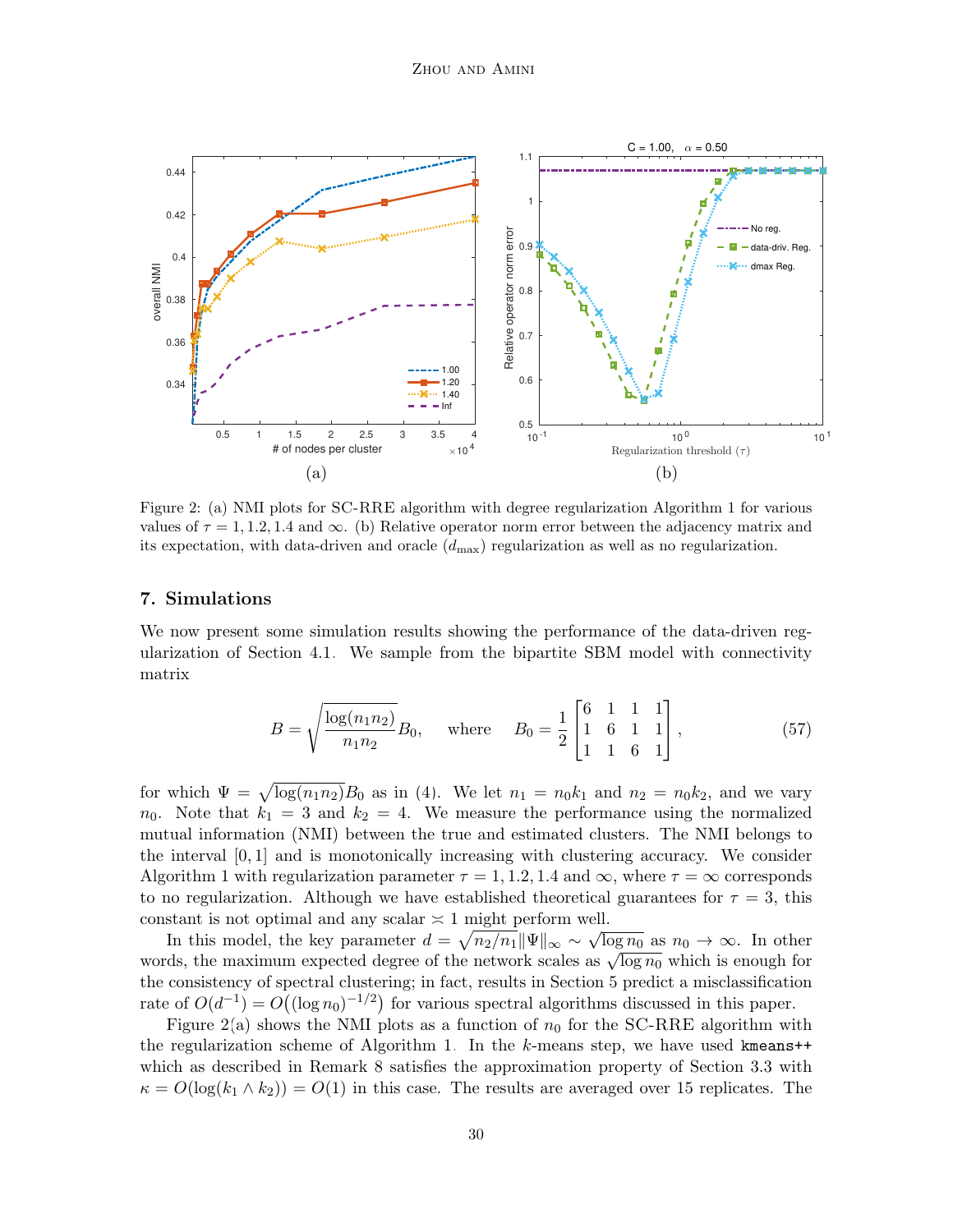<span id="page-29-1"></span>

Figure 2: (a) NMI plots for SC-RRE algorithm with degree regularization Algorithm [1](#page-16-0) for various values of  $\tau = 1, 1.2, 1.4$  and  $\infty$ . (b) Relative operator norm error between the adjacency matrix and its expectation, with data-driven and oracle  $(d_{\text{max}})$  regularization as well as no regularization.

# <span id="page-29-0"></span>7. Simulations

We now present some simulation results showing the performance of the data-driven regularization of Section [4.1.](#page-15-4) We sample from the bipartite SBM model with connectivity matrix

<span id="page-29-2"></span>
$$
B = \sqrt{\frac{\log(n_1 n_2)}{n_1 n_2}} B_0, \quad \text{where} \quad B_0 = \frac{1}{2} \begin{bmatrix} 6 & 1 & 1 & 1 \\ 1 & 6 & 1 & 1 \\ 1 & 1 & 6 & 1 \end{bmatrix}, \tag{57}
$$

for which  $\Psi = \sqrt{\log(n_1 n_2)}B_0$  as in [\(4\)](#page-4-0). We let  $n_1 = n_0 k_1$  and  $n_2 = n_0 k_2$ , and we vary  $n_0$ . Note that  $k_1 = 3$  and  $k_2 = 4$ . We measure the performance using the normalized mutual information (NMI) between the true and estimated clusters. The NMI belongs to the interval  $[0, 1]$  and is monotonically increasing with clustering accuracy. We consider Algorithm [1](#page-16-0) with regularization parameter  $\tau = 1, 1.2, 1.4$  and  $\infty$ , where  $\tau = \infty$  corresponds to no regularization. Although we have established theoretical guarantees for  $\tau = 3$ , this constant is not optimal and any scalar  $\approx 1$  might perform well.

In this model, the key parameter  $d = \sqrt{n_2/n_1} ||\Psi||_{\infty} \sim \sqrt{\log n_0}$  as  $n_0 \to \infty$ . In other In this model, the key parameter  $u = \sqrt{n_2/n_1} ||\Psi||_{\infty} \sim \sqrt{\log n_0}$  as  $n_0 \to \infty$ . In other words, the maximum expected degree of the network scales as  $\sqrt{\log n_0}$  which is enough for the consistency of spectral clustering; in fact, results in Section [5](#page-17-0) predict a misclassification rate of  $O(d^{-1}) = O((\log n_0)^{-1/2})$  for various spectral algorithms discussed in this paper.

Figure [2\(](#page-29-1)a) shows the NMI plots as a function of  $n_0$  for the SC-RRE algorithm with the regularization scheme of Algorithm [1.](#page-16-0) In the k-means step, we have used kmeans $++$ which as described in Remark [8](#page-13-3) satisfies the approximation property of Section [3.3](#page-11-0) with  $\kappa = O(\log(k_1 \wedge k_2)) = O(1)$  in this case. The results are averaged over 15 replicates. The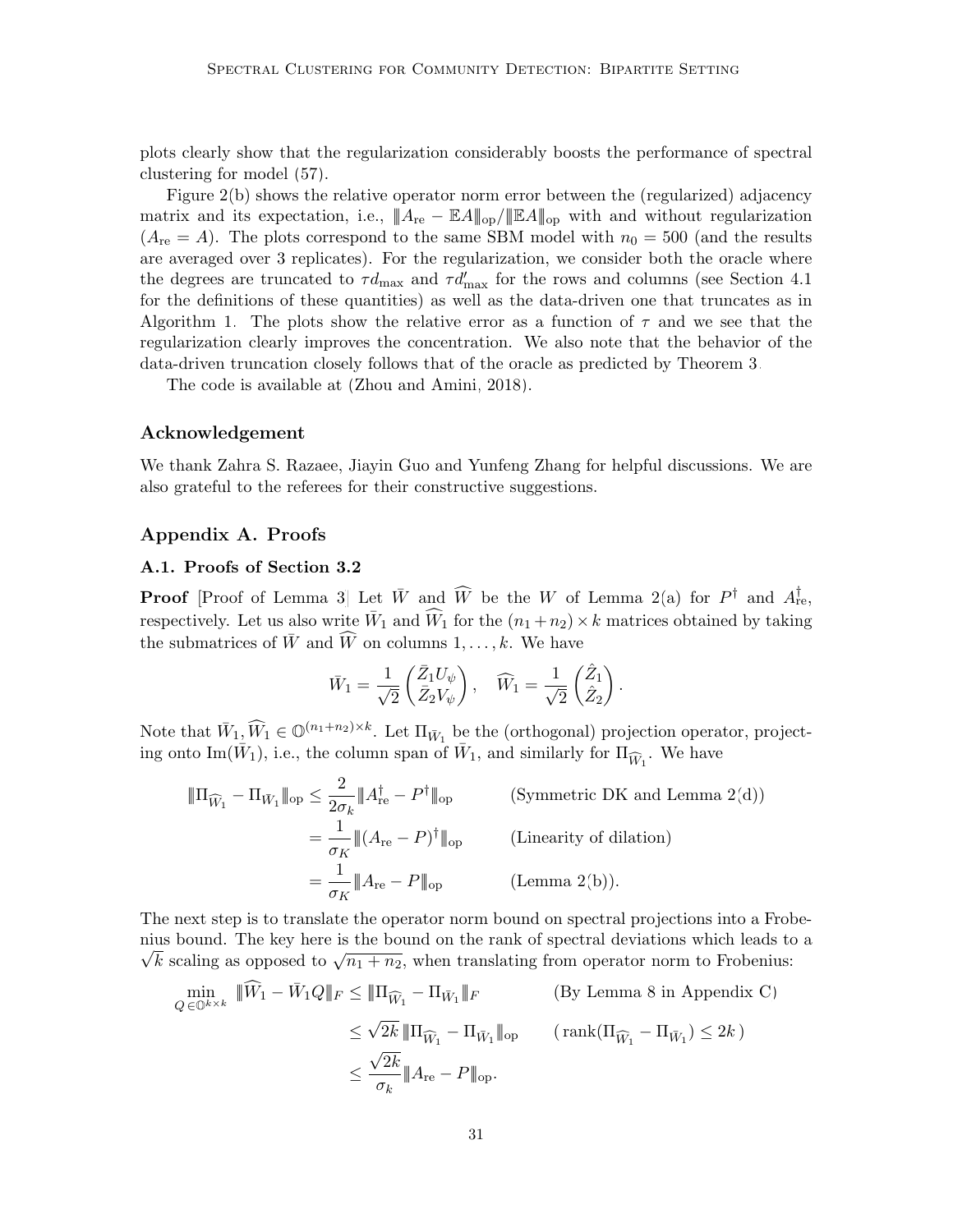plots clearly show that the regularization considerably boosts the performance of spectral clustering for model [\(57\)](#page-29-2).

Figure [2\(](#page-29-1)b) shows the relative operator norm error between the (regularized) adjacency matrix and its expectation, i.e.,  $||A_{\text{re}} - \mathbb{E}A||_{\text{op}}/||\mathbb{E}A||_{\text{op}}$  with and without regularization  $(A_{\text{re}} = A)$ . The plots correspond to the same SBM model with  $n_0 = 500$  (and the results are averaged over 3 replicates). For the regularization, we consider both the oracle where the degrees are truncated to  $\tau d_{\text{max}}$  and  $\tau d_{\text{max}}'$  for the rows and columns (see Section [4.1](#page-15-4)) for the definitions of these quantities) as well as the data-driven one that truncates as in Algorithm [1.](#page-16-0) The plots show the relative error as a function of  $\tau$  and we see that the regularization clearly improves the concentration. We also note that the behavior of the data-driven truncation closely follows that of the oracle as predicted by Theorem [3.](#page-16-1)

The code is available at [\(Zhou and Amini, 2018\)](#page-46-10).

# Acknowledgement

We thank Zahra S. Razaee, Jiayin Guo and Yunfeng Zhang for helpful discussions. We are also grateful to the referees for their constructive suggestions.

# Appendix A. Proofs

# A.1. Proofs of Section [3.2](#page-9-2)

**Proof** [Proof of Lemma [3\]](#page-10-1) Let  $\overline{W}$  and  $\widehat{W}$  be the W of Lemma [2\(](#page-9-4)a) for  $P^{\dagger}$  and  $A_{\text{re}}^{\dagger}$ , respectively. Let us also write  $\bar{W}_1$  and  $\widehat{W}_1$  for the  $(n_1 + n_2) \times k$  matrices obtained by taking the submatrices of  $\overline{W}$  and  $\widehat{W}$  on columns  $1, \ldots, k$ . We have

$$
\bar{W}_1 = \frac{1}{\sqrt{2}} \begin{pmatrix} \bar{Z}_1 U_\psi \\ \bar{Z}_2 V_\psi \end{pmatrix}, \quad \widehat{W}_1 = \frac{1}{\sqrt{2}} \begin{pmatrix} \hat{Z}_1 \\ \hat{Z}_2 \end{pmatrix}.
$$

Note that  $\overline{W}_1, \widehat{W}_1 \in \mathbb{O}^{(n_1+n_2)\times k}$ . Let  $\Pi_{\overline{W}_1}$  be the (orthogonal) projection operator, projecting onto Im( $\bar{W}_1$ ), i.e., the column span of  $\bar{W}_1$ , and similarly for  $\Pi_{\widehat{W}_1}$ . We have

$$
\|\Pi_{\widehat{W}_1} - \Pi_{\bar{W}_1}\|_{\text{op}} \le \frac{2}{2\sigma_k} \|A_{\text{re}}^{\dagger} - P^{\dagger}\|_{\text{op}}
$$
 (Symmetric DK and Lemma 2(d))  

$$
= \frac{1}{\sigma_K} \|(A_{\text{re}} - P)^{\dagger}\|_{\text{op}}
$$
 (Linearity of dilation)  

$$
= \frac{1}{\sigma_K} \|A_{\text{re}} - P\|_{\text{op}}
$$
 (Lemma 2(b)).

The next step is to translate the operator norm bound on spectral projections into a Frobenius bound. The key here is the bound on the rank of spectral deviations which leads to a as bound. The key here is the bound on the rank or spectral deviations which leads to  $\sqrt{n_1 + n_2}$ , when translating from operator norm to Frobenius:

$$
\min_{Q \in \mathbb{O}^{k \times k}} \|\widehat{W}_1 - \bar{W}_1 Q\|_F \le \|\Pi_{\widehat{W}_1} - \Pi_{\bar{W}_1}\|_F \qquad \text{(By Lemma 8 in Appendix C)}
$$
\n
$$
\le \sqrt{2k} \|\Pi_{\widehat{W}_1} - \Pi_{\bar{W}_1}\|_{\text{op}} \qquad (\text{rank}(\Pi_{\widehat{W}_1} - \Pi_{\bar{W}_1}) \le 2k)
$$
\n
$$
\le \frac{\sqrt{2k}}{\sigma_k} \|A_{\text{re}} - P\|_{\text{op}}.
$$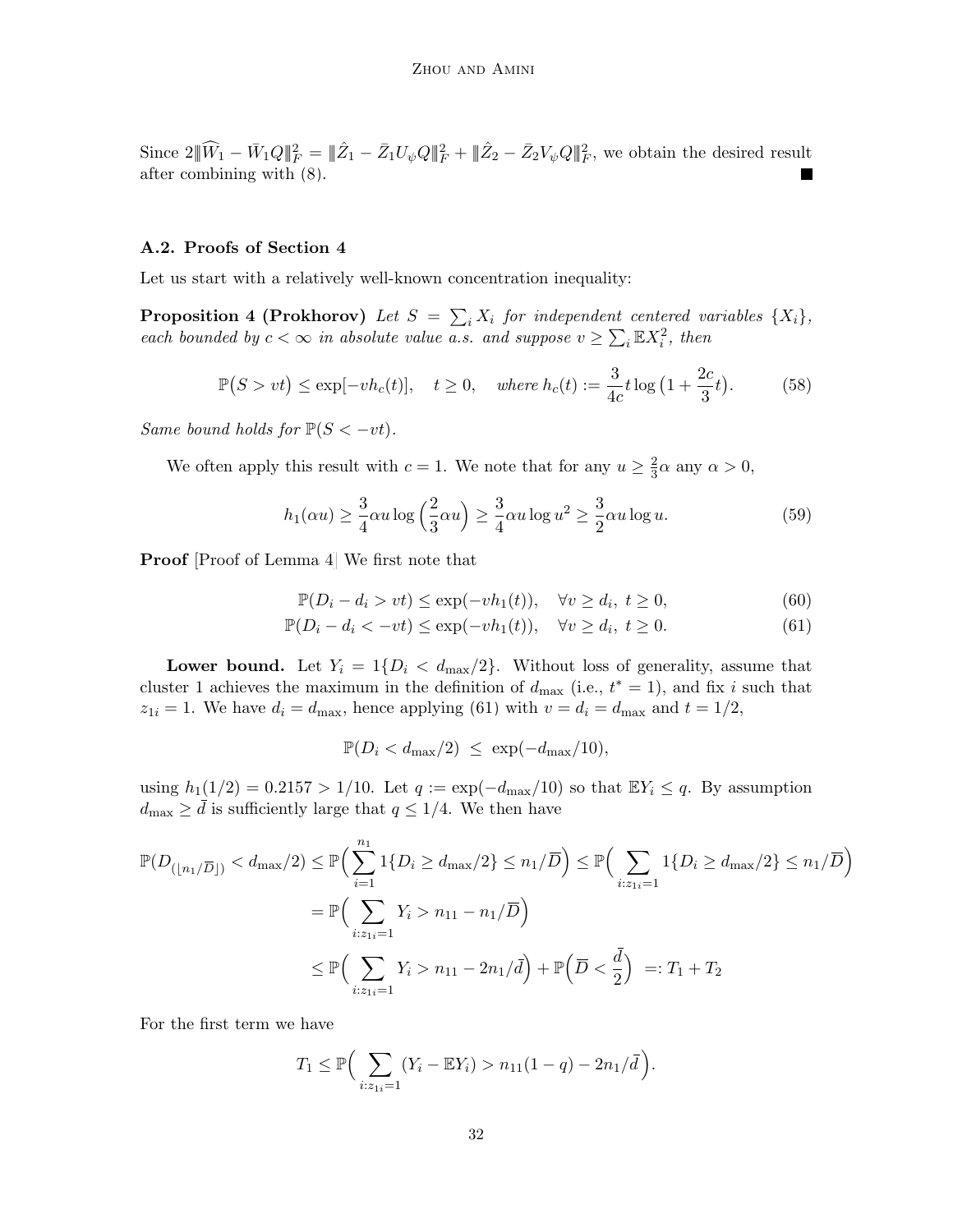Since  $2\|\widehat{W}_1 - \bar{W}_1Q\|_F^2 = \|\hat{Z}_1 - \bar{Z}_1U_\psi Q\|_F^2 + \|\hat{Z}_2 - \bar{Z}_2V_\psi Q\|_F^2$ , we obtain the desired result after combining with [\(8\)](#page-6-3).

# <span id="page-31-0"></span>A.2. Proofs of Section [4](#page-14-0)

Let us start with a relatively well-known concentration inequality:

**Proposition 4 (Prokhorov)** Let  $S = \sum_i X_i$  for independent centered variables  $\{X_i\}$ , each bounded by  $c < \infty$  in absolute value a.s. and suppose  $v \ge \sum_i \mathbb{E}X_i^2$ , then

$$
\mathbb{P}(S > vt) \le \exp[-vh_c(t)], \quad t \ge 0, \quad \text{where } h_c(t) := \frac{3}{4c}t \log\left(1 + \frac{2c}{3}t\right). \tag{58}
$$

Same bound holds for  $\mathbb{P}(S < -vt)$ .

We often apply this result with  $c = 1$ . We note that for any  $u \geq \frac{2}{3}$  $\frac{2}{3}\alpha$  any  $\alpha > 0$ ,

<span id="page-31-2"></span>
$$
h_1(\alpha u) \ge \frac{3}{4}\alpha u \log\left(\frac{2}{3}\alpha u\right) \ge \frac{3}{4}\alpha u \log u^2 \ge \frac{3}{2}\alpha u \log u. \tag{59}
$$

Proof [Proof of Lemma [4\]](#page-16-2) We first note that

<span id="page-31-3"></span>
$$
\mathbb{P}(D_i - d_i > vt) \le \exp(-vh_1(t)), \quad \forall v \ge d_i, \ t \ge 0,
$$
\n(60)

$$
\mathbb{P}(D_i - d_i < -vt) \le \exp(-vh_1(t)), \quad \forall v \ge d_i, \ t \ge 0. \tag{61}
$$

**Lower bound.** Let  $Y_i = 1\{D_i < d_{\text{max}}/2\}$ . Without loss of generality, assume that cluster 1 achieves the maximum in the definition of  $d_{\text{max}}$  (i.e.,  $t^* = 1$ ), and fix i such that  $z_{1i} = 1$ . We have  $d_i = d_{\text{max}}$ , hence applying [\(61\)](#page-31-1) with  $v = d_i = d_{\text{max}}$  and  $t = 1/2$ ,

<span id="page-31-4"></span><span id="page-31-1"></span> $\mathbb{P}(D_i < d_{\text{max}}/2) \leq \exp(-d_{\text{max}}/10),$ 

using  $h_1(1/2) = 0.2157 > 1/10$ . Let  $q := \exp(-d_{\max}/10)$  so that  $\mathbb{E}Y_i \leq q$ . By assumption  $d_{\text{max}} \geq \bar{d}$  is sufficiently large that  $q \leq 1/4$ . We then have

$$
\mathbb{P}(D_{(\lfloor n_1/\overline{D}\rfloor)} < d_{\max}/2) \le \mathbb{P}\Big(\sum_{i=1}^{n_1} 1\{D_i \ge d_{\max}/2\} \le n_1/\overline{D}\Big) \le \mathbb{P}\Big(\sum_{i:z_{1i}=1} 1\{D_i \ge d_{\max}/2\} \le n_1/\overline{D}\Big)
$$
\n
$$
= \mathbb{P}\Big(\sum_{i:z_{1i}=1} Y_i > n_{11} - n_1/\overline{D}\Big)
$$
\n
$$
\le \mathbb{P}\Big(\sum_{i:z_{1i}=1} Y_i > n_{11} - 2n_1/\overline{d}\Big) + \mathbb{P}\Big(\overline{D} < \frac{\overline{d}}{2}\Big) =: T_1 + T_2
$$

For the first term we have

$$
T_1 \leq \mathbb{P}\Big(\sum_{i:z_{1i}=1} (Y_i - \mathbb{E}Y_i) > n_{11}(1-q) - 2n_1/\bar{d}\Big).
$$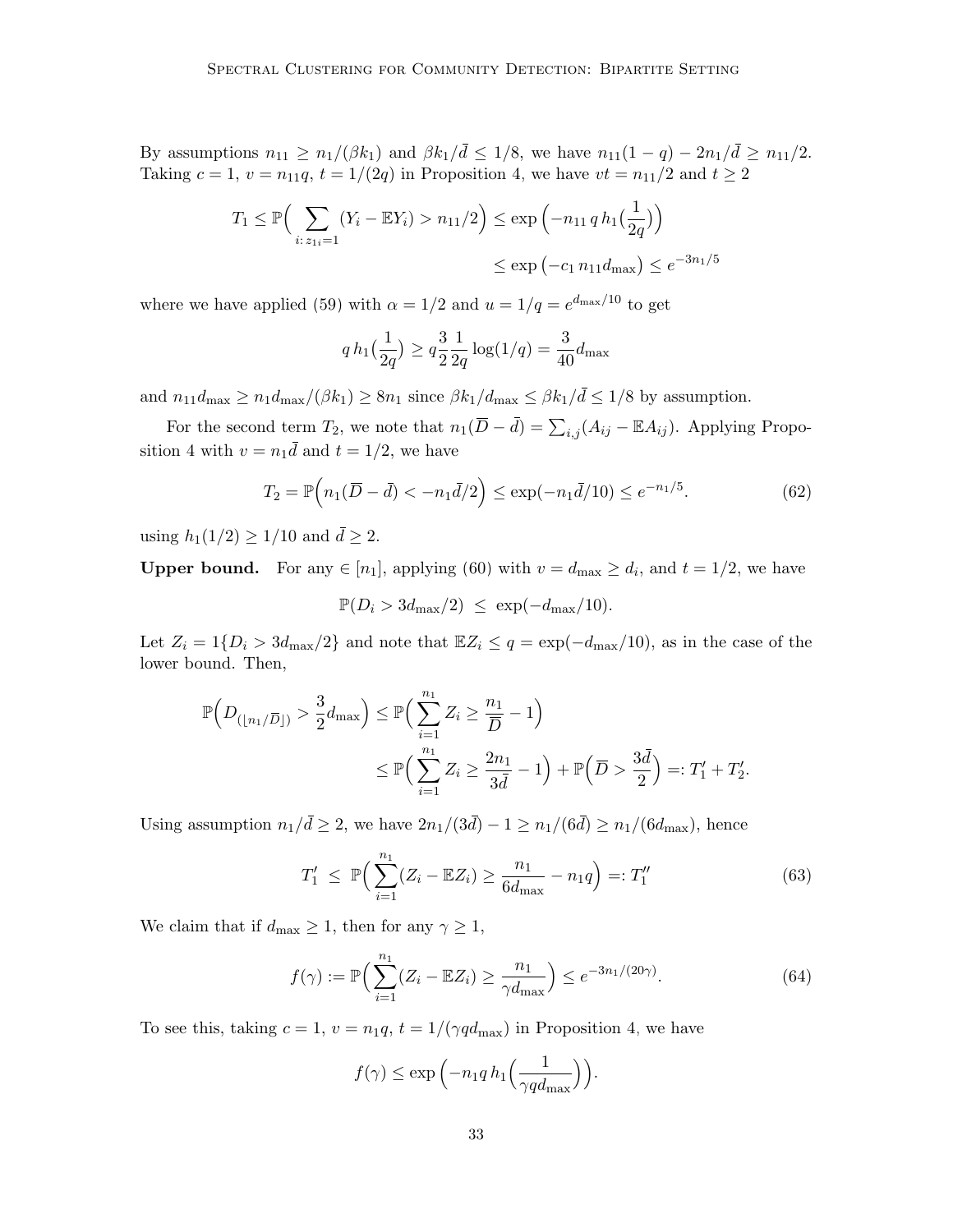By assumptions  $n_{11} \ge n_1/(\beta k_1)$  and  $\beta k_1/\bar{d} \le 1/8$ , we have  $n_{11}(1-q) - 2n_1/\bar{d} \ge n_{11}/2$ . Taking  $c = 1$ ,  $v = n_{11}q$ ,  $t = 1/(2q)$  in Proposition [4,](#page-31-2) we have  $vt = n_{11}/2$  and  $t \ge 2$ 

$$
T_1 \le \mathbb{P}\Big(\sum_{i:\,z_{1i}=1} (Y_i - \mathbb{E}Y_i) > n_{11}/2\Big) \le \exp\Big(-n_{11} q \, h_1\big(\frac{1}{2q}\big)\Big) \\
\le \exp\Big(-c_1 \, n_{11} d_{\max}\Big) \le e^{-3n_1/5}
$$

where we have applied [\(59\)](#page-31-3) with  $\alpha = 1/2$  and  $u = 1/q = e^{d_{\text{max}}/10}$  to get

$$
q h_1(\frac{1}{2q}) \geq q \frac{3}{2} \frac{1}{2q} \log(1/q) = \frac{3}{40} d_{\text{max}}
$$

and  $n_{11}d_{\text{max}} \geq n_1d_{\text{max}}/(\beta k_1) \geq 8n_1$  since  $\beta k_1/d_{\text{max}} \leq \beta k_1/\bar{d} \leq 1/8$  by assumption.

For the second term  $T_2$ , we note that  $n_1(\overline{D}-\overline{d})=\sum_{i,j}(A_{ij}-\mathbb{E}A_{ij})$ . Applying Propo-sition [4](#page-31-2) with  $v = n_1 \bar{d}$  and  $t = 1/2$ , we have

$$
T_2 = \mathbb{P}\Big(n_1(\overline{D} - \overline{d}) < -n_1\overline{d}/2\Big) \le \exp(-n_1\overline{d}/10) \le e^{-n_1/5}.\tag{62}
$$

using  $h_1(1/2) \ge 1/10$  and  $\bar{d} \ge 2$ .

**Upper bound.** For any  $\in [n_1]$ , applying [\(60\)](#page-31-4) with  $v = d_{\text{max}} \ge d_i$ , and  $t = 1/2$ , we have

<span id="page-32-1"></span> $\mathbb{P}(D_i > 3d_{\text{max}}/2) \leq \exp(-d_{\text{max}}/10).$ 

Let  $Z_i = 1\{D_i > 3d_{\text{max}}/2\}$  and note that  $\mathbb{E}Z_i \leq q = \exp(-d_{\text{max}}/10)$ , as in the case of the lower bound. Then,

$$
\mathbb{P}\Big(D_{\left(\lfloor n_1/\overline{D}\rfloor\right)} > \frac{3}{2}d_{\max}\Big) \le \mathbb{P}\Big(\sum_{i=1}^{n_1} Z_i \ge \frac{n_1}{\overline{D}} - 1\Big) \\
\le \mathbb{P}\Big(\sum_{i=1}^{n_1} Z_i \ge \frac{2n_1}{3\overline{d}} - 1\Big) + \mathbb{P}\Big(\overline{D} > \frac{3\overline{d}}{2}\Big) =: T_1' + T_2'.
$$

Using assumption  $n_1/\bar{d} \geq 2$ , we have  $2n_1/(3\bar{d}) - 1 \geq n_1/(6\bar{d}) \geq n_1/(6d_{\max})$ , hence

$$
T_1' \le \mathbb{P}\Big(\sum_{i=1}^{n_1} (Z_i - \mathbb{E}Z_i) \ge \frac{n_1}{6d_{\max}} - n_1 q\Big) =: T_1'' \tag{63}
$$

We claim that if  $d_{\text{max}} \geq 1$ , then for any  $\gamma \geq 1$ ,

$$
f(\gamma) := \mathbb{P}\Big(\sum_{i=1}^{n_1} (Z_i - \mathbb{E}Z_i) \ge \frac{n_1}{\gamma d_{\text{max}}}\Big) \le e^{-3n_1/(20\gamma)}.
$$
 (64)

To see this, taking  $c = 1$ ,  $v = n_1q$ ,  $t = 1/(\gamma q d_{\text{max}})$  in Proposition [4,](#page-31-2) we have

<span id="page-32-0"></span>
$$
f(\gamma) \le \exp\left(-n_1q h_1\left(\frac{1}{\gamma qd_{\max}}\right)\right).
$$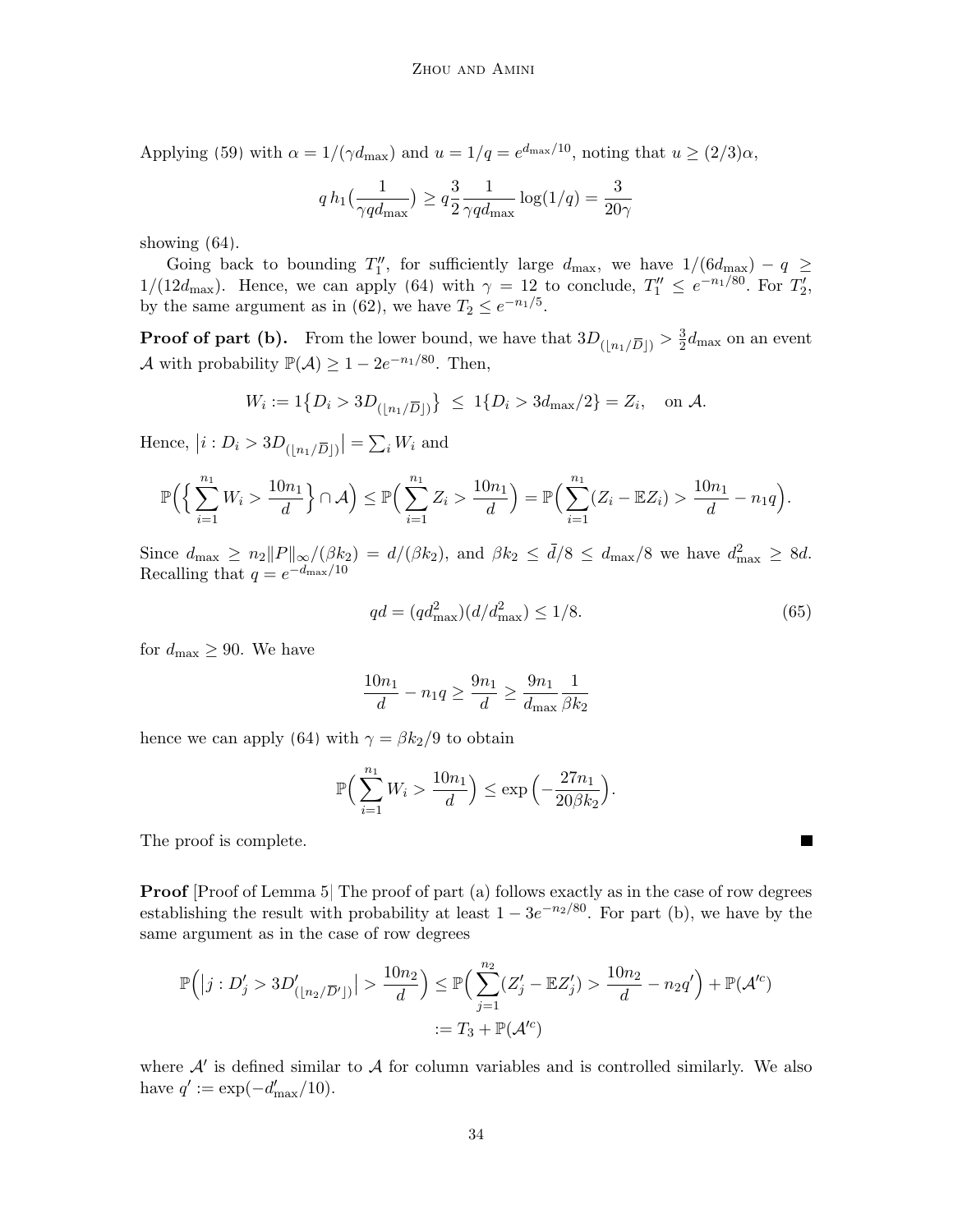Applying [\(59\)](#page-31-3) with  $\alpha = 1/(\gamma d_{\text{max}})$  and  $u = 1/q = e^{d_{\text{max}}/10}$ , noting that  $u \ge (2/3)\alpha$ ,

$$
q h_1\left(\frac{1}{\gamma qd_{\max}}\right) \ge q \frac{3}{2} \frac{1}{\gamma qd_{\max}} \log(1/q) = \frac{3}{20\gamma}
$$

showing [\(64\)](#page-32-0).

Going back to bounding  $T''_1$ , for sufficiently large  $d_{\text{max}}$ , we have  $1/(6d_{\text{max}}) - q \geq$  $1/(12d_{\text{max}})$ . Hence, we can apply [\(64\)](#page-32-0) with  $\gamma = 12$  to conclude,  $T''_1 \leq e^{-n_1/80}$ . For  $T'_2$ , by the same argument as in [\(62\)](#page-32-1), we have  $T_2 \le e^{-n_1/5}$ .

**Proof of part (b).** From the lower bound, we have that  $3D_{\left(\lfloor n_1/\overline{D}\rfloor\right)} > \frac{3}{2}$  $\frac{3}{2}d_{\text{max}}$  on an event A with probability  $\mathbb{P}(\mathcal{A}) \geq 1 - 2e^{-n_1/80}$ . Then,

$$
W_i := 1\{D_i > 3D_{(\lfloor n_1/\overline{D} \rfloor)}\} \le 1\{D_i > 3d_{\text{max}}/2\} = Z_i, \text{ on } \mathcal{A}.
$$

Hence,  $|i: D_i > 3D_{\left(\lfloor n_1/\overline{D}\rfloor\right)}\rceil = \sum_i W_i$  and

$$
\mathbb{P}\Big(\Big\{\sum_{i=1}^{n_1} W_i > \frac{10n_1}{d}\Big\} \cap \mathcal{A}\Big) \le \mathbb{P}\Big(\sum_{i=1}^{n_1} Z_i > \frac{10n_1}{d}\Big) = \mathbb{P}\Big(\sum_{i=1}^{n_1} (Z_i - \mathbb{E}Z_i) > \frac{10n_1}{d} - n_1q\Big).
$$

Since  $d_{\max} \ge n_2 ||P||_{\infty}/(\beta k_2) = d/(\beta k_2)$ , and  $\beta k_2 \le \overline{d}/8 \le d_{\max}/8$  we have  $d_{\max}^2 \ge 8d$ . Recalling that  $q = e^{-d_{\text{max}}/10}$ 

$$
qd = (qd_{\text{max}}^2)(d/d_{\text{max}}^2) \le 1/8. \tag{65}
$$

<span id="page-33-0"></span>ш

for  $d_{\text{max}} \geq 90$ . We have

$$
\frac{10n_1}{d}-n_1q\geq \frac{9n_1}{d}\geq \frac{9n_1}{d_{\max}}\frac{1}{\beta k_2}
$$

hence we can apply [\(64\)](#page-32-0) with  $\gamma = \beta k_2/9$  to obtain

$$
\mathbb{P}\Big(\sum_{i=1}^{n_1} W_i > \frac{10n_1}{d}\Big) \le \exp\Big(-\frac{27n_1}{20\beta k_2}\Big).
$$

The proof is complete.

**Proof** [Proof of Lemma [5\]](#page-16-3) The proof of part (a) follows exactly as in the case of row degrees establishing the result with probability at least  $1 - 3e^{-n/80}$ . For part (b), we have by the same argument as in the case of row degrees

$$
\mathbb{P}\Big(|j: D'_j > 3D'_{(\lfloor n_2/\overline{D'}\rfloor)}| > \frac{10n_2}{d}\Big) \leq \mathbb{P}\Big(\sum_{j=1}^{n_2} (Z'_j - \mathbb{E}Z'_j) > \frac{10n_2}{d} - n_2q'\Big) + \mathbb{P}(\mathcal{A}'^c)
$$
  
 :=  $T_3 + \mathbb{P}(\mathcal{A}'^c)$ 

where  $A'$  is defined similar to  $A$  for column variables and is controlled similarly. We also have  $q' := \exp(-d'_{\text{max}}/10)$ .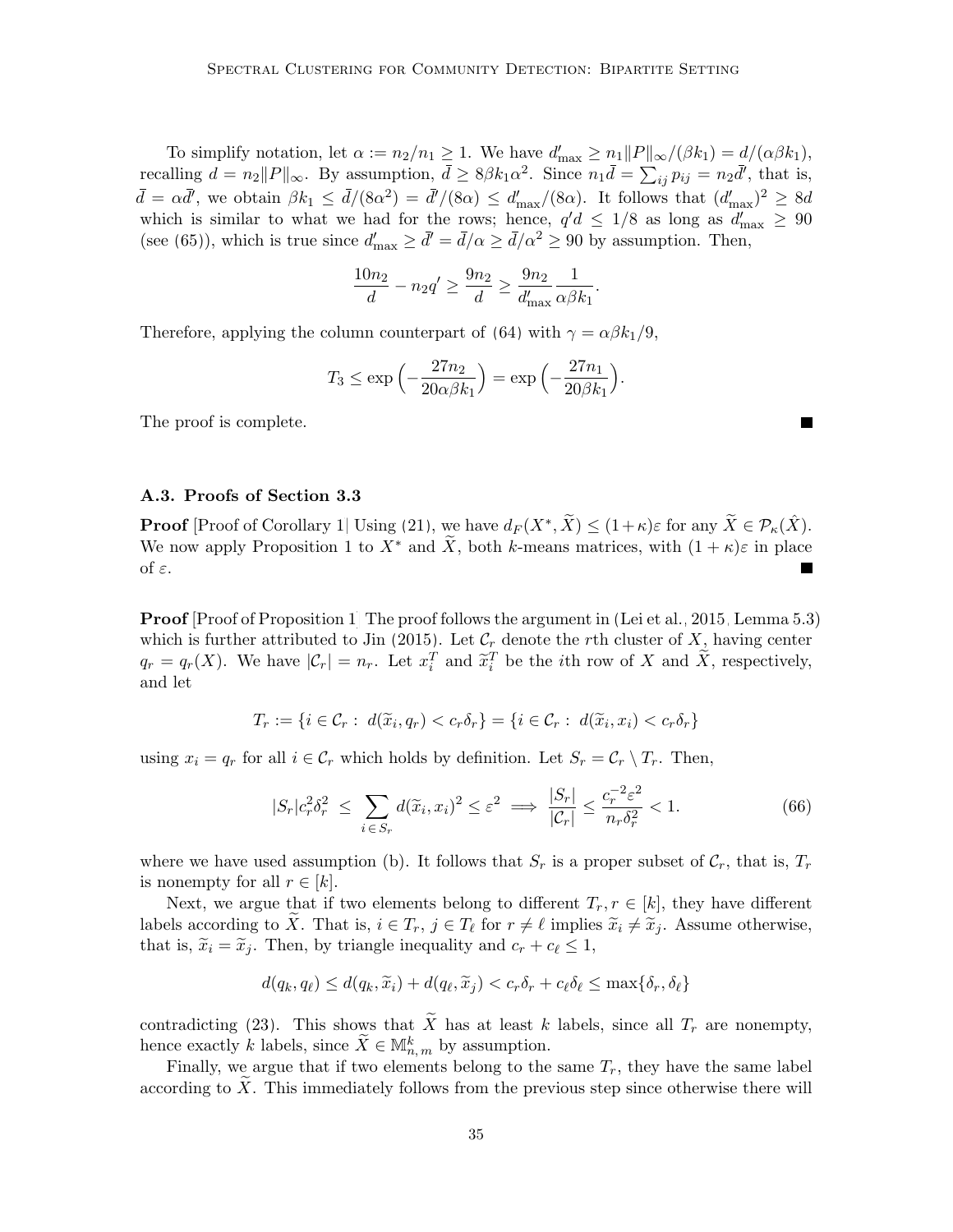To simplify notation, let  $\alpha := n_2/n_1 \geq 1$ . We have  $d'_{\text{max}} \geq n_1 ||P||_{\infty}/(\beta k_1) = d/(\alpha \beta k_1)$ , recalling  $d = n_2 ||P||_{\infty}$ . By assumption,  $\bar{d} \geq 8\beta k_1 \alpha^2$ . Since  $n_1 \bar{d} = \sum_{ij} p_{ij} = n_2 \bar{d}'$ , that is,  $\bar{d} = \alpha \bar{d}'$ , we obtain  $\beta k_1 \leq \bar{d}/(8\alpha^2) = \bar{d}'/(8\alpha) \leq d'_{\text{max}}/(8\alpha)$ . It follows that  $(d'_{\text{max}})^2 \geq 8d$ which is similar to what we had for the rows; hence,  $q'd \leq 1/8$  as long as  $d'_{\text{max}} \geq 90$ (see [\(65\)](#page-33-0)), which is true since  $d'_{\text{max}} \ge \bar{d}' = \bar{d}/\alpha \ge \bar{d}/\alpha^2 \ge 90$  by assumption. Then,

$$
\frac{10n_2}{d} - n_2 q' \ge \frac{9n_2}{d} \ge \frac{9n_2}{d'_{\text{max}}} \frac{1}{\alpha \beta k_1}.
$$

Therefore, applying the column counterpart of [\(64\)](#page-32-0) with  $\gamma = \alpha \beta k_1/9$ ,

$$
T_3 \le \exp\left(-\frac{27n_2}{20\alpha\beta k_1}\right) = \exp\left(-\frac{27n_1}{20\beta k_1}\right).
$$

The proof is complete.

### A.3. Proofs of Section [3.3](#page-11-0)

**Proof** [Proof of Corollary [1\]](#page-13-1) Using [\(21\)](#page-12-4), we have  $d_F(X^*, \tilde{X}) \leq (1 + \kappa)\varepsilon$  for any  $\tilde{X} \in \mathcal{P}_{\kappa}(\hat{X})$ . We now apply Proposition [1](#page-13-0) to  $X^*$  and  $\widetilde{X}$ , both k-means matrices, with  $(1 + \kappa)\varepsilon$  in place of ε.

**Proof** [Proof of Proposition [1\]](#page-13-0) The proof follows the argument in [\(Lei et al., 2015,](#page-45-5) Lemma 5.3) which is further attributed to [Jin](#page-44-9) [\(2015\)](#page-44-9). Let  $\mathcal{C}_r$  denote the rth cluster of X, having center  $q_r = q_r(X)$ . We have  $|\mathcal{C}_r| = n_r$ . Let  $x_i^T$  and  $\widetilde{x}_i^T$  be the *i*th row of X and  $\widetilde{X}$ , respectively, and let

$$
T_r := \{ i \in \mathcal{C}_r : d(\widetilde{x}_i, q_r) < c_r \delta_r \} = \{ i \in \mathcal{C}_r : d(\widetilde{x}_i, x_i) < c_r \delta_r \}
$$

using  $x_i = q_r$  for all  $i \in \mathcal{C}_r$  which holds by definition. Let  $S_r = \mathcal{C}_r \setminus T_r$ . Then,

$$
|S_r|c_r^2 \delta_r^2 \le \sum_{i \in S_r} d(\widetilde{x}_i, x_i)^2 \le \varepsilon^2 \implies \frac{|S_r|}{|\mathcal{C}_r|} \le \frac{c_r^{-2} \varepsilon^2}{n_r \delta_r^2} < 1. \tag{66}
$$

where we have used assumption (b). It follows that  $S_r$  is a proper subset of  $\mathcal{C}_r$ , that is,  $T_r$ is nonempty for all  $r \in [k]$ .

Next, we argue that if two elements belong to different  $T_r$ ,  $r \in [k]$ , they have different labels according to X. That is,  $i \in T_r$ ,  $j \in T_\ell$  for  $r \neq \ell$  implies  $\widetilde{x}_i \neq \widetilde{x}_j$ . Assume otherwise, that is,  $\widetilde{x}_i = \widetilde{x}_j$ . Then, by triangle inequality and  $c_r + c_\ell \leq 1$ ,

$$
d(q_k, q_\ell) \le d(q_k, \widetilde{x}_i) + d(q_\ell, \widetilde{x}_j) < c_r \delta_r + c_\ell \delta_\ell \le \max\{\delta_r, \delta_\ell\}
$$

contradicting [\(23\)](#page-13-4). This shows that  $\widetilde{X}$  has at least k labels, since all  $T_r$  are nonempty, hence exactly k labels, since  $\widetilde{X} \in \mathbb{M}_{n,m}^k$  by assumption.

Finally, we argue that if two elements belong to the same  $T_r$ , they have the same label according to  $X$ . This immediately follows from the previous step since otherwise there will

<span id="page-34-0"></span>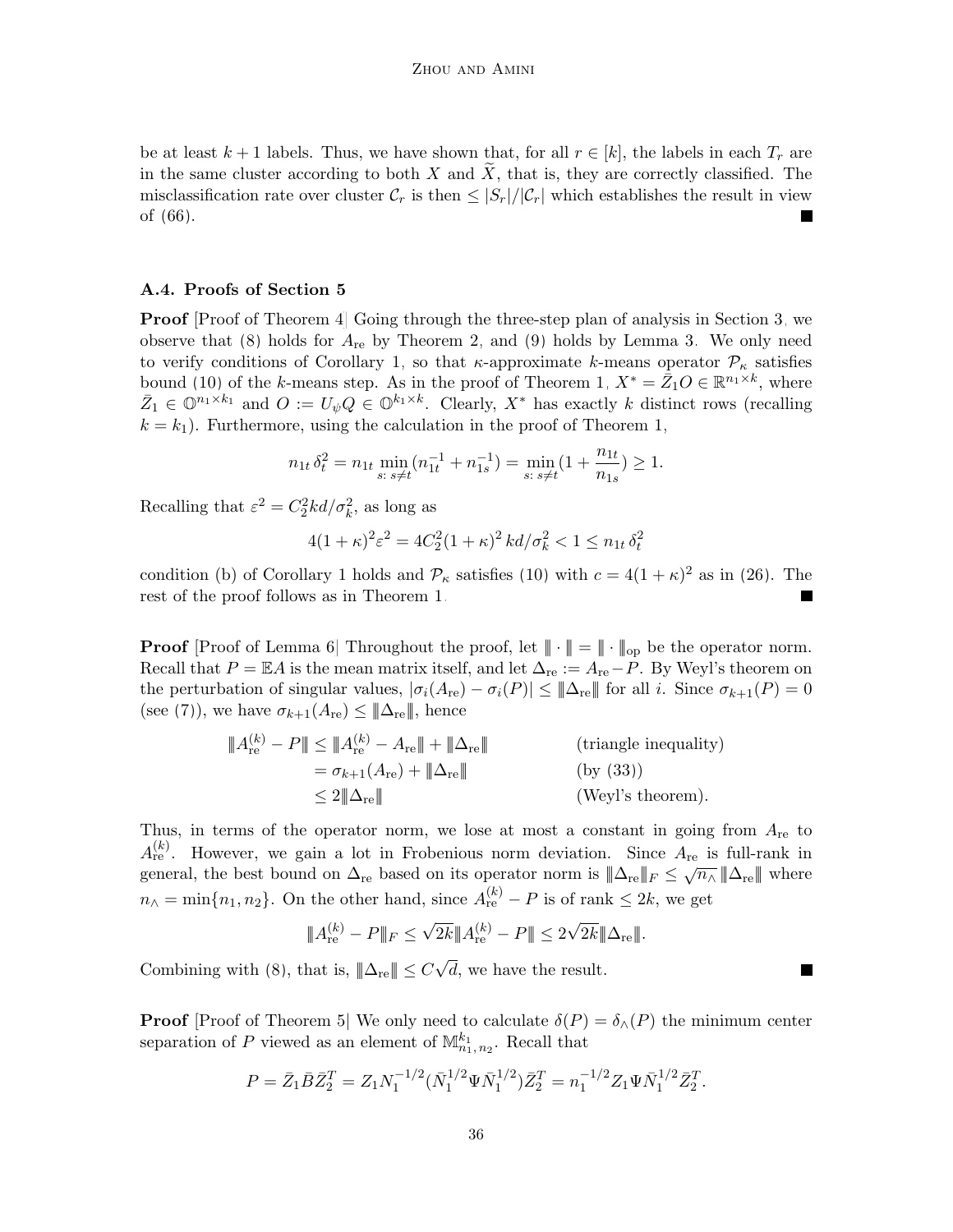be at least  $k+1$  labels. Thus, we have shown that, for all  $r \in [k]$ , the labels in each  $T_r$  are in the same cluster according to both  $X$  and  $X$ , that is, they are correctly classified. The misclassification rate over cluster  $\mathcal{C}_r$  is then  $\leq |S_r|/|\mathcal{C}_r|$  which establishes the result in view of [\(66\)](#page-34-0).

#### <span id="page-35-0"></span>A.4. Proofs of Section [5](#page-17-0)

**Proof** [Proof of Theorem [4\]](#page-17-1) Going through the three-step plan of analysis in Section [3,](#page-6-0) we observe that  $(8)$  holds for  $A_{\text{re}}$  by Theorem [2,](#page-14-1) and  $(9)$  holds by Lemma [3.](#page-10-1) We only need to verify conditions of Corollary [1,](#page-13-1) so that  $\kappa$ -approximate k-means operator  $\mathcal{P}_{\kappa}$  satisfies bound [\(10\)](#page-7-1) of the k-means step. As in the proof of Theorem [1,](#page-7-0)  $X^* = \overline{Z}_1 O \in \mathbb{R}^{n_1 \times k}$ , where  $\bar{Z}_1 \in \mathbb{O}^{n_1 \times k_1}$  and  $O := U_{\psi} Q \in \mathbb{O}^{k_1 \times k}$ . Clearly,  $X^*$  has exactly k distinct rows (recalling  $k = k_1$ ). Furthermore, using the calculation in the proof of Theorem [1,](#page-7-0)

$$
n_{1t} \, \delta_t^2 = n_{1t} \min_{s: \, s \neq t} (n_{1t}^{-1} + n_{1s}^{-1}) = \min_{s: \, s \neq t} (1 + \frac{n_{1t}}{n_{1s}}) \ge 1.
$$

Recalling that  $\varepsilon^2 = C_2^2 k d / \sigma_k^2$ , as long as

$$
4(1+\kappa)^{2}\varepsilon^{2} = 4C_{2}^{2}(1+\kappa)^{2} k d/\sigma_{k}^{2} < 1 \le n_{1t} \delta_{t}^{2}
$$

condition (b) of Corollary [1](#page-13-1) holds and  $P_{\kappa}$  satisfies [\(10\)](#page-7-1) with  $c = 4(1 + \kappa)^2$  as in [\(26\)](#page-13-2). The rest of the proof follows as in Theorem [1.](#page-7-0)

**Proof** [Proof of Lemma [6\]](#page-18-3) Throughout the proof, let  $\|\cdot\| = \|\cdot\|_{\text{op}}$  be the operator norm. Recall that  $P = \mathbb{E} A$  is the mean matrix itself, and let  $\Delta_{\text{re}} := A_{\text{re}} - P$ . By Weyl's theorem on the perturbation of singular values,  $|\sigma_i(A_{\rm re}) - \sigma_i(P)| \leq ||\Delta_{\rm re}||$  for all i. Since  $\sigma_{k+1}(P) = 0$ (see [\(7\)](#page-5-1)), we have  $\sigma_{k+1}(A_{\rm re}) \leq \|\Delta_{\rm re}\|$ , hence

$$
\|A_{\rm re}^{(k)} - P\| \le \|A_{\rm re}^{(k)} - A_{\rm re}\| + \|\Delta_{\rm re}\|
$$
 (triangle inequality)  
=  $\sigma_{k+1}(A_{\rm re}) + \|\Delta_{\rm re}\|$  (by (33))  
 $\le 2\|\Delta_{\rm re}\|$  (Weyl's theorem).

Thus, in terms of the operator norm, we lose at most a constant in going from  $A_{\text{re}}$  to  $A_{\text{re}}^{(k)}$ . However, we gain a lot in Frobenious norm deviation. Since  $A_{\text{re}}$  is full-rank in  $\alpha_{\text{re}}$ . However, we gain a for in Frobemous norm deviation. Since  $A_{\text{re}}$  is fun-raint in general, the best bound on  $\Delta_{\text{re}}$  based on its operator norm is  $||\Delta_{\text{re}}||_F \leq \sqrt{n} \sqrt{||\Delta_{\text{re}}||}$  where  $n_{\wedge} = \min\{n_1, n_2\}$ . On the other hand, since  $A_{\text{re}}^{(k)} - P$  is of rank  $\leq 2k$ , we get

$$
|\!|\!| A^{(k)}_{\rm re} - P |\!|\!|_F \leq \sqrt{2k} |\!|\!| A^{(k)}_{\rm re} - P |\!|\!| \leq 2 \sqrt{2k} |\!|\!| \Delta_{\rm re} |\!|\!|.
$$

 $\blacksquare$ 

Combining with [\(8\)](#page-6-3), that is,  $||\Delta_{\text{re}}|| \leq C$ √ d, we have the result.

 $k$ 

**Proof** [Proof of Theorem [5\]](#page-19-0) We only need to calculate  $\delta(P) = \delta_{\wedge}(P)$  the minimum center separation of P viewed as an element of  $\mathbb{M}_{n_1,n_2}^{k_1}$ . Recall that

$$
P = \bar{Z}_1 \bar{B} \bar{Z}_2^T = Z_1 N_1^{-1/2} (\bar{N}_1^{1/2} \Psi \bar{N}_1^{1/2}) \bar{Z}_2^T = n_1^{-1/2} Z_1 \Psi \bar{N}_1^{1/2} \bar{Z}_2^T.
$$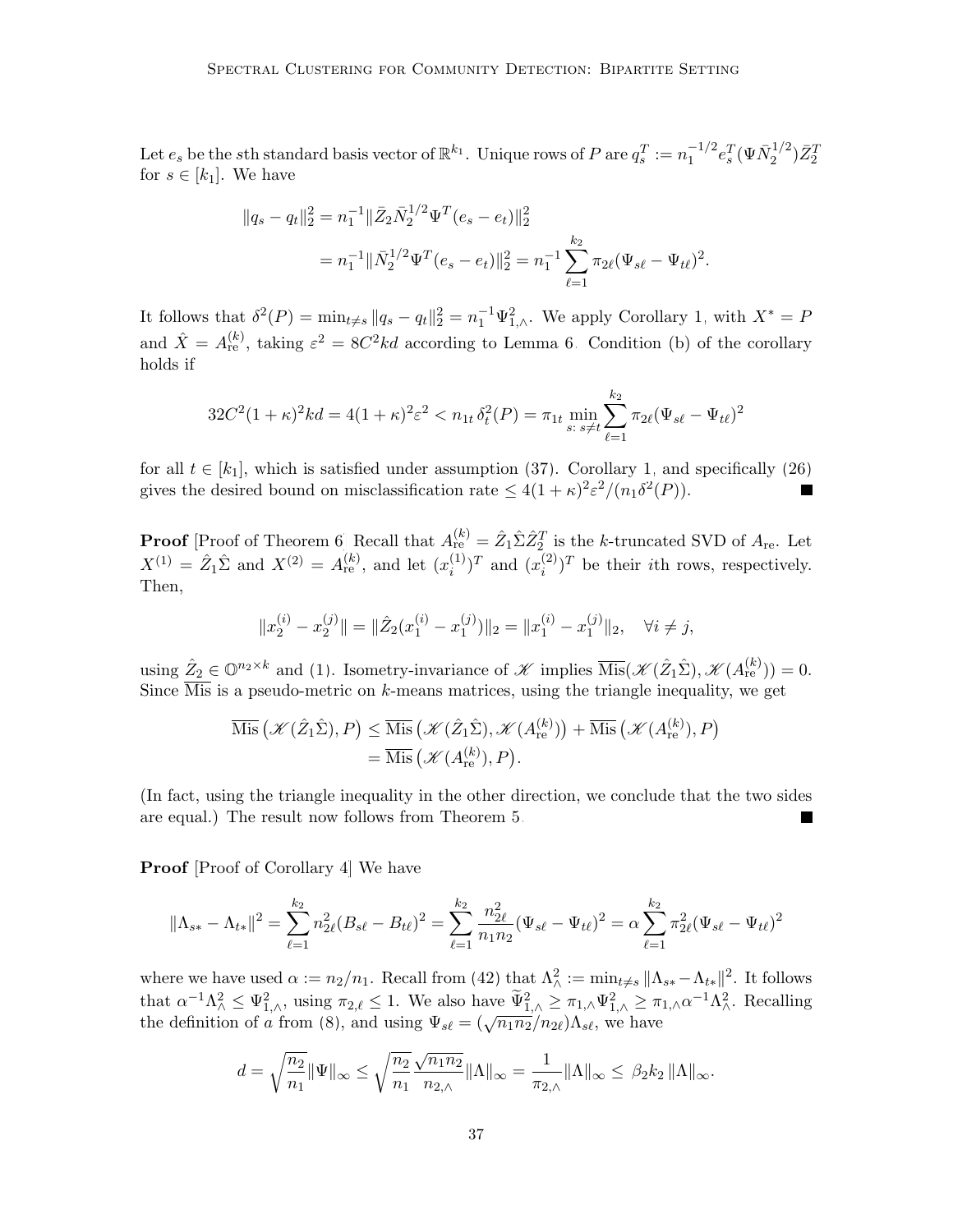Let  $e_s$  be the sth standard basis vector of  $\mathbb{R}^{k_1}$ . Unique rows of  $P$  are  $q_s^T := n_1^{-1/2}$  $\bar{\gamma}_1^{-1/2}e_s^T(\Psi\bar{N}_2^{1/2}$  $\frac{1/2}{2})\bar{Z}_2^T$ for  $s \in [k_1]$ . We have

$$
||q_s - q_t||_2^2 = n_1^{-1} ||\bar{Z}_2 \bar{N}_2^{1/2} \Psi^T(e_s - e_t)||_2^2
$$
  
=  $n_1^{-1} ||\bar{N}_2^{1/2} \Psi^T(e_s - e_t)||_2^2 = n_1^{-1} \sum_{\ell=1}^{k_2} \pi_{2\ell} (\Psi_{s\ell} - \Psi_{t\ell})^2.$ 

It follows that  $\delta^2(P) = \min_{t \neq s} ||q_s - q_t||_2^2 = n_1^{-1} \Psi_{1,\wedge}^2$ . We apply Corollary [1,](#page-13-1) with  $X^* = P$ and  $\hat{X} = A_{\text{re}}^{(k)}$ , taking  $\varepsilon^2 = 8C^2kd$  according to Lemma [6.](#page-18-3) Condition (b) of the corollary holds if

$$
32C^{2}(1+\kappa)^{2}kd = 4(1+\kappa)^{2}\varepsilon^{2} < n_{1t} \delta_{t}^{2}(P) = \pi_{1t} \min_{s:\ s \neq t} \sum_{\ell=1}^{k_{2}} \pi_{2\ell}(\Psi_{s\ell} - \Psi_{t\ell})^{2}
$$

for all  $t \in [k_1]$ , which is satisfied under assumption [\(37\)](#page-19-2). Corollary [1,](#page-13-1) and specifically [\(26\)](#page-13-2) gives the desired bound on misclassification rate  $\leq 4(1+\kappa)^2 \varepsilon^2/(n_1 \delta^2(P)).$ 

**Proof** [Proof of Theorem [6\]](#page-22-1) Recall that  $A_{\text{re}}^{(k)} = \hat{Z}_1 \hat{\Sigma} \hat{Z}_2^T$  is the k-truncated SVD of  $A_{\text{re}}$ . Let  $X^{(1)} = \hat{Z}_1 \hat{\Sigma}$  and  $X^{(2)} = A_{\text{re}}^{(k)}$ , and let  $(x_i^{(1)})$  $\binom{1}{i}$ <sup>T</sup> and  $\binom{x_i^{(2)}}{i}$  $i^{(2)}$ )<sup>T</sup> be their *i*th rows, respectively. Then,

$$
||x_2^{(i)} - x_2^{(j)}|| = ||\hat{Z}_2(x_1^{(i)} - x_1^{(j)})||_2 = ||x_1^{(i)} - x_1^{(j)}||_2, \quad \forall i \neq j,
$$

using  $\hat{Z}_2 \in \mathbb{O}^{n_2 \times k}$  and [\(1\)](#page-3-4). Isometry-invariance of  $\mathscr{K}$  implies  $\overline{\text{Mis}}(\mathscr{K}(\hat{Z}_1 \hat{\Sigma}), \mathscr{K}(A_{\text{re}}^{(k)})) = 0$ . Since  $\overline{\text{ Mis}}$  is a pseudo-metric on k-means matrices, using the triangle inequality, we get

$$
\overline{\text{ Mis}}\left(\mathscr{K}(\hat{Z}_{1}\hat{\Sigma}), P\right) \le \overline{\text{ Mis}}\left(\mathscr{K}(\hat{Z}_{1}\hat{\Sigma}), \mathscr{K}(A_{\text{re}}^{(k)})\right) + \overline{\text{ Mis}}\left(\mathscr{K}(A_{\text{re}}^{(k)}), P\right) \n= \overline{\text{ Mis}}\left(\mathscr{K}(A_{\text{re}}^{(k)}), P\right).
$$

(In fact, using the triangle inequality in the other direction, we conclude that the two sides are equal.) The result now follows from Theorem [5.](#page-19-0)

Proof [Proof of Corollary [4\]](#page-23-0) We have

$$
\|\Lambda_{s*} - \Lambda_{t*}\|^2 = \sum_{\ell=1}^{k_2} n_{2\ell}^2 (B_{s\ell} - B_{t\ell})^2 = \sum_{\ell=1}^{k_2} \frac{n_{2\ell}^2}{n_1 n_2} (\Psi_{s\ell} - \Psi_{t\ell})^2 = \alpha \sum_{\ell=1}^{k_2} \pi_{2\ell}^2 (\Psi_{s\ell} - \Psi_{t\ell})^2
$$

where we have used  $\alpha := n_2/n_1$ . Recall from [\(42\)](#page-23-3) that  $\Lambda^2_{\wedge} := \min_{t \neq s} ||\Lambda_{s*} - \Lambda_{t*}||^2$ . It follows that  $\alpha^{-1}\Lambda_{\wedge}^2 \leq \Psi_{1,\wedge}^2$ , using  $\pi_{2,\ell} \leq 1$ . We also have  $\widetilde{\Psi}_{1,\wedge}^2 \geq \pi_{1,\wedge} \Psi_{1,\wedge}^2 \geq \pi_{1,\wedge} \alpha^{-1}\Lambda_{\wedge}^2$ . Recalling the definition of a from [\(8\)](#page-6-3), and using  $\Psi_{s\ell} = (\sqrt{n_1 n_2}/n_{2\ell})\Lambda_{s\ell}$ , we h

$$
d=\sqrt{\frac{n_2}{n_1}}\|\Psi\|_\infty\leq \sqrt{\frac{n_2}{n_1}}\frac{\sqrt{n_1n_2}}{n_{2,\wedge}}\|\Lambda\|_\infty=\frac{1}{\pi_{2,\wedge}}\|\Lambda\|_\infty\leq \beta_2k_2\|\Lambda\|_\infty.
$$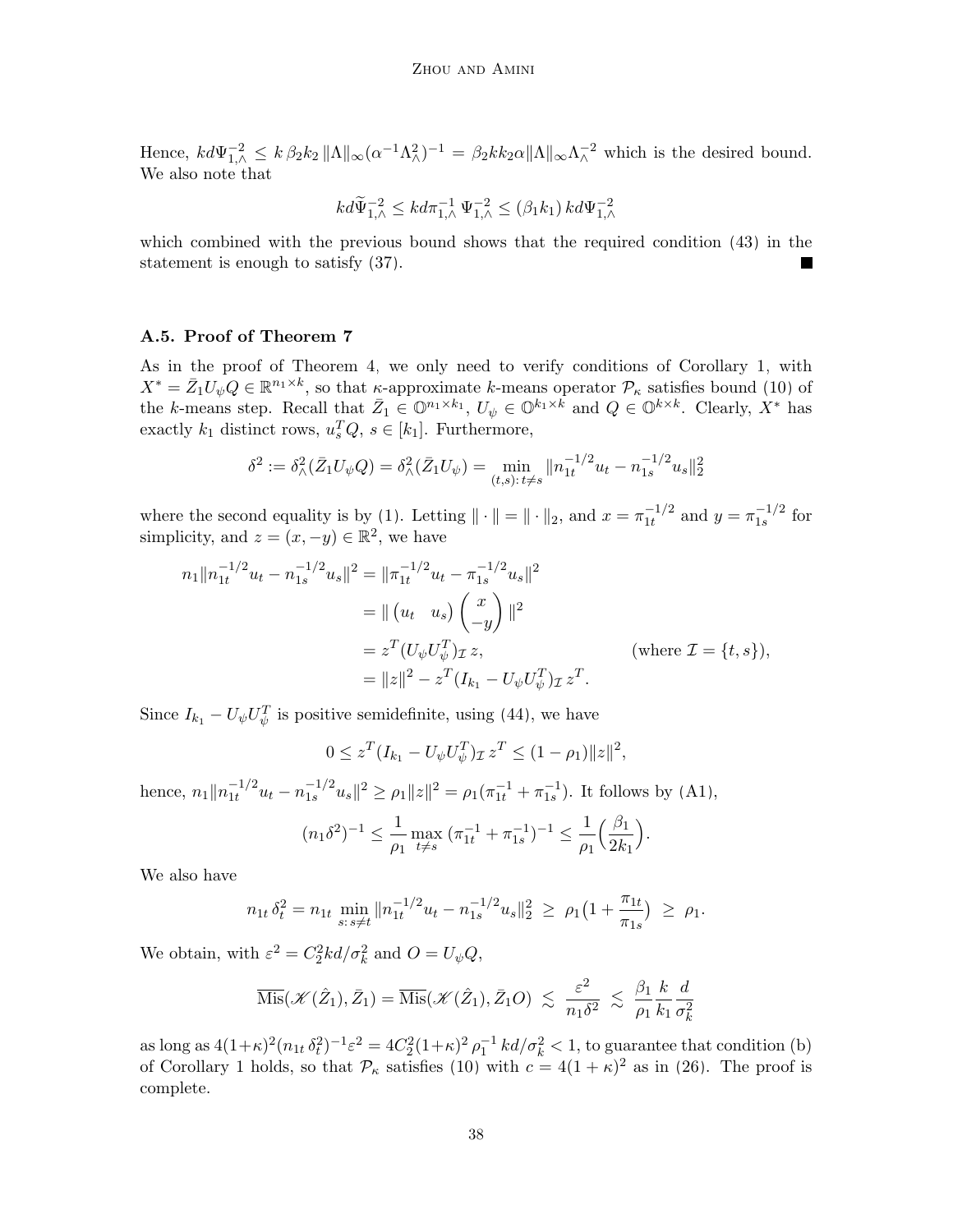Hence,  $kd\Psi_{1,\wedge}^{-2} \leq k \beta_2 k_2 \|\Lambda\|_{\infty} (\alpha^{-1}\Lambda_{\wedge}^2)^{-1} = \beta_2 k k_2 \alpha \|\Lambda\|_{\infty} \Lambda_{\wedge}^{-2}$  which is the desired bound. We also note that

$$
kd\widetilde{\Psi}_{1,\wedge}^{-2}\leq kd\pi_{1,\wedge}^{-1}\Psi_{1,\wedge}^{-2}\leq\left(\beta_{1}k_{1}\right)kd\Psi_{1,\wedge}^{-2}
$$

which combined with the previous bound shows that the required condition [\(43\)](#page-24-3) in the statement is enough to satisfy [\(37\)](#page-19-2).

# <span id="page-37-0"></span>A.5. Proof of Theorem [7](#page-24-4)

As in the proof of Theorem [4,](#page-17-1) we only need to verify conditions of Corollary [1,](#page-13-1) with  $X^* = \bar{Z}_1 U_{\psi} Q \in \mathbb{R}^{n_1 \times k}$ , so that *κ*-approximate *k*-means operator  $\mathcal{P}_{\kappa}$  satisfies bound [\(10\)](#page-7-1) of the k-means step. Recall that  $\bar{Z}_1 \in \mathbb{O}^{n_1 \times k_1}$ ,  $U_{\psi} \in \mathbb{O}^{k_1 \times k}$  and  $Q \in \mathbb{O}^{k \times k}$ . Clearly,  $X^*$  has exactly  $k_1$  distinct rows,  $u_s^T Q$ ,  $s \in [k_1]$ . Furthermore,

$$
\delta^2 := \delta^2 \langle \bar{Z}_1 U_{\psi} Q \rangle = \delta^2 \langle \bar{Z}_1 U_{\psi} \rangle = \min_{(t,s):\, t \neq s} \| n_{1t}^{-1/2} u_t - n_{1s}^{-1/2} u_s \|_2^2
$$

where the second equality is by [\(1\)](#page-3-4). Letting  $\|\cdot\| = \|\cdot\|_2$ , and  $x = \pi_{1t}^{-1/2}$  $\frac{-1}{1t}$  and  $y = \pi \frac{-1}{1s}$  $\frac{1}{1s}$  for simplicity, and  $z = (x, -y) \in \mathbb{R}^2$ , we have

$$
n_1 ||n_{1t}^{-1/2} u_t - n_{1s}^{-1/2} u_s||^2 = ||\pi_{1t}^{-1/2} u_t - \pi_{1s}^{-1/2} u_s||^2
$$
  
=  $|| (u_t - u_s) (\int_{-y}^x) ||^2$   
=  $z^T (U_\psi U_\psi^T) z$ , (where  $\mathcal{I} = \{t, s\}$ ),  
=  $||z||^2 - z^T (I_{k_1} - U_\psi U_\psi^T) z^T$ .

Since  $I_{k_1} - U_{\psi} U_{\psi}^T$  is positive semidefinite, using [\(44\)](#page-24-5), we have

$$
0 \le z^T (I_{k_1} - U_{\psi} U_{\psi}^T)_{\mathcal{I}} z^T \le (1 - \rho_1) \|z\|^2,
$$

hence,  $n_1 \| n_{1t}^{-1/2}$  $\frac{-1/2}{1t}u_t - n\frac{-1/2}{1s}$  $\int_{1s}^{-1/2} u_s \|^2 \ge \rho_1 \|z\|^2 = \rho_1(\pi_{1t}^{-1} + \pi_{1s}^{-1}).$  It follows by [\(A1\)](#page-7-1),

$$
(n_1\delta^2)^{-1} \le \frac{1}{\rho_1} \max_{t \neq s} (\pi_{1t}^{-1} + \pi_{1s}^{-1})^{-1} \le \frac{1}{\rho_1} \left(\frac{\beta_1}{2k_1}\right).
$$

We also have

$$
n_{1t} \, \delta_t^2 = n_{1t} \, \min_{s: \, s \neq t} \| n_{1t}^{-1/2} u_t - n_{1s}^{-1/2} u_s \|_2^2 \, \geq \, \rho_1 \big( 1 + \frac{\pi_{1t}}{\pi_{1s}} \big) \, \geq \, \rho_1.
$$

We obtain, with  $\varepsilon^2 = C_2^2 k d / \sigma_k^2$  and  $O = U_{\psi} Q$ ,

$$
\overline{\text{ Mis}}(\mathcal{K}(\hat{Z}_1), \bar{Z}_1) = \overline{\text{ Mis}}(\mathcal{K}(\hat{Z}_1), \bar{Z}_1 O) \leq \frac{\varepsilon^2}{n_1 \delta^2} \leq \frac{\beta_1}{\rho_1} \frac{k}{k_1} \frac{d}{\sigma_k^2}
$$

as long as  $4(1+\kappa)^2(n_{1t}\delta_t^2)^{-1}\varepsilon^2 = 4C_2^2(1+\kappa)^2\rho_1^{-1}kd/\sigma_k^2 < 1$ , to guarantee that condition (b) of Corollary [1](#page-13-1) holds, so that  $P_{\kappa}$  satisfies [\(10\)](#page-7-1) with  $c = 4(1 + \kappa)^2$  as in [\(26\)](#page-13-2). The proof is complete.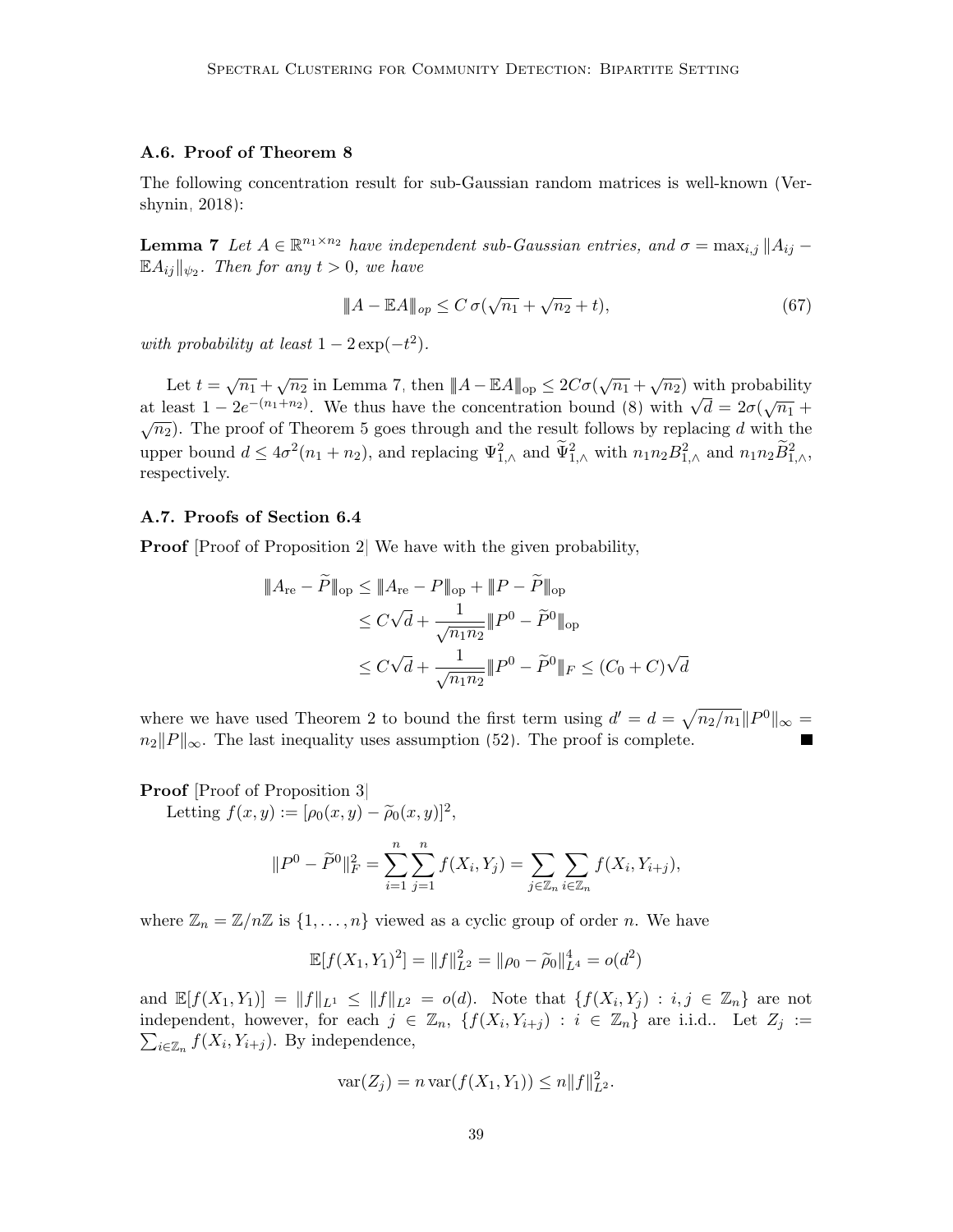# <span id="page-38-0"></span>A.6. Proof of Theorem [8](#page-25-3)

The following concentration result for sub-Gaussian random matrices is well-known [\(Ver](#page-46-7)[shynin, 2018\)](#page-46-7):

<span id="page-38-1"></span>**Lemma 7** Let  $A \in \mathbb{R}^{n_1 \times n_2}$  have independent sub-Gaussian entries, and  $\sigma = \max_{i,j} ||A_{ij} - \sigma_{ij}||$  $\mathbb{E} A_{ij} \|_{\psi_2}$ . Then for any  $t > 0$ , we have

$$
\|A - \mathbb{E}A\|_{op} \le C\,\sigma(\sqrt{n_1} + \sqrt{n_2} + t),\tag{67}
$$

with probability at least  $1 - 2 \exp(-t^2)$ .

Let  $t = \sqrt{n_1} + \sqrt{n_2}$  in Lemma [7,](#page-38-1) then  $||A - \mathbb{E}A||_{op} \leq 2C\sigma(\sqrt{n_1} + \sqrt{n_2})$  with probability Let  $t = \sqrt{n_1 + \sqrt{n_2}}$  in Lemma 1, then  $||A - \mathbb{E}A||_{op} \ge 2C\sigma(\sqrt{n_1 + \sqrt{n_2}})$  with probability<br>at least  $1 - 2e^{-(n_1+n_2)}$ . We thus have the concentration bound [\(8\)](#page-6-3) with  $\sqrt{d} = 2\sigma(\sqrt{n_1 + \sqrt{n_2}})$  $\sqrt{n_2}$ ). The proof of Theorem [5](#page-19-0) goes through and the result follows by replacing d with the upper bound  $d \leq 4\sigma^2(n_1+n_2)$ , and replacing  $\Psi_{1,\wedge}^2$  and  $\widetilde{\Psi}_{1,\wedge}^2$  with  $n_1n_2B_{1,\wedge}^2$  and  $n_1n_2\widetilde{B}_{1,\wedge}^2$ , respectively.

### A.7. Proofs of Section [6.4](#page-26-0)

**Proof** [Proof of Proposition [2\]](#page-27-2) We have with the given probability,

$$
||A_{\text{re}} - \tilde{P}||_{\text{op}} \le ||A_{\text{re}} - P||_{\text{op}} + ||P - \tilde{P}||_{\text{op}}
$$
  
\n
$$
\le C\sqrt{d} + \frac{1}{\sqrt{n_1 n_2}} ||P^0 - \tilde{P}^0||_{\text{op}}
$$
  
\n
$$
\le C\sqrt{d} + \frac{1}{\sqrt{n_1 n_2}} ||P^0 - \tilde{P}^0||_F \le (C_0 + C)\sqrt{d}
$$

where we have used Theorem [2](#page-14-1) to bound the first term using  $d' = d = \sqrt{n_2/n_1} ||P^0||_{\infty} =$  $n_2||P||_{\infty}$ . The last inequality uses assumption [\(52\)](#page-27-1). The proof is complete.

#### **Proof** [Proof of Proposition [3\]](#page-28-1)

Letting  $f(x, y) := [\rho_0(x, y) - \tilde{\rho}_0(x, y)]^2$ ,

$$
||P^{0} - \widetilde{P}^{0}||_{F}^{2} = \sum_{i=1}^{n} \sum_{j=1}^{n} f(X_{i}, Y_{j}) = \sum_{j \in \mathbb{Z}_{n}} \sum_{i \in \mathbb{Z}_{n}} f(X_{i}, Y_{i+j}),
$$

where  $\mathbb{Z}_n = \mathbb{Z}/n\mathbb{Z}$  is  $\{1, \ldots, n\}$  viewed as a cyclic group of order n. We have

$$
\mathbb{E}[f(X_1, Y_1)^2] = ||f||_{L^2}^2 = ||\rho_0 - \widetilde{\rho}_0||_{L^4}^4 = o(d^2)
$$

and  $\mathbb{E}[f(X_1, Y_1)] = ||f||_{L^1} \le ||f||_{L^2} = o(d)$ . Note that  $\{f(X_i, Y_j) : i, j \in \mathbb{Z}_n\}$  are not independent, however, for each  $j \in \mathbb{Z}_n$ ,  $\{f(X_i, Y_{i+j}) : i \in \mathbb{Z}_n\}$  are i.i.d.. Let  $Z_j :=$  $\sum_{i\in\mathbb{Z}_n} f(X_i,Y_{i+j}).$  By independence,

$$
\text{var}(Z_j) = n \, \text{var}(f(X_1, Y_1)) \le n \|f\|_{L^2}^2.
$$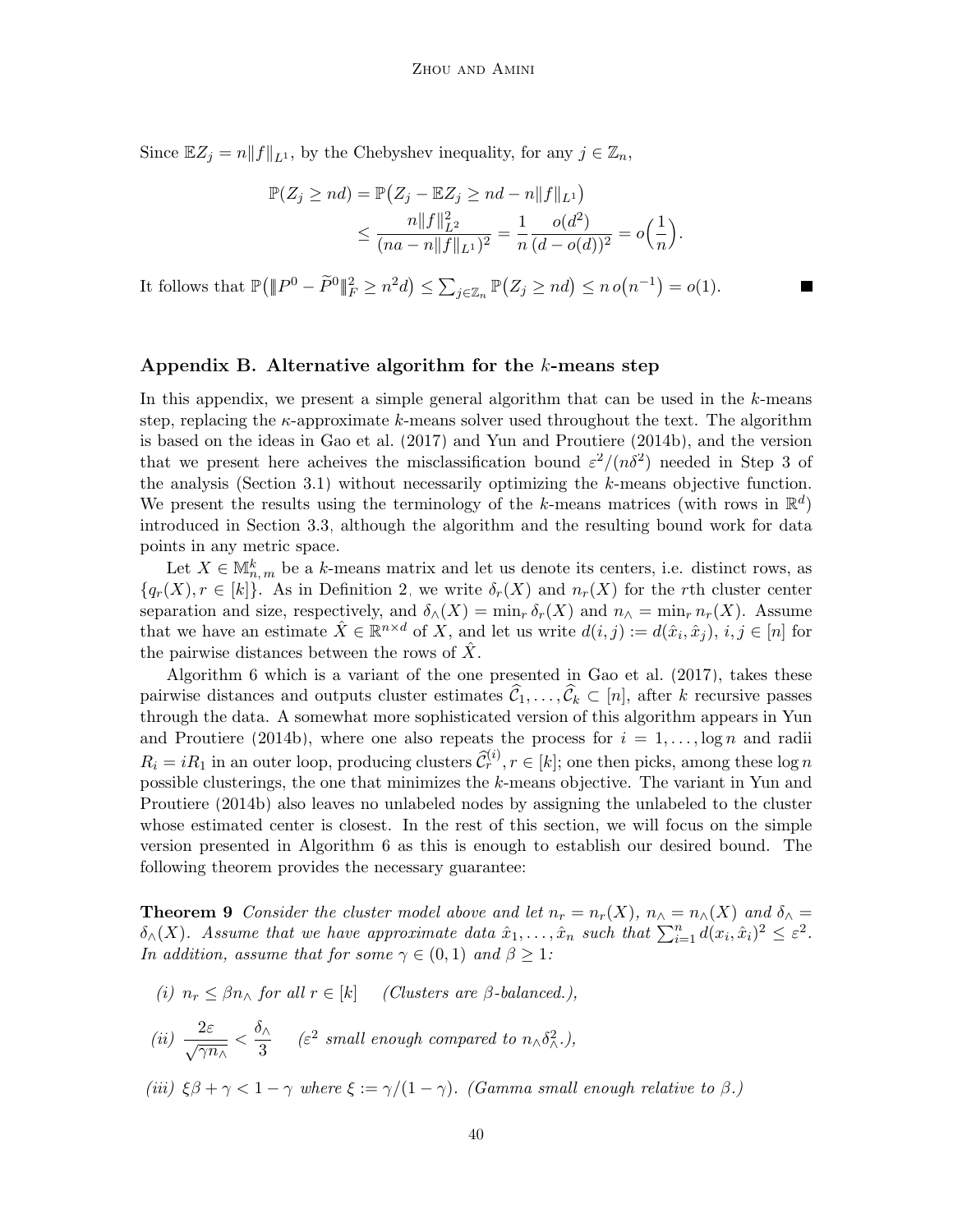Since  $\mathbb{E}Z_j = n||f||_{L^1}$ , by the Chebyshev inequality, for any  $j \in \mathbb{Z}_n$ ,

$$
\mathbb{P}(Z_j \ge nd) = \mathbb{P}(Z_j - \mathbb{E}Z_j \ge nd - n||f||_{L^1})
$$
  
 
$$
\le \frac{n||f||_{L^2}^2}{(na - n||f||_{L^1})^2} = \frac{1}{n} \frac{o(d^2)}{(d - o(d))^2} = o\left(\frac{1}{n}\right).
$$

It follows that  $\mathbb{P}(\|P^0 - \tilde{P}^0\|_F^2 \ge n^2d) \le \sum_{j\in\mathbb{Z}_n} \mathbb{P}(Z_j \ge nd) \le n o(n^{-1}) = o(1).$ 

#### <span id="page-39-0"></span>Appendix B. Alternative algorithm for the  $k$ -means step

In this appendix, we present a simple general algorithm that can be used in the  $k$ -means step, replacing the  $\kappa$ -approximate k-means solver used throughout the text. The algorithm is based on the ideas in [Gao et al.](#page-44-4) [\(2017\)](#page-44-4) and [Yun and Proutiere](#page-46-4) [\(2014b\)](#page-46-4), and the version that we present here acheives the misclassification bound  $\varepsilon^2/(n\delta^2)$  needed in Step 3 of the analysis (Section [3.1\)](#page-6-1) without necessarily optimizing the  $k$ -means objective function. We present the results using the terminology of the k-means matrices (with rows in  $\mathbb{R}^d$ ) introduced in Section [3.3,](#page-11-0) although the algorithm and the resulting bound work for data points in any metric space.

Let  $X \in \mathbb{M}_{n,m}^k$  be a k-means matrix and let us denote its centers, i.e. distinct rows, as  ${q_r(X), r \in [k]}$ . As in Definition [2,](#page-12-0) we write  $\delta_r(X)$  and  $n_r(X)$  for the rth cluster center separation and size, respectively, and  $\delta_{\wedge}(X) = \min_r \delta_r(X)$  and  $n_{\wedge} = \min_r n_r(X)$ . Assume that we have an estimate  $\hat{X} \in \mathbb{R}^{n \times d}$  of X, and let us write  $d(i, j) := d(\hat{x}_i, \hat{x}_j), i, j \in [n]$  for the pairwise distances between the rows of  $\ddot{X}$ .

Algorithm [6](#page-40-0) which is a variant of the one presented in [Gao et al.](#page-44-4) [\(2017\)](#page-44-4), takes these pairwise distances and outputs cluster estimates  $\widehat{C}_1, \ldots, \widehat{C}_k \subset [n]$ , after k recursive passes through the data. A somewhat more sophisticated version of this algorithm appears in [Yun](#page-46-4) [and Proutiere](#page-46-4) [\(2014b\)](#page-46-4), where one also repeats the process for  $i = 1, \ldots, \log n$  and radii  $R_i = iR_1$  in an outer loop, producing clusters  $\hat{C}_r^{(i)}$ ,  $r \in [k]$ ; one then picks, among these log n possible clusterings, the one that minimizes the k-means objective. The variant in [Yun and](#page-46-4) [Proutiere](#page-46-4) [\(2014b\)](#page-46-4) also leaves no unlabeled nodes by assigning the unlabeled to the cluster whose estimated center is closest. In the rest of this section, we will focus on the simple version presented in Algorithm [6](#page-40-0) as this is enough to establish our desired bound. The following theorem provides the necessary guarantee:

<span id="page-39-1"></span>**Theorem 9** Consider the cluster model above and let  $n_r = n_r(X)$ ,  $n_\wedge = n_\wedge(X)$  and  $\delta_\wedge =$  $\delta_{\wedge}(X)$ . Assume that we have approximate data  $\hat{x}_1, \ldots, \hat{x}_n$  such that  $\sum_{i=1}^n d(x_i, \hat{x}_i)^2 \leq \varepsilon^2$ . In addition, assume that for some  $\gamma \in (0,1)$  and  $\beta \geq 1$ :

(i)  $n_r \leq \beta n_\wedge$  for all  $r \in [k]$  (Clusters are  $\beta$ -balanced.),

- (ii)  $\frac{2\varepsilon}{\sqrt{\gamma n_\wedge}} < \frac{\delta_\wedge}{3}$  $\frac{\partial \wedge}{\partial 3}$  ( $\varepsilon^2$  small enough compared to  $n_{\wedge} \delta_{\wedge}^2$ .),
- (iii)  $\xi\beta + \gamma < 1 \gamma$  where  $\xi := \gamma/(1 \gamma)$ . (Gamma small enough relative to  $\beta$ .)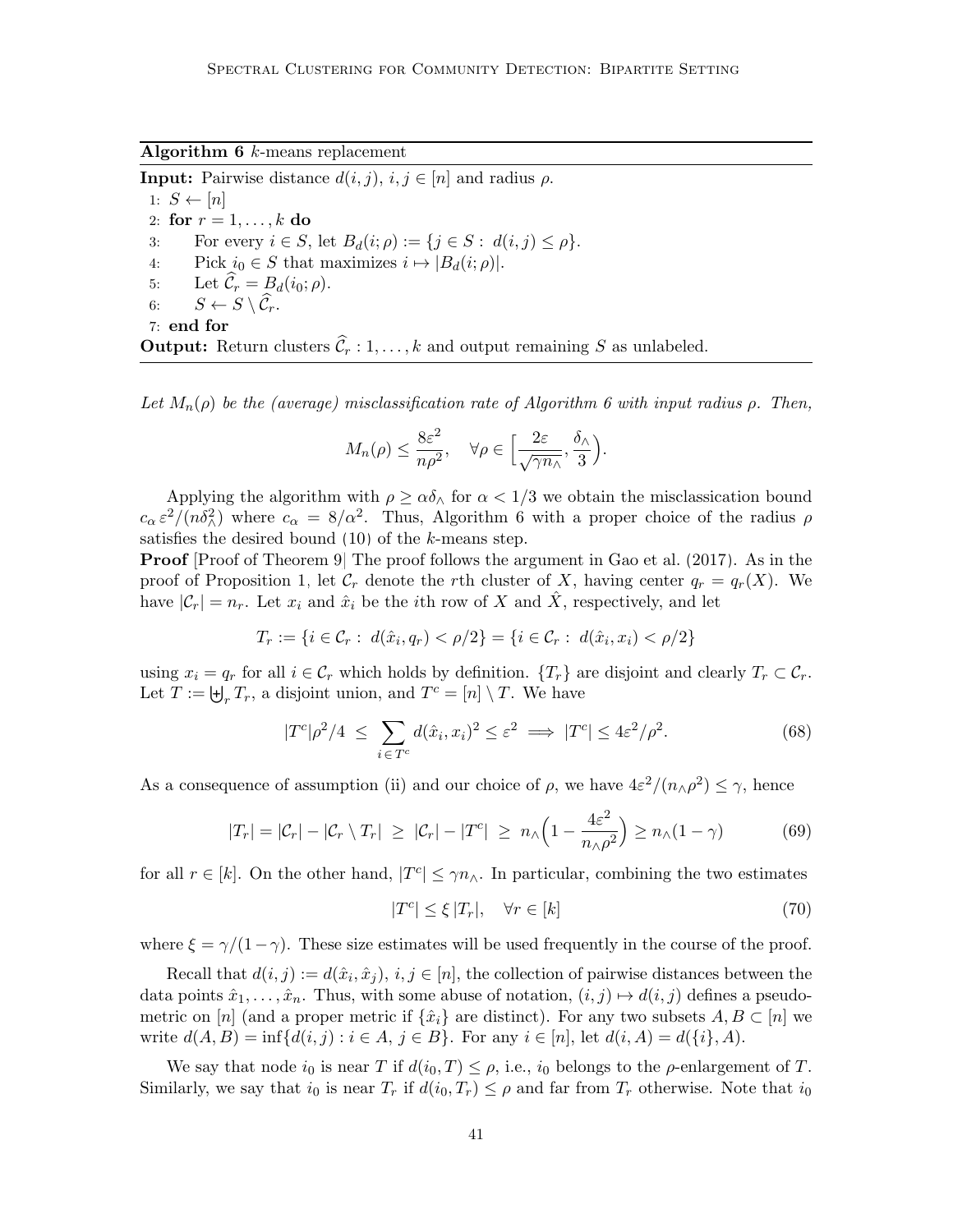<span id="page-40-0"></span>Algorithm  $6$  *k*-means replacement

**Input:** Pairwise distance  $d(i, j)$ ,  $i, j \in [n]$  and radius  $\rho$ . 1:  $S \leftarrow [n]$ 2: for  $r = 1, \ldots, k$  do 3: For every  $i \in S$ , let  $B_d(i; \rho) := \{j \in S : d(i, j) \leq \rho\}.$ 4: Pick  $i_0 \in S$  that maximizes  $i \mapsto |B_d(i; \rho)|$ . 5: Let  $\mathcal{C}_r = B_d(i_0; \rho)$ .<br>6:  $S \leftarrow S \setminus \widehat{\mathcal{C}}_r$ .  $S \leftarrow S \setminus \widehat{\mathcal{C}}_r.$ 7: end for **Output:** Return clusters  $\widehat{C}_r : 1, \ldots, k$  and output remaining S as unlabeled.

Let  $M_n(\rho)$  be the (average) misclassification rate of Algorithm [6](#page-40-0) with input radius  $\rho$ . Then,

$$
M_n(\rho) \leq \frac{8\varepsilon^2}{n\rho^2}, \quad \forall \rho \in \Big[\frac{2\varepsilon}{\sqrt{\gamma n_\wedge}}, \frac{\delta_\wedge}{3}\Big).
$$

Applying the algorithm with  $\rho \geq \alpha \delta_{\Lambda}$  for  $\alpha < 1/3$  we obtain the misclassication bound  $c_{\alpha} \epsilon^2/(n\delta_{\alpha}^2)$  where  $c_{\alpha} = 8/\alpha^2$ . Thus, Algorithm [6](#page-40-0) with a proper choice of the radius  $\rho$ satisfies the desired bound  $(10)$  of the k-means step.

**Proof** [Proof of Theorem [9\]](#page-39-1) The proof follows the argument in [Gao et al.](#page-44-4) [\(2017\)](#page-44-4). As in the proof of Proposition [1,](#page-13-0) let  $\mathcal{C}_r$  denote the rth cluster of X, having center  $q_r = q_r(X)$ . We have  $|\mathcal{C}_r| = n_r$ . Let  $x_i$  and  $\hat{x}_i$  be the *i*th row of X and  $\hat{X}$ , respectively, and let

$$
T_r := \{ i \in \mathcal{C}_r : d(\hat{x}_i, q_r) < \rho/2 \} = \{ i \in \mathcal{C}_r : d(\hat{x}_i, x_i) < \rho/2 \}
$$

using  $x_i = q_r$  for all  $i \in \mathcal{C}_r$  which holds by definition.  $\{T_r\}$  are disjoint and clearly  $T_r \subset \mathcal{C}_r$ . Let  $T := \biguplus_r T_r$ , a disjoint union, and  $T^c = [n] \setminus T$ . We have

$$
|T^{c}|\rho^{2}/4 \leq \sum_{i \in T^{c}} d(\hat{x}_{i}, x_{i})^{2} \leq \varepsilon^{2} \implies |T^{c}| \leq 4\varepsilon^{2}/\rho^{2}.
$$
 (68)

As a consequence of assumption (ii) and our choice of  $\rho$ , we have  $4\varepsilon^2/(n_{\Lambda}\rho^2) \leq \gamma$ , hence

$$
|T_r| = |\mathcal{C}_r| - |\mathcal{C}_r \setminus T_r| \geq |\mathcal{C}_r| - |T^c| \geq n_\wedge \left(1 - \frac{4\varepsilon^2}{n_\wedge \rho^2}\right) \geq n_\wedge (1 - \gamma) \tag{69}
$$

for all  $r \in [k]$ . On the other hand,  $|T^c| \leq \gamma n_{\wedge}$ . In particular, combining the two estimates

<span id="page-40-2"></span><span id="page-40-1"></span>
$$
|T^{c}| \leq \xi |T_{r}|, \quad \forall r \in [k]
$$
\n
$$
(70)
$$

where  $\xi = \gamma/(1-\gamma)$ . These size estimates will be used frequently in the course of the proof.

Recall that  $d(i, j) := d(\hat{x}_i, \hat{x}_j), i, j \in [n]$ , the collection of pairwise distances between the data points  $\hat{x}_1, \ldots, \hat{x}_n$ . Thus, with some abuse of notation,  $(i, j) \mapsto d(i, j)$  defines a pseudometric on [n] (and a proper metric if  $\{\hat{x}_i\}$  are distinct). For any two subsets  $A, B \subset [n]$  we write  $d(A, B) = \inf \{d(i, j) : i \in A, j \in B\}$ . For any  $i \in [n]$ , let  $d(i, A) = d(\{i\}, A)$ .

We say that node  $i_0$  is near T if  $d(i_0, T) \leq \rho$ , i.e.,  $i_0$  belongs to the  $\rho$ -enlargement of T. Similarly, we say that  $i_0$  is near  $T_r$  if  $d(i_0, T_r) \leq \rho$  and far from  $T_r$  otherwise. Note that  $i_0$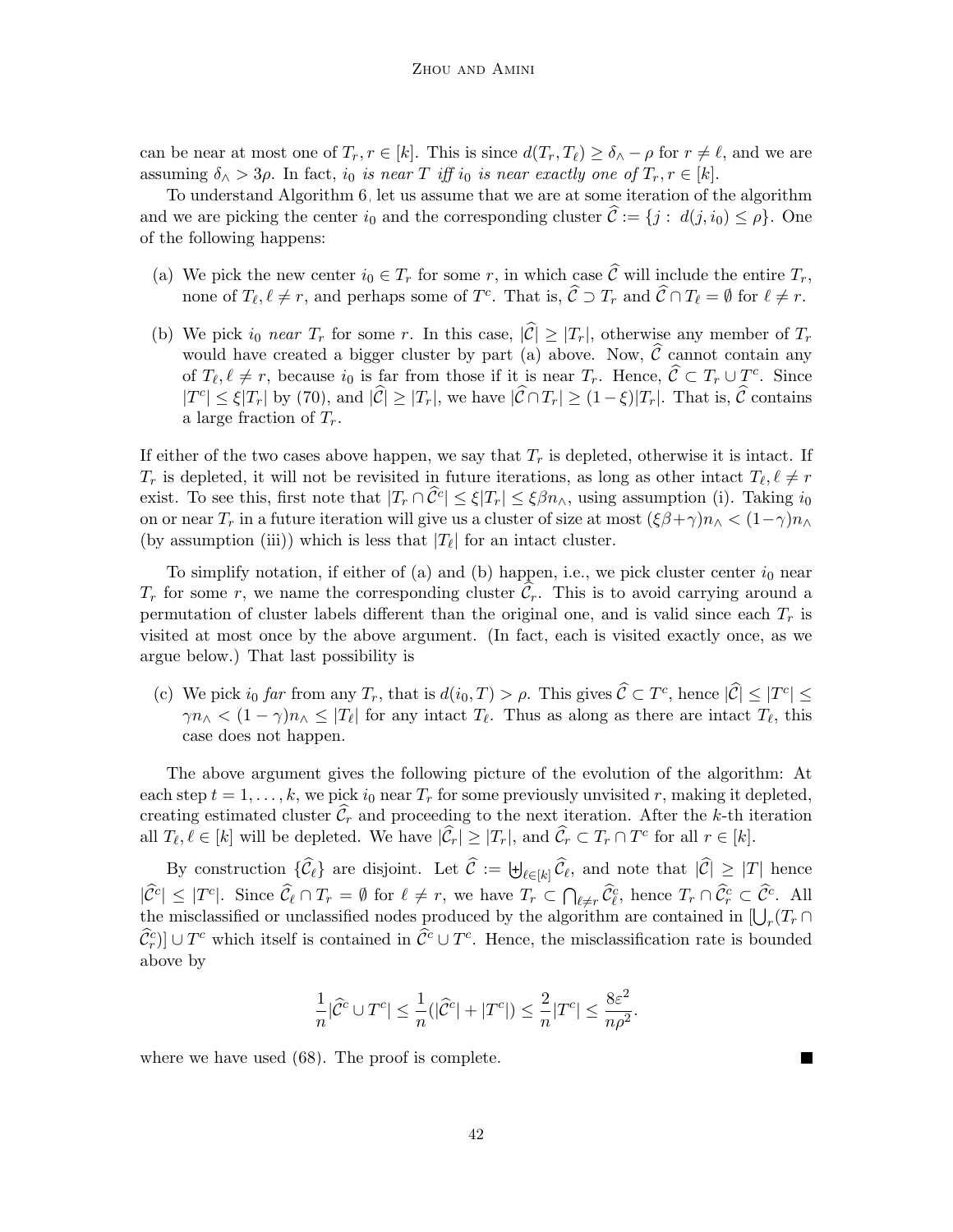can be near at most one of  $T_r$ ,  $r \in [k]$ . This is since  $d(T_r, T_\ell) \ge \delta_{\wedge} - \rho$  for  $r \ne \ell$ , and we are assuming  $\delta_0 > 3\rho$ . In fact,  $i_0$  is near T iff  $i_0$  is near exactly one of  $T_r$ ,  $r \in [k]$ .

To understand Algorithm [6,](#page-40-0) let us assume that we are at some iteration of the algorithm and we are picking the center  $i_0$  and the corresponding cluster  $\hat{\mathcal{C}} := \{j : d(j, i_0) \leq \rho\}$ . One of the following happens:

- (a) We pick the new center  $i_0 \in T_r$  for some r, in which case  $\hat{C}$  will include the entire  $T_r$ , none of  $T_{\ell}, \ell \neq r$ , and perhaps some of  $T_c$ . That is,  $\widehat{C} \supset T_r$  and  $\widehat{C} \cap T_{\ell} = \emptyset$  for  $\ell \neq r$ .
- (b) We pick  $i_0$  near  $T_r$  for some r. In this case,  $|\widehat{C}| \geq |T_r|$ , otherwise any member of  $T_r$ would have created a bigger cluster by part (a) above. Now,  $\hat{C}$  cannot contain any of  $T_{\ell}, \ell \neq r$ , because  $i_0$  is far from those if it is near  $T_r$ . Hence,  $\widehat{\mathcal{C}} \subset T_r \cup T^c$ . Since  $|T^{c}| \leq \xi |T_{r}|$  by [\(70\)](#page-40-1), and  $|\widehat{C}| \geq |T_{r}|$ , we have  $|\widehat{C} \cap T_{r}| \geq (1 - \xi)|T_{r}|$ . That is,  $\widehat{C}$  contains a large fraction of  $T_r$ .

If either of the two cases above happen, we say that  $T_r$  is depleted, otherwise it is intact. If  $T_r$  is depleted, it will not be revisited in future iterations, as long as other intact  $T_\ell, \ell \neq r$ exist. To see this, first note that  $|T_r \cap \hat{C}^c| \leq \xi |T_r| \leq \xi \beta n_\wedge$ , using assumption (i). Taking  $i_0$ on or near  $T_r$  in a future iteration will give us a cluster of size at most  $(\xi \beta + \gamma)n_0 < (1 - \gamma)n_0$ (by assumption (iii)) which is less that  $|T_{\ell}|$  for an intact cluster.

To simplify notation, if either of (a) and (b) happen, i.e., we pick cluster center  $i_0$  near  $T_r$  for some r, we name the corresponding cluster  $\hat{\mathcal{C}}_r$ . This is to avoid carrying around a permutation of cluster labels different than the original one, and is valid since each  $T_r$  is visited at most once by the above argument. (In fact, each is visited exactly once, as we argue below.) That last possibility is

(c) We pick  $i_0$  far from any  $T_r$ , that is  $d(i_0, T) > \rho$ . This gives  $\widehat{C} \subset T^c$ , hence  $|\widehat{C}| \leq |T^c| \leq$  $\gamma n_{\wedge} < (1 - \gamma)n_{\wedge} \leq |T_{\ell}|$  for any intact  $T_{\ell}$ . Thus as along as there are intact  $T_{\ell}$ , this case does not happen.

The above argument gives the following picture of the evolution of the algorithm: At each step  $t = 1, \ldots, k$ , we pick  $i_0$  near  $T_r$  for some previously unvisited r, making it depleted, creating estimated cluster  $\hat{\mathcal{C}}_r$  and proceeding to the next iteration. After the k-th iteration all  $T_{\ell}, \ell \in [k]$  will be depleted. We have  $|\widehat{C}_r| \geq |T_r|$ , and  $\widehat{C}_r \subset T_r \cap T^c$  for all  $r \in [k]$ .

By construction  $\{\mathcal{C}_\ell\}$  are disjoint. Let  $\mathcal{C} := \biguplus_{\ell \in [k]} \mathcal{C}_\ell$ , and note that  $|\mathcal{C}| \geq |T|$  hence  $|\widehat{C}^c| \leq |T^c|$ . Since  $\widehat{C}_{\ell} \cap T_r = \emptyset$  for  $\ell \neq r$ , we have  $T_r \subset \bigcap_{\ell \neq r} \widehat{C}_{\ell}^c$ , hence  $T_r \cap \widehat{C}_r^c \subset \widehat{C}^c$ . All the misclassified or unclassified nodes produced by the algorithm are contained in  $\left[\bigcup_r (T_r \cap$  $(\hat{C}_r^c)$  ∪  $T^c$  which itself is contained in  $\hat{C}^c \cup T^c$ . Hence, the misclassification rate is bounded above by

$$
\frac{1}{n}|\widehat{\mathcal{C}}^c \cup T^c| \leq \frac{1}{n}(|\widehat{\mathcal{C}}^c|+|T^c|) \leq \frac{2}{n}|T^c| \leq \frac{8\varepsilon^2}{n\rho^2}.
$$

where we have used [\(68\)](#page-40-2). The proof is complete.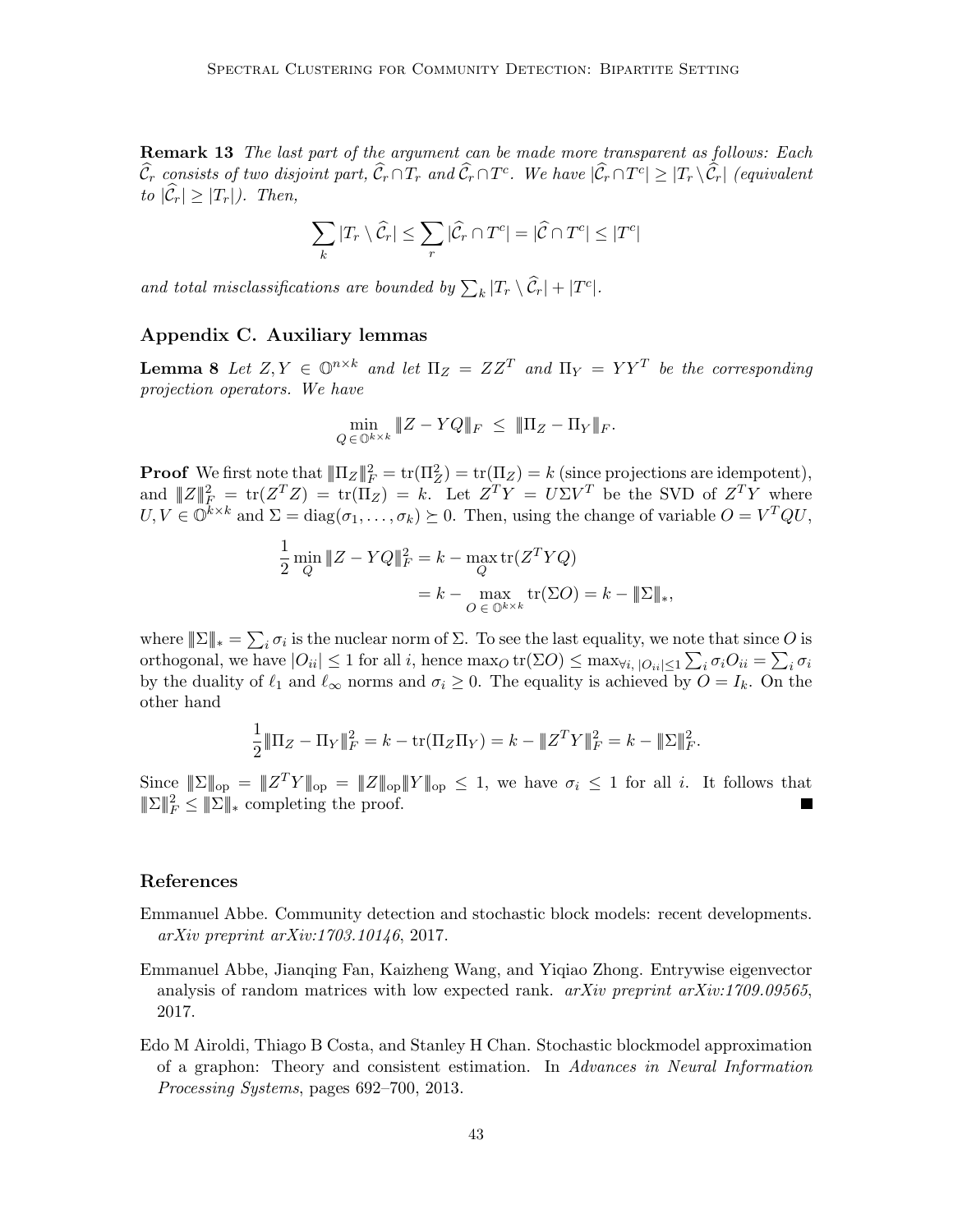Remark 13 The last part of the argument can be made more transparent as follows: Each  $\widehat{\mathcal{C}}_r$  consists of two disjoint part,  $\widehat{\mathcal{C}}_r \cap T_r$  and  $\widehat{\mathcal{C}}_r \cap T^c$ . We have  $|\widehat{\mathcal{C}}_r \cap T^c| \geq |T_r \setminus \widehat{\mathcal{C}}_r|$  (equivalent to  $|\hat{\mathcal{C}}_r| \geq |T_r|$ ). Then,

$$
\sum_{k}|T_{r}\setminus \widehat{\mathcal{C}}_{r}|\leq \sum_{r}|\widehat{\mathcal{C}}_{r}\cap T^{c}|=|\widehat{\mathcal{C}}\cap T^{c}|\leq |T^{c}|
$$

and total misclassifications are bounded by  $\sum_{k} |T_r \setminus \widehat{C}_r| + |T^c|$ .

# <span id="page-42-4"></span>Appendix C. Auxiliary lemmas

<span id="page-42-3"></span>**Lemma 8** Let  $Z, Y \in \mathbb{O}^{n \times k}$  and let  $\Pi_Z = ZZ^T$  and  $\Pi_Y = YY^T$  be the corresponding projection operators. We have

$$
\min_{Q \,\in\, \mathbb{O}^{k \times k}} \|Z - YQ\|_F \ \leq \ \|\Pi_Z - \Pi_Y\|_F.
$$

**Proof** We first note that  $\|\Pi_Z\|_F^2 = \text{tr}(\Pi_Z^2) = \text{tr}(\Pi_Z) = k$  (since projections are idempotent), and  $||Z||_F^2 = \text{tr}(Z^T Z) = \text{tr}(\Pi_Z) = k$ . Let  $Z^T Y = U \Sigma V^T$  be the SVD of  $Z^T Y$  where  $U, V \in \mathbb{O}^{k \times k}$  and  $\Sigma = \text{diag}(\sigma_1, \ldots, \sigma_k) \succeq 0$ . Then, using the change of variable  $O = V^TQU$ ,

$$
\frac{1}{2} \min_{Q} \|Z - YQ\|_{F}^{2} = k - \max_{Q} \text{tr}(Z^{T}YQ)
$$

$$
= k - \max_{Q \in \mathbb{Q}^{k \times k}} \text{tr}(\Sigma Q) = k - \| \Sigma \|_{*},
$$

where  $\|\Sigma\|_* = \sum_i \sigma_i$  is the nuclear norm of  $\Sigma$ . To see the last equality, we note that since O is orthogonal, we have  $|O_{ii}| \le 1$  for all i, hence  $\max_O \text{tr}(\Sigma O) \le \max_{\forall i, |O_{ii}| \le 1} \sum_i \sigma_i O_{ii} = \sum_i \sigma_i$ by the duality of  $\ell_1$  and  $\ell_{\infty}$  norms and  $\sigma_i \geq 0$ . The equality is achieved by  $O = I_k$ . On the other hand

$$
\frac{1}{2} \|\Pi_Z - \Pi_Y\|_F^2 = k - \text{tr}(\Pi_Z \Pi_Y) = k - \|Z^T Y\|_F^2 = k - \|\Sigma\|_F^2.
$$

Since  $||\sum||_{op} = ||Z^T Y||_{op} = ||Z||_{op} ||Y||_{op} \le 1$ , we have  $\sigma_i \le 1$  for all *i*. It follows that  $||\sum||_F^2 \le ||\sum||_*$  completing the proof.

# References

- <span id="page-42-0"></span>Emmanuel Abbe. Community detection and stochastic block models: recent developments. arXiv preprint arXiv:1703.10146, 2017.
- <span id="page-42-1"></span>Emmanuel Abbe, Jianqing Fan, Kaizheng Wang, and Yiqiao Zhong. Entrywise eigenvector analysis of random matrices with low expected rank. arXiv preprint arXiv:1709.09565, 2017.
- <span id="page-42-2"></span>Edo M Airoldi, Thiago B Costa, and Stanley H Chan. Stochastic blockmodel approximation of a graphon: Theory and consistent estimation. In Advances in Neural Information Processing Systems, pages 692–700, 2013.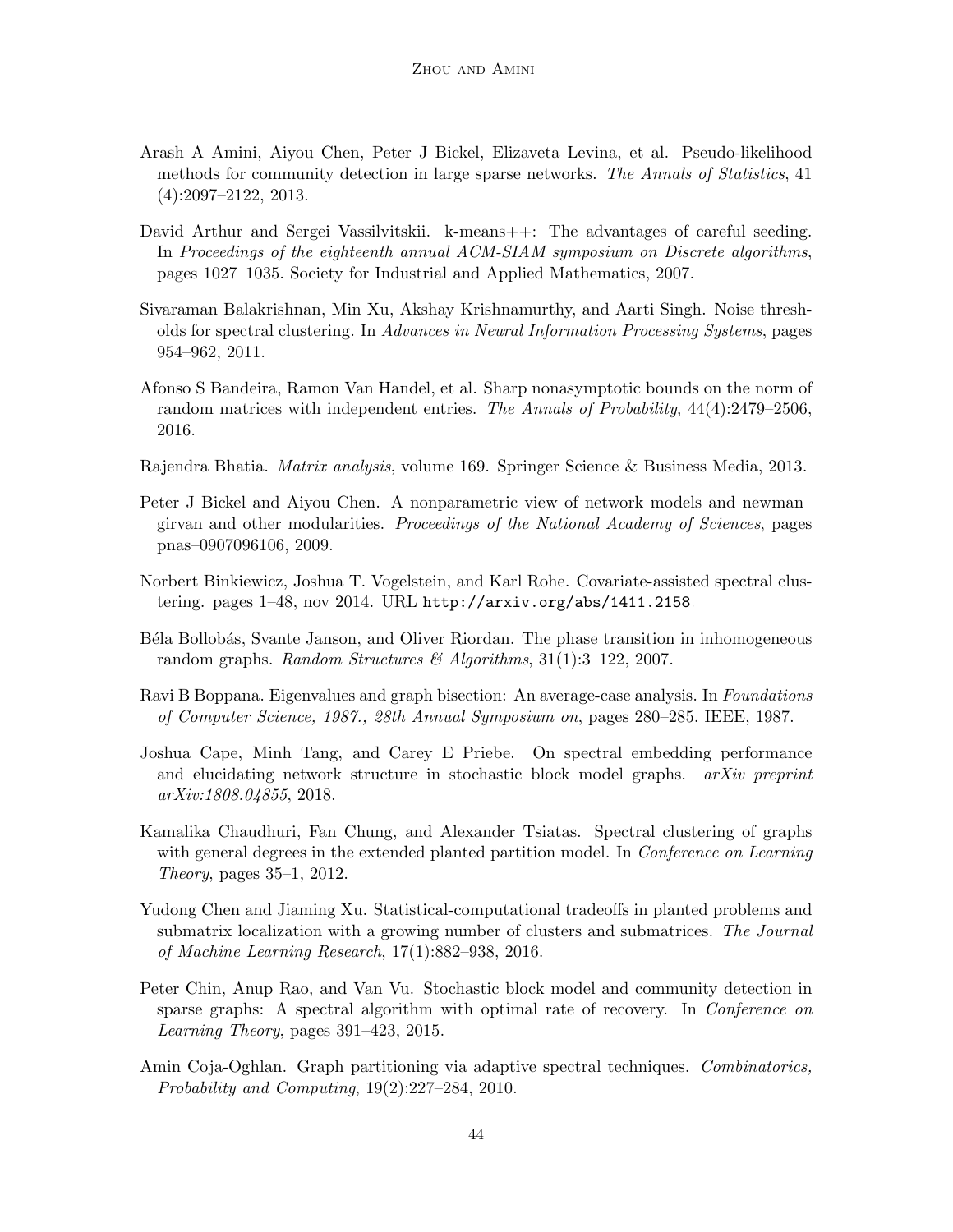- <span id="page-43-6"></span>Arash A Amini, Aiyou Chen, Peter J Bickel, Elizaveta Levina, et al. Pseudo-likelihood methods for community detection in large sparse networks. The Annals of Statistics, 41 (4):2097–2122, 2013.
- <span id="page-43-11"></span>David Arthur and Sergei Vassilvitskii. k-means + +: The advantages of careful seeding. In Proceedings of the eighteenth annual ACM-SIAM symposium on Discrete algorithms, pages 1027–1035. Society for Industrial and Applied Mathematics, 2007.
- <span id="page-43-2"></span>Sivaraman Balakrishnan, Min Xu, Akshay Krishnamurthy, and Aarti Singh. Noise thresholds for spectral clustering. In Advances in Neural Information Processing Systems, pages 954–962, 2011.
- <span id="page-43-7"></span>Afonso S Bandeira, Ramon Van Handel, et al. Sharp nonasymptotic bounds on the norm of random matrices with independent entries. The Annals of Probability, 44(4):2479–2506, 2016.
- <span id="page-43-10"></span>Rajendra Bhatia. Matrix analysis, volume 169. Springer Science & Business Media, 2013.
- <span id="page-43-8"></span>Peter J Bickel and Aiyou Chen. A nonparametric view of network models and newman– girvan and other modularities. Proceedings of the National Academy of Sciences, pages pnas–0907096106, 2009.
- <span id="page-43-4"></span>Norbert Binkiewicz, Joshua T. Vogelstein, and Karl Rohe. Covariate-assisted spectral clustering. pages 1–48, nov 2014. URL <http://arxiv.org/abs/1411.2158>.
- <span id="page-43-13"></span>Béla Bollobás, Svante Janson, and Oliver Riordan. The phase transition in inhomogeneous random graphs. Random Structures & Algorithms, 31(1):3–122, 2007.
- <span id="page-43-0"></span>Ravi B Boppana. Eigenvalues and graph bisection: An average-case analysis. In Foundations of Computer Science, 1987., 28th Annual Symposium on, pages 280–285. IEEE, 1987.
- <span id="page-43-9"></span>Joshua Cape, Minh Tang, and Carey E Priebe. On spectral embedding performance and elucidating network structure in stochastic block model graphs. *arXiv preprint* arXiv:1808.04855, 2018.
- <span id="page-43-3"></span>Kamalika Chaudhuri, Fan Chung, and Alexander Tsiatas. Spectral clustering of graphs with general degrees in the extended planted partition model. In *Conference on Learning* Theory, pages 35–1, 2012.
- <span id="page-43-12"></span>Yudong Chen and Jiaming Xu. Statistical-computational tradeoffs in planted problems and submatrix localization with a growing number of clusters and submatrices. The Journal of Machine Learning Research, 17(1):882–938, 2016.
- <span id="page-43-5"></span>Peter Chin, Anup Rao, and Van Vu. Stochastic block model and community detection in sparse graphs: A spectral algorithm with optimal rate of recovery. In Conference on Learning Theory, pages 391–423, 2015.
- <span id="page-43-1"></span>Amin Coja-Oghlan. Graph partitioning via adaptive spectral techniques. Combinatorics, Probability and Computing, 19(2):227–284, 2010.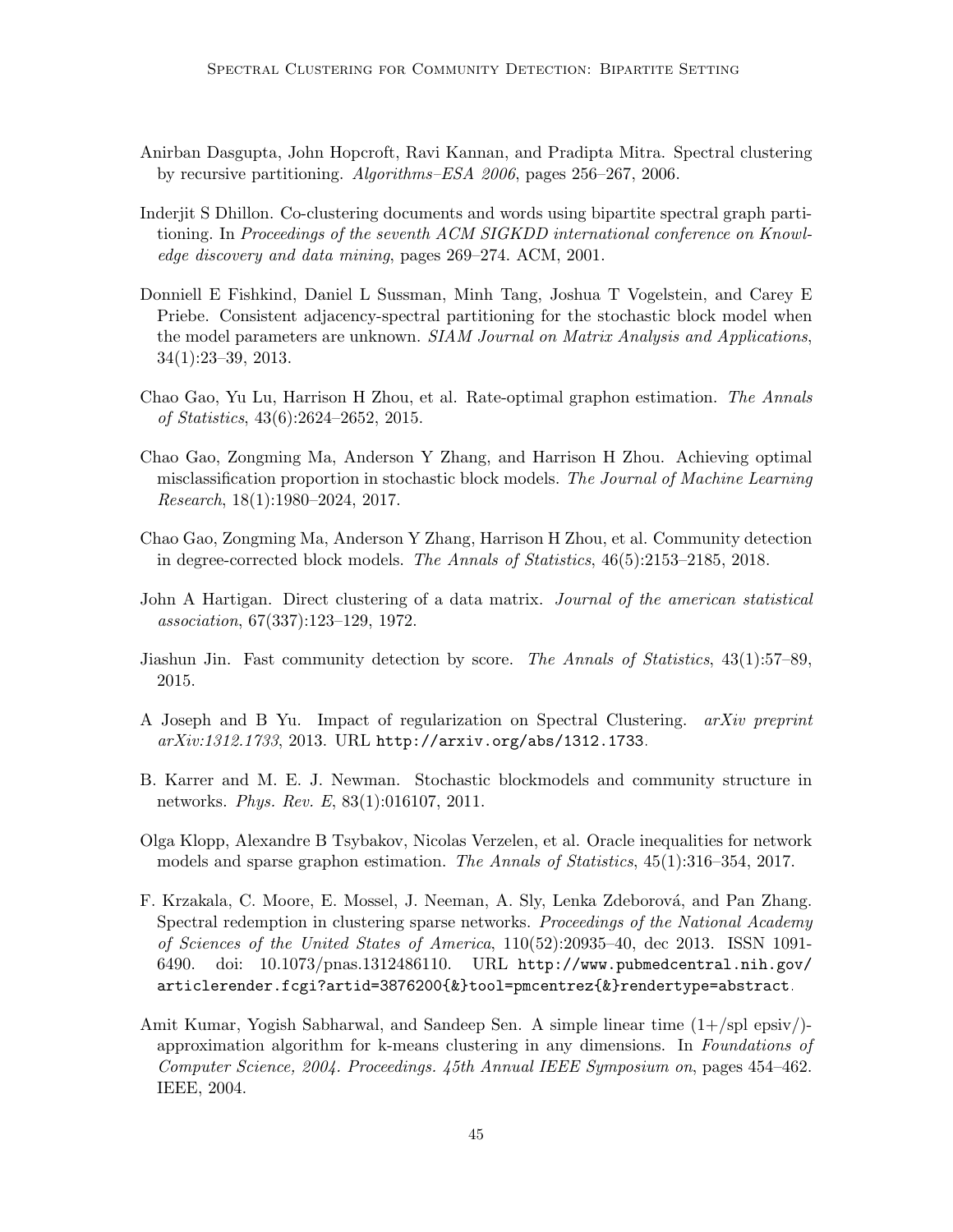- <span id="page-44-0"></span>Anirban Dasgupta, John Hopcroft, Ravi Kannan, and Pradipta Mitra. Spectral clustering by recursive partitioning. Algorithms–ESA 2006, pages 256–267, 2006.
- <span id="page-44-6"></span>Inderjit S Dhillon. Co-clustering documents and words using bipartite spectral graph partitioning. In Proceedings of the seventh ACM SIGKDD international conference on Knowledge discovery and data mining, pages 269–274. ACM, 2001.
- <span id="page-44-1"></span>Donniell E Fishkind, Daniel L Sussman, Minh Tang, Joshua T Vogelstein, and Carey E Priebe. Consistent adjacency-spectral partitioning for the stochastic block model when the model parameters are unknown. SIAM Journal on Matrix Analysis and Applications, 34(1):23–39, 2013.
- <span id="page-44-11"></span>Chao Gao, Yu Lu, Harrison H Zhou, et al. Rate-optimal graphon estimation. The Annals of Statistics, 43(6):2624–2652, 2015.
- <span id="page-44-4"></span>Chao Gao, Zongming Ma, Anderson Y Zhang, and Harrison H Zhou. Achieving optimal misclassification proportion in stochastic block models. The Journal of Machine Learning Research, 18(1):1980–2024, 2017.
- <span id="page-44-7"></span>Chao Gao, Zongming Ma, Anderson Y Zhang, Harrison H Zhou, et al. Community detection in degree-corrected block models. The Annals of Statistics, 46(5):2153–2185, 2018.
- <span id="page-44-5"></span>John A Hartigan. Direct clustering of a data matrix. Journal of the american statistical association, 67(337):123–129, 1972.
- <span id="page-44-9"></span>Jiashun Jin. Fast community detection by score. The Annals of Statistics, 43(1):57–89, 2015.
- <span id="page-44-2"></span>A Joseph and B Yu. Impact of regularization on Spectral Clustering. arXiv preprint arXiv:1312.1733, 2013. URL <http://arxiv.org/abs/1312.1733>.
- <span id="page-44-10"></span>B. Karrer and M. E. J. Newman. Stochastic blockmodels and community structure in networks. Phys. Rev. E, 83(1):016107, 2011.
- <span id="page-44-12"></span>Olga Klopp, Alexandre B Tsybakov, Nicolas Verzelen, et al. Oracle inequalities for network models and sparse graphon estimation. The Annals of Statistics, 45(1):316–354, 2017.
- <span id="page-44-3"></span>F. Krzakala, C. Moore, E. Mossel, J. Neeman, A. Sly, Lenka Zdeborová, and Pan Zhang. Spectral redemption in clustering sparse networks. Proceedings of the National Academy of Sciences of the United States of America, 110(52):20935–40, dec 2013. ISSN 1091- 6490. doi: 10.1073/pnas.1312486110. URL [http://www.pubmedcentral.nih.gov/](http://www.pubmedcentral.nih.gov/articlerender.fcgi?artid=3876200{&}tool=pmcentrez{&}rendertype=abstract) [articlerender.fcgi?artid=3876200{&}tool=pmcentrez{&}rendertype=abstract](http://www.pubmedcentral.nih.gov/articlerender.fcgi?artid=3876200{&}tool=pmcentrez{&}rendertype=abstract).
- <span id="page-44-8"></span>Amit Kumar, Yogish Sabharwal, and Sandeep Sen. A simple linear time (1+/spl epsiv/) approximation algorithm for k-means clustering in any dimensions. In Foundations of Computer Science, 2004. Proceedings. 45th Annual IEEE Symposium on, pages 454–462. IEEE, 2004.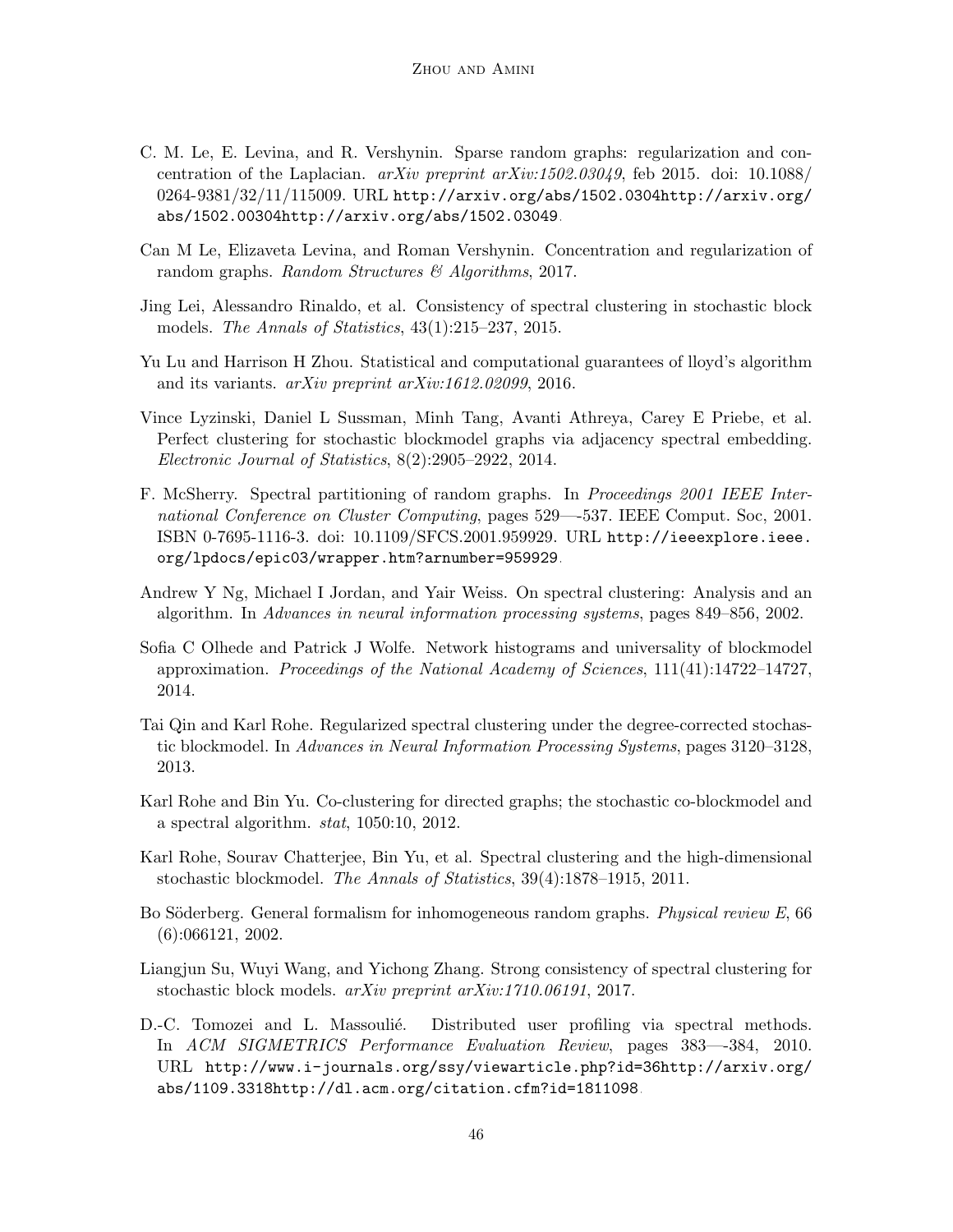- <span id="page-45-8"></span>C. M. Le, E. Levina, and R. Vershynin. Sparse random graphs: regularization and concentration of the Laplacian.  $arXiv$  preprint  $arXiv:1502.03049$ , feb 2015. doi: 10.1088/ 0264-9381/32/11/115009. URL [http://arxiv.org/abs/1502.0304http://arxiv.org/](http://arxiv.org/abs/1502.0304 http://arxiv.org/abs/1502.00304 http://arxiv.org/abs/1502.03049) [abs/1502.00304http://arxiv.org/abs/1502.03049](http://arxiv.org/abs/1502.0304 http://arxiv.org/abs/1502.00304 http://arxiv.org/abs/1502.03049).
- <span id="page-45-11"></span>Can M Le, Elizaveta Levina, and Roman Vershynin. Concentration and regularization of random graphs. Random Structures & Algorithms, 2017.
- <span id="page-45-5"></span>Jing Lei, Alessandro Rinaldo, et al. Consistency of spectral clustering in stochastic block models. The Annals of Statistics, 43(1):215–237, 2015.
- <span id="page-45-10"></span>Yu Lu and Harrison H Zhou. Statistical and computational guarantees of lloyd's algorithm and its variants. arXiv preprint arXiv:1612.02099, 2016.
- <span id="page-45-6"></span>Vince Lyzinski, Daniel L Sussman, Minh Tang, Avanti Athreya, Carey E Priebe, et al. Perfect clustering for stochastic blockmodel graphs via adjacency spectral embedding. Electronic Journal of Statistics, 8(2):2905–2922, 2014.
- <span id="page-45-1"></span>F. McSherry. Spectral partitioning of random graphs. In Proceedings 2001 IEEE International Conference on Cluster Computing, pages 529—-537. IEEE Comput. Soc, 2001. ISBN 0-7695-1116-3. doi: 10.1109/SFCS.2001.959929. URL [http://ieeexplore.ieee.](http://ieeexplore.ieee.org/lpdocs/epic03/wrapper.htm?arnumber=959929) [org/lpdocs/epic03/wrapper.htm?arnumber=959929](http://ieeexplore.ieee.org/lpdocs/epic03/wrapper.htm?arnumber=959929).
- <span id="page-45-0"></span>Andrew Y Ng, Michael I Jordan, and Yair Weiss. On spectral clustering: Analysis and an algorithm. In Advances in neural information processing systems, pages 849–856, 2002.
- <span id="page-45-13"></span>Sofia C Olhede and Patrick J Wolfe. Network histograms and universality of blockmodel approximation. Proceedings of the National Academy of Sciences, 111(41):14722–14727, 2014.
- <span id="page-45-4"></span>Tai Qin and Karl Rohe. Regularized spectral clustering under the degree-corrected stochastic blockmodel. In Advances in Neural Information Processing Systems, pages 3120–3128, 2013.
- <span id="page-45-7"></span>Karl Rohe and Bin Yu. Co-clustering for directed graphs; the stochastic co-blockmodel and a spectral algorithm. stat, 1050:10, 2012.
- <span id="page-45-3"></span>Karl Rohe, Sourav Chatterjee, Bin Yu, et al. Spectral clustering and the high-dimensional stochastic blockmodel. The Annals of Statistics, 39(4):1878–1915, 2011.
- <span id="page-45-12"></span>Bo Söderberg. General formalism for inhomogeneous random graphs. *Physical review E*, 66 (6):066121, 2002.
- <span id="page-45-9"></span>Liangjun Su, Wuyi Wang, and Yichong Zhang. Strong consistency of spectral clustering for stochastic block models. arXiv preprint arXiv:1710.06191, 2017.
- <span id="page-45-2"></span>D.-C. Tomozei and L. Massoulié. Distributed user profiling via spectral methods. In ACM SIGMETRICS Performance Evaluation Review, pages 383—-384, 2010. URL [http://www.i-journals.org/ssy/viewarticle.php?id=36http://arxiv.org/](http://www.i-journals.org/ssy/viewarticle.php?id=36 http://arxiv.org/abs/1109.3318 http://dl.acm.org/citation.cfm?id=1811098) [abs/1109.3318http://dl.acm.org/citation.cfm?id=1811098](http://www.i-journals.org/ssy/viewarticle.php?id=36 http://arxiv.org/abs/1109.3318 http://dl.acm.org/citation.cfm?id=1811098).